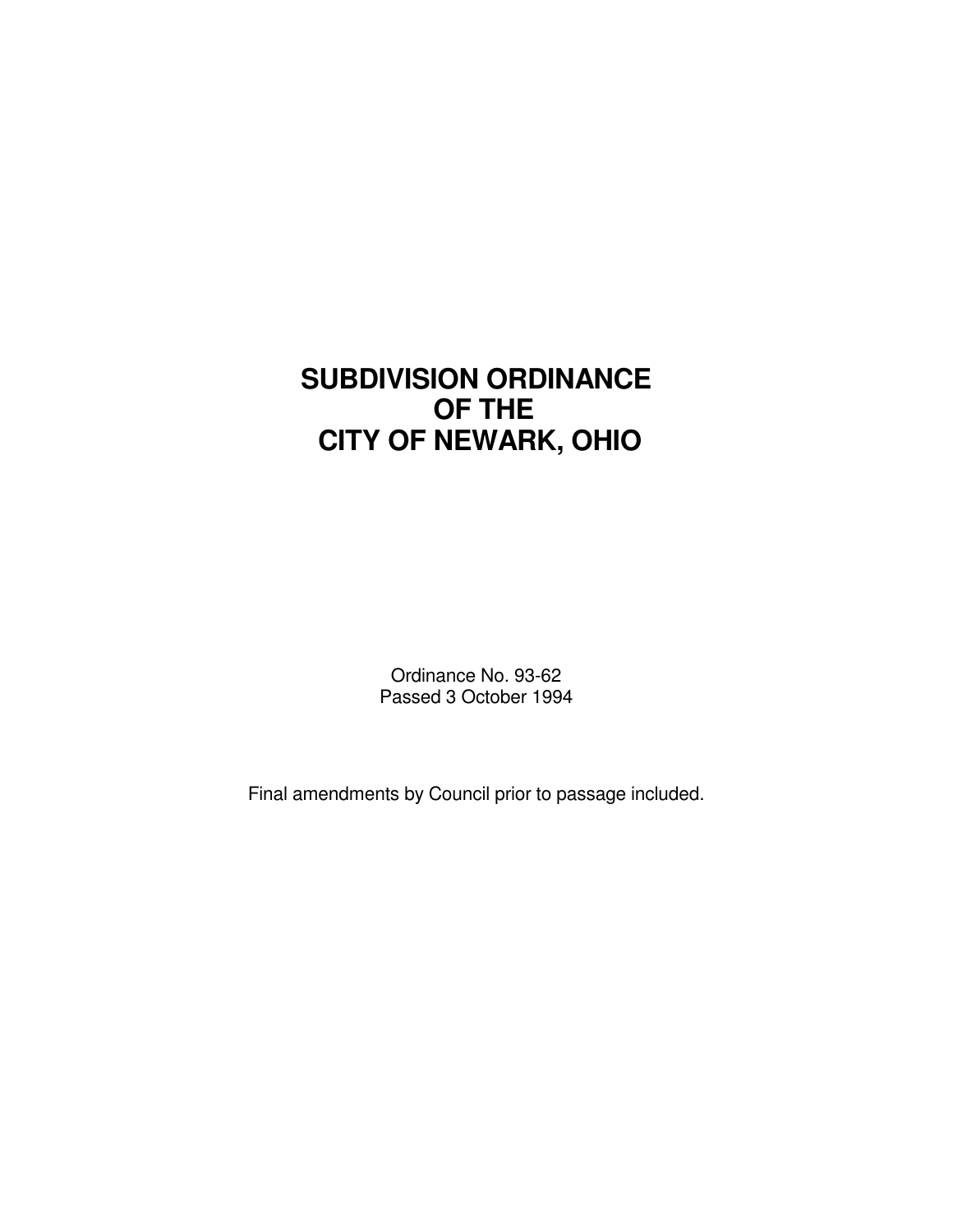# **SUBDIVISION ORDINANCE OF THE CITY OF NEWARK, OHIO**

Ordinance No. 93-62 Passed 3 October 1994

Final amendments by Council prior to passage included.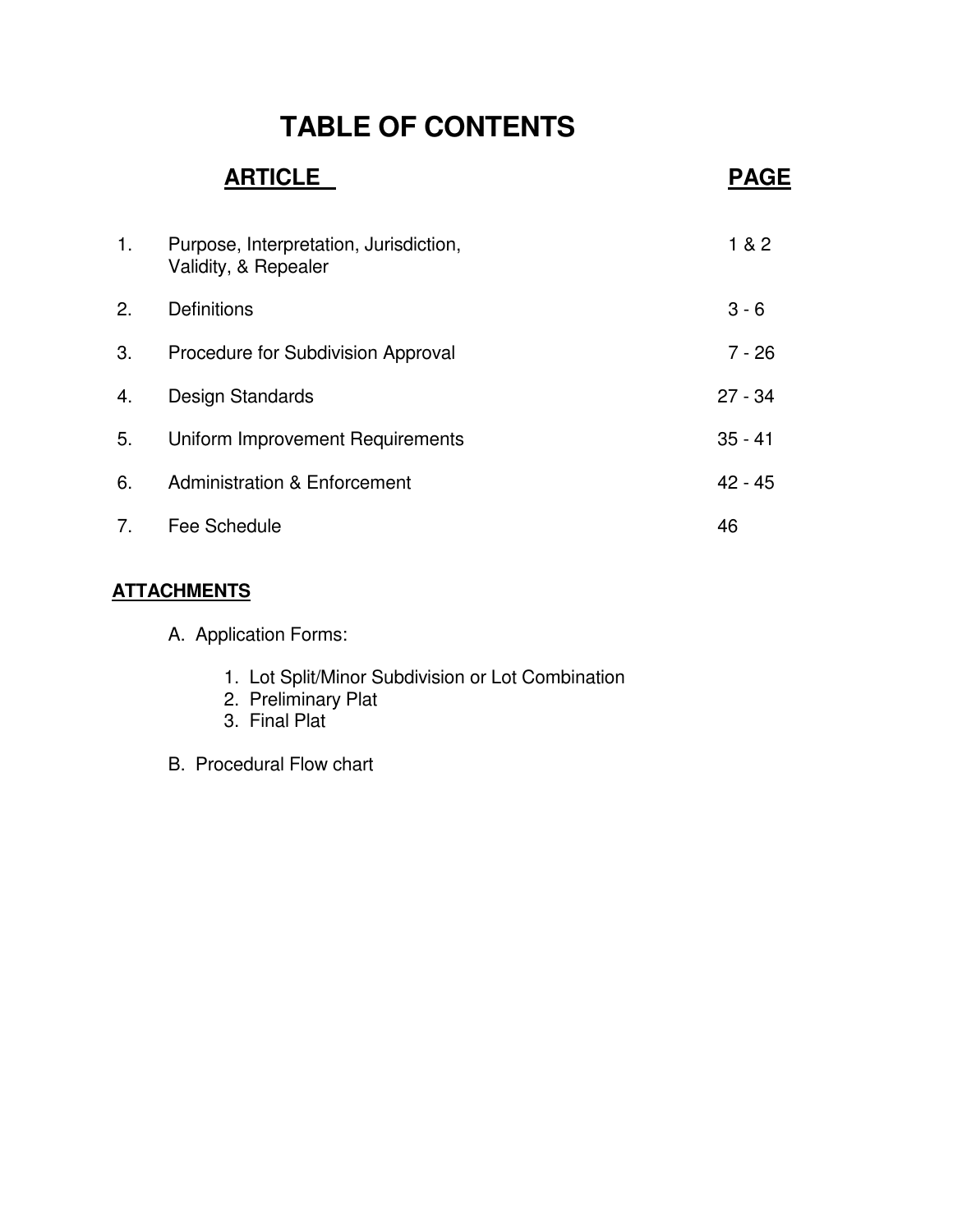# **TABLE OF CONTENTS**

# **ARTICLE PAGE** 1. Purpose, Interpretation, Jurisdiction, 182 Validity, & Repealer 2. Definitions 3 - 6 3. Procedure for Subdivision Approval 7 - 26 4. Design Standards 27 - 34 5. Uniform Improvement Requirements 35 - 41 6. Administration & Enforcement 6. Administration & Enforcement 7. Fee Schedule 46

# **ATTACHMENTS**

- A. Application Forms:
	- 1. Lot Split/Minor Subdivision or Lot Combination
	- 2. Preliminary Plat
	- 3. Final Plat
- B. Procedural Flow chart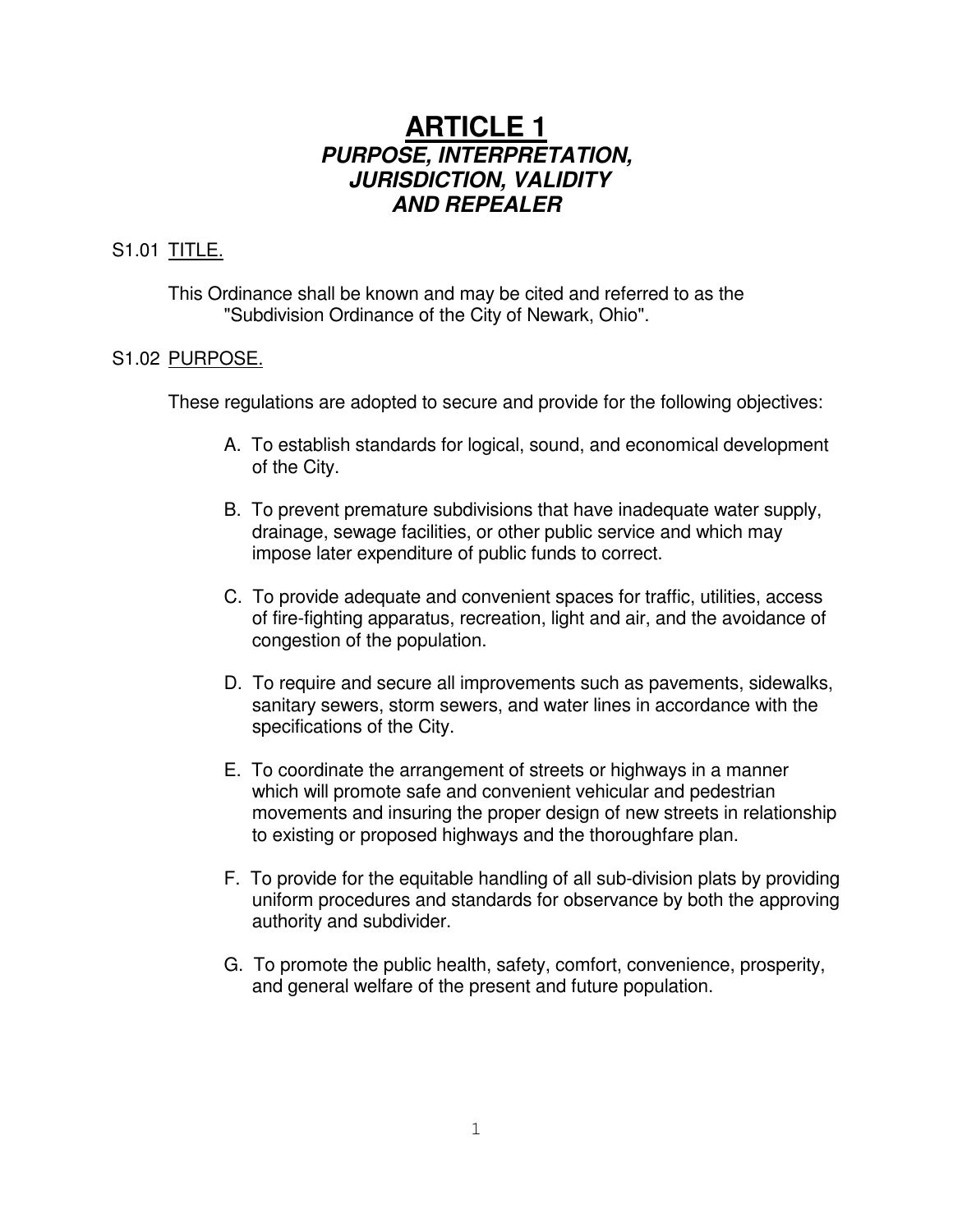# **ARTICLE 1** *PURPOSE, INTERPRETATION, JURISDICTION, VALIDITY AND REPEALER*

# S1.01 TITLE.

This Ordinance shall be known and may be cited and referred to as the "Subdivision Ordinance of the City of Newark, Ohio".

# S1.02 PURPOSE.

These regulations are adopted to secure and provide for the following objectives:

- A. To establish standards for logical, sound, and economical development of the City.
- B. To prevent premature subdivisions that have inadequate water supply, drainage, sewage facilities, or other public service and which may impose later expenditure of public funds to correct.
- C. To provide adequate and convenient spaces for traffic, utilities, access of fire-fighting apparatus, recreation, light and air, and the avoidance of congestion of the population.
- D. To require and secure all improvements such as pavements, sidewalks, sanitary sewers, storm sewers, and water lines in accordance with the specifications of the City.
- E. To coordinate the arrangement of streets or highways in a manner which will promote safe and convenient vehicular and pedestrian movements and insuring the proper design of new streets in relationship to existing or proposed highways and the thoroughfare plan.
- F. To provide for the equitable handling of all sub-division plats by providing uniform procedures and standards for observance by both the approving authority and subdivider.
- G. To promote the public health, safety, comfort, convenience, prosperity, and general welfare of the present and future population.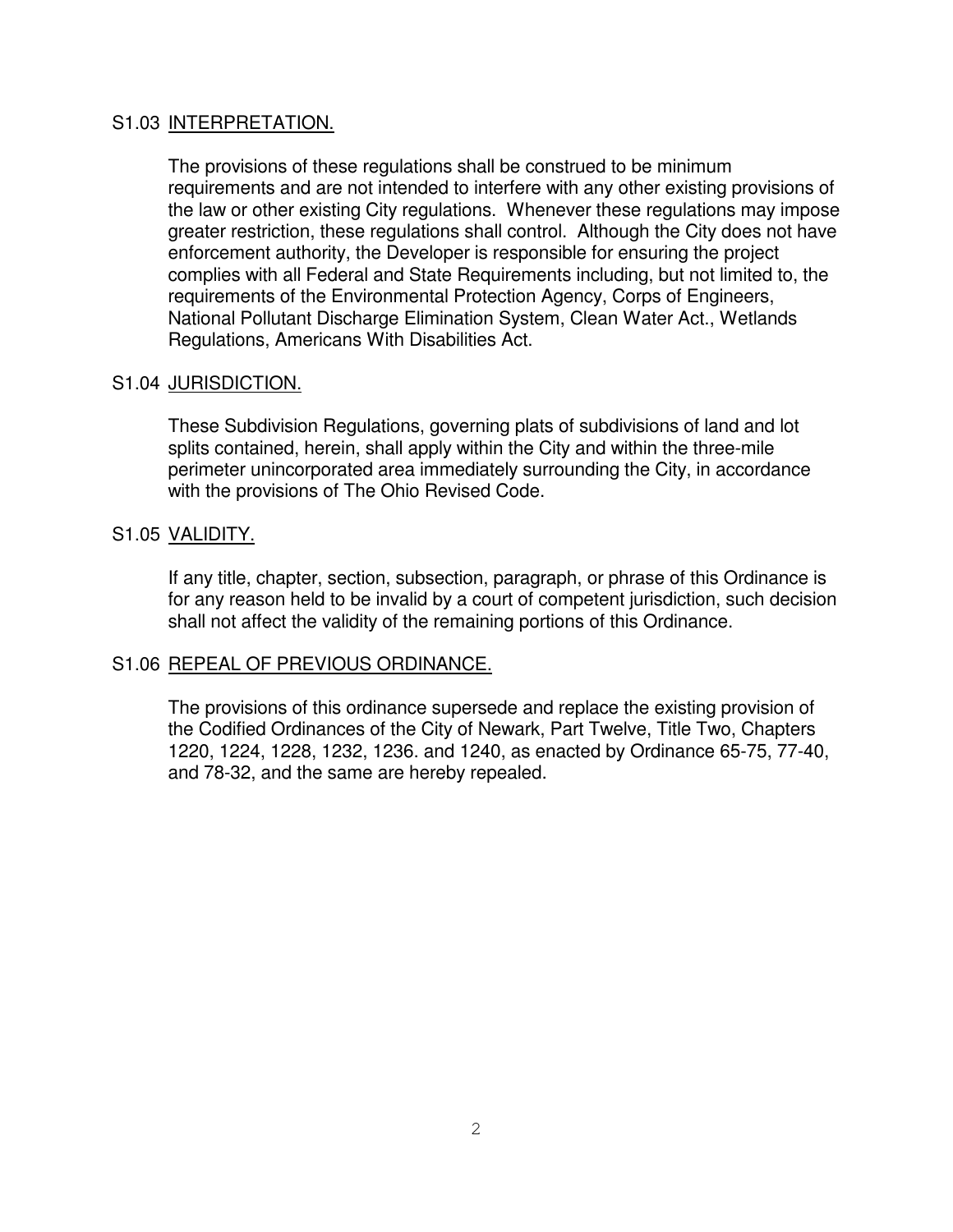#### S1.03 INTERPRETATION.

The provisions of these regulations shall be construed to be minimum requirements and are not intended to interfere with any other existing provisions of the law or other existing City regulations. Whenever these regulations may impose greater restriction, these regulations shall control. Although the City does not have enforcement authority, the Developer is responsible for ensuring the project complies with all Federal and State Requirements including, but not limited to, the requirements of the Environmental Protection Agency, Corps of Engineers, National Pollutant Discharge Elimination System, Clean Water Act., Wetlands Regulations, Americans With Disabilities Act.

#### S1.04 JURISDICTION.

These Subdivision Regulations, governing plats of subdivisions of land and lot splits contained, herein, shall apply within the City and within the three-mile perimeter unincorporated area immediately surrounding the City, in accordance with the provisions of The Ohio Revised Code.

#### S1.05 VALIDITY.

If any title, chapter, section, subsection, paragraph, or phrase of this Ordinance is for any reason held to be invalid by a court of competent jurisdiction, such decision shall not affect the validity of the remaining portions of this Ordinance.

#### S1.06 REPEAL OF PREVIOUS ORDINANCE.

The provisions of this ordinance supersede and replace the existing provision of the Codified Ordinances of the City of Newark, Part Twelve, Title Two, Chapters 1220, 1224, 1228, 1232, 1236. and 1240, as enacted by Ordinance 65-75, 77-40, and 78-32, and the same are hereby repealed.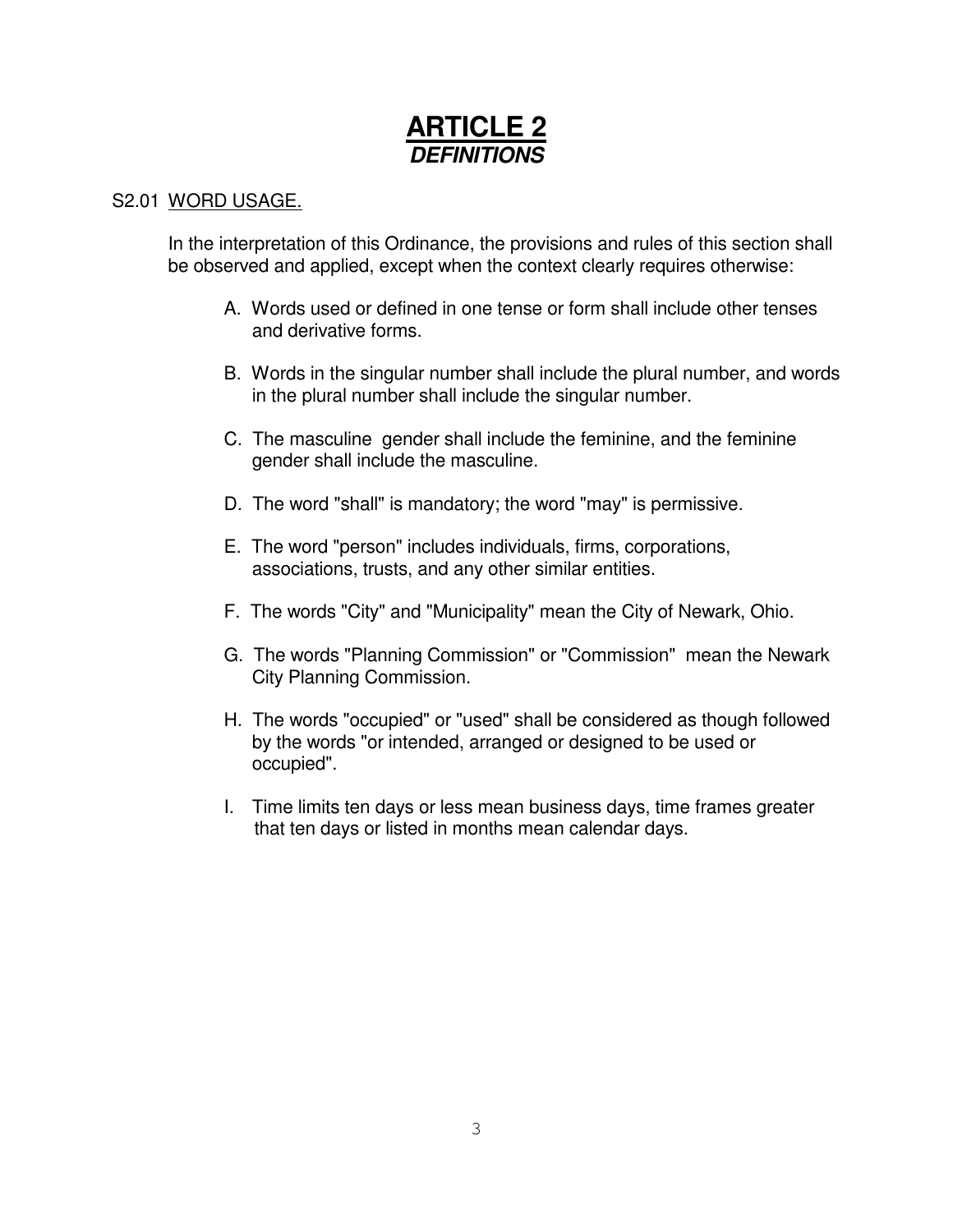# **ARTICLE 2** *DEFINITIONS*

# S2.01 WORD USAGE.

In the interpretation of this Ordinance, the provisions and rules of this section shall be observed and applied, except when the context clearly requires otherwise:

- A. Words used or defined in one tense or form shall include other tenses and derivative forms.
- B. Words in the singular number shall include the plural number, and words in the plural number shall include the singular number.
- C. The masculine gender shall include the feminine, and the feminine gender shall include the masculine.
- D. The word "shall" is mandatory; the word "may" is permissive.
- E. The word "person" includes individuals, firms, corporations, associations, trusts, and any other similar entities.
- F. The words "City" and "Municipality" mean the City of Newark, Ohio.
- G. The words "Planning Commission" or "Commission" mean the Newark City Planning Commission.
- H. The words "occupied" or "used" shall be considered as though followed by the words "or intended, arranged or designed to be used or occupied".
- I. Time limits ten days or less mean business days, time frames greater that ten days or listed in months mean calendar days.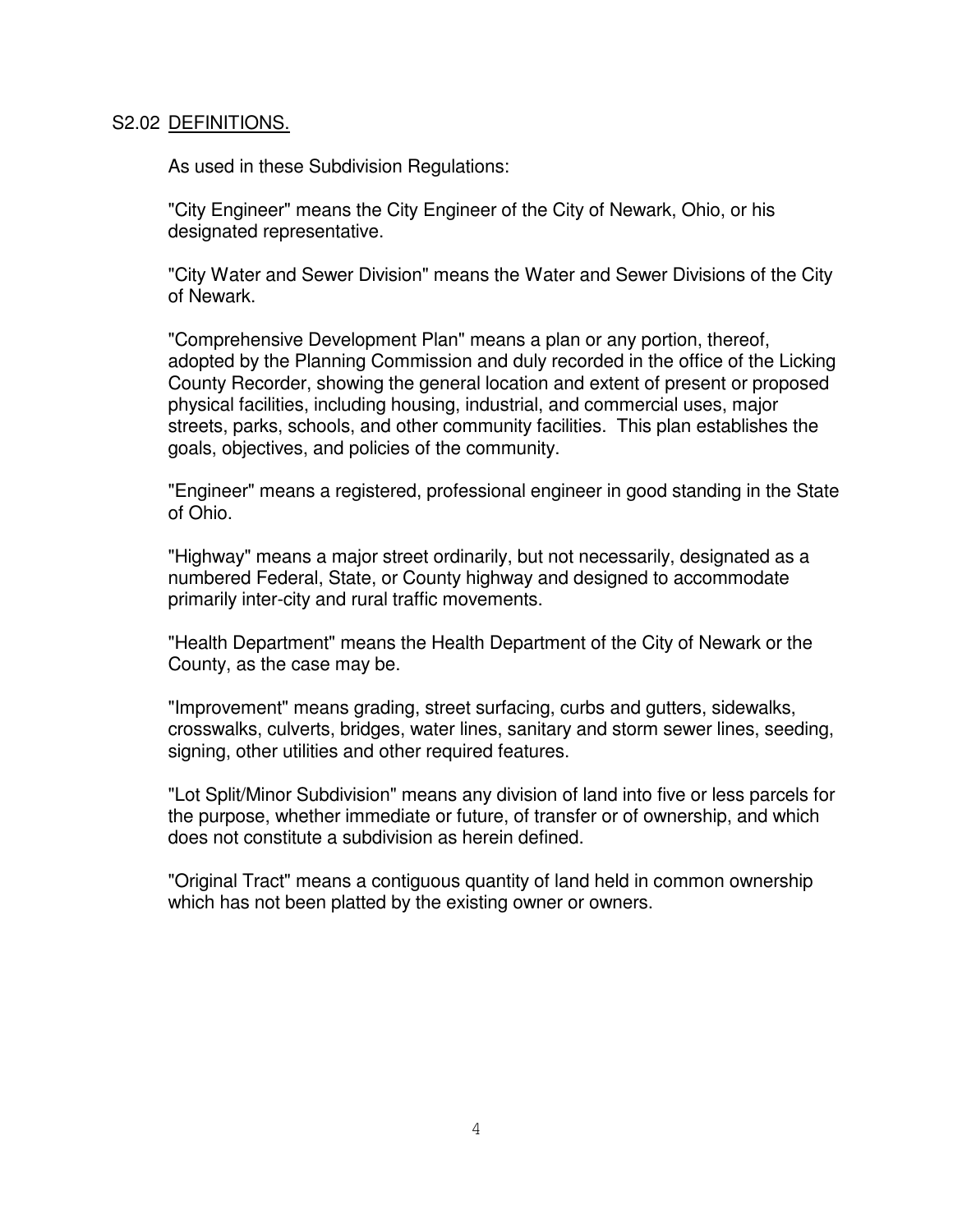#### S2.02 DEFINITIONS.

As used in these Subdivision Regulations:

"City Engineer" means the City Engineer of the City of Newark, Ohio, or his designated representative.

"City Water and Sewer Division" means the Water and Sewer Divisions of the City of Newark.

"Comprehensive Development Plan" means a plan or any portion, thereof, adopted by the Planning Commission and duly recorded in the office of the Licking County Recorder, showing the general location and extent of present or proposed physical facilities, including housing, industrial, and commercial uses, major streets, parks, schools, and other community facilities. This plan establishes the goals, objectives, and policies of the community.

"Engineer" means a registered, professional engineer in good standing in the State of Ohio.

"Highway" means a major street ordinarily, but not necessarily, designated as a numbered Federal, State, or County highway and designed to accommodate primarily inter-city and rural traffic movements.

"Health Department" means the Health Department of the City of Newark or the County, as the case may be.

"Improvement" means grading, street surfacing, curbs and gutters, sidewalks, crosswalks, culverts, bridges, water lines, sanitary and storm sewer lines, seeding, signing, other utilities and other required features.

"Lot Split/Minor Subdivision" means any division of land into five or less parcels for the purpose, whether immediate or future, of transfer or of ownership, and which does not constitute a subdivision as herein defined.

"Original Tract" means a contiguous quantity of land held in common ownership which has not been platted by the existing owner or owners.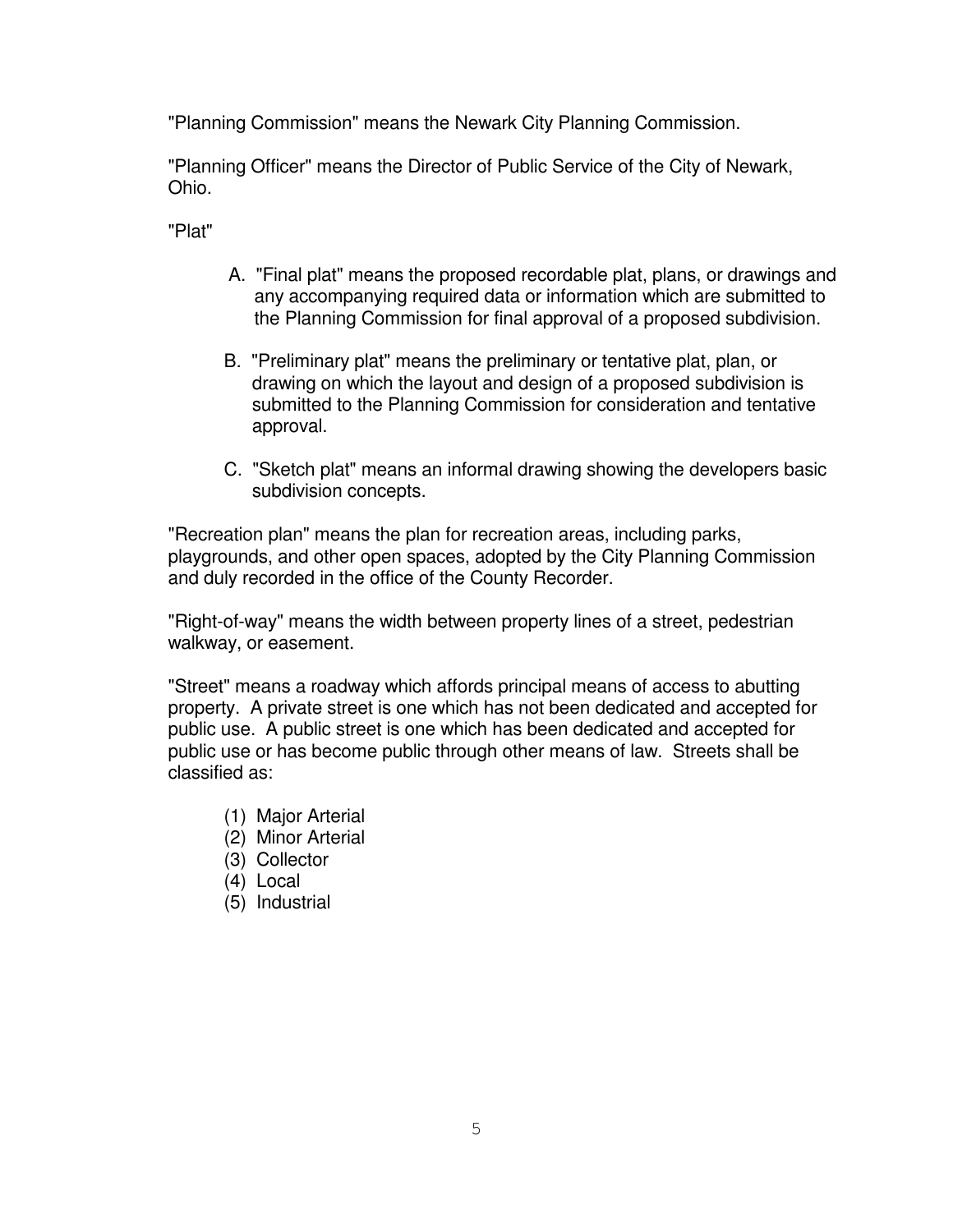"Planning Commission" means the Newark City Planning Commission.

"Planning Officer" means the Director of Public Service of the City of Newark, Ohio.

"Plat"

- A. "Final plat" means the proposed recordable plat, plans, or drawings and any accompanying required data or information which are submitted to the Planning Commission for final approval of a proposed subdivision.
- B. "Preliminary plat" means the preliminary or tentative plat, plan, or drawing on which the layout and design of a proposed subdivision is submitted to the Planning Commission for consideration and tentative approval.
- C. "Sketch plat" means an informal drawing showing the developers basic subdivision concepts.

"Recreation plan" means the plan for recreation areas, including parks, playgrounds, and other open spaces, adopted by the City Planning Commission and duly recorded in the office of the County Recorder.

"Right-of-way" means the width between property lines of a street, pedestrian walkway, or easement.

"Street" means a roadway which affords principal means of access to abutting property. A private street is one which has not been dedicated and accepted for public use. A public street is one which has been dedicated and accepted for public use or has become public through other means of law. Streets shall be classified as:

- (1) Major Arterial
- (2) Minor Arterial
- (3) Collector
- (4) Local
- (5) Industrial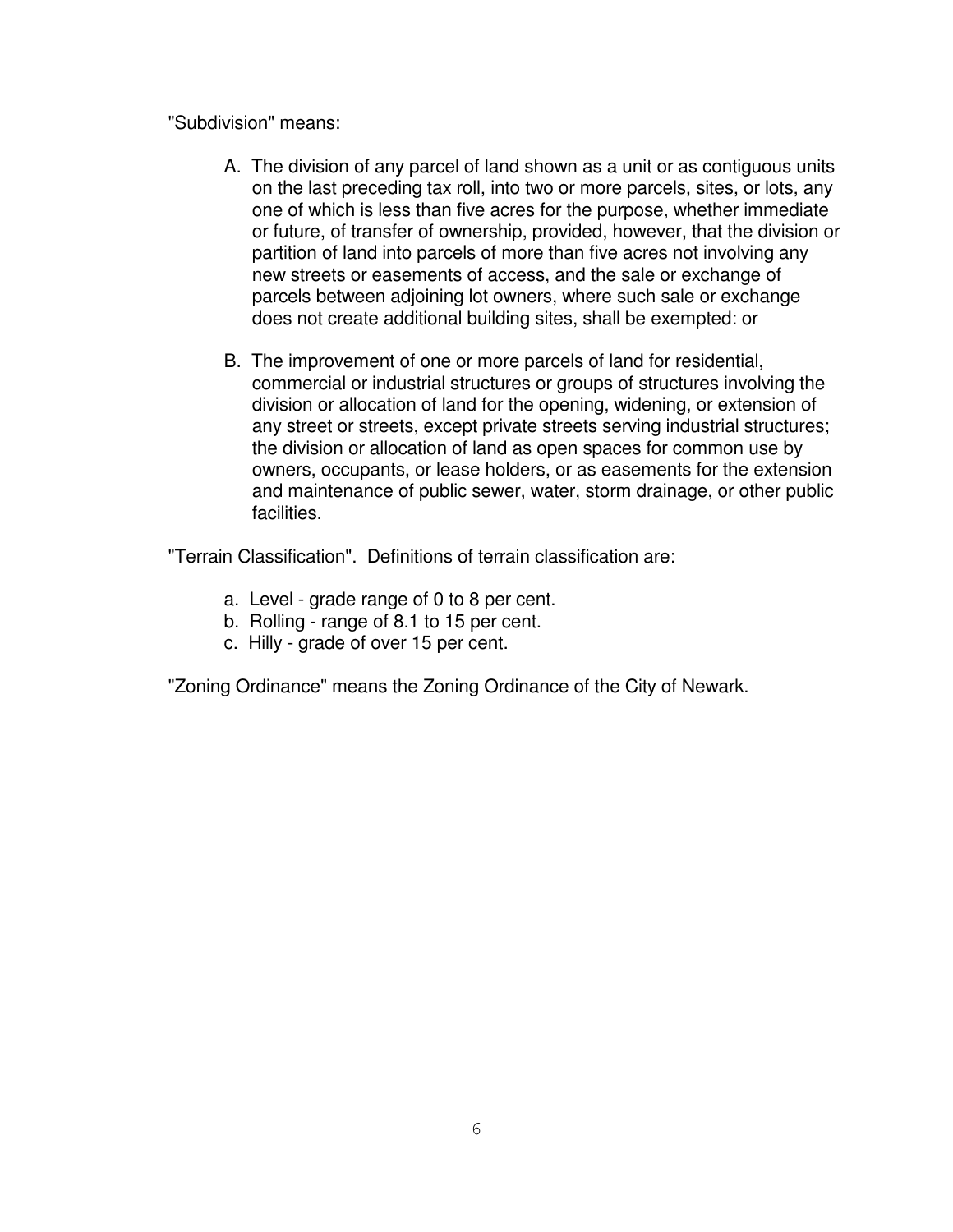"Subdivision" means:

- A. The division of any parcel of land shown as a unit or as contiguous units on the last preceding tax roll, into two or more parcels, sites, or lots, any one of which is less than five acres for the purpose, whether immediate or future, of transfer of ownership, provided, however, that the division or partition of land into parcels of more than five acres not involving any new streets or easements of access, and the sale or exchange of parcels between adjoining lot owners, where such sale or exchange does not create additional building sites, shall be exempted: or
- B. The improvement of one or more parcels of land for residential, commercial or industrial structures or groups of structures involving the division or allocation of land for the opening, widening, or extension of any street or streets, except private streets serving industrial structures; the division or allocation of land as open spaces for common use by owners, occupants, or lease holders, or as easements for the extension and maintenance of public sewer, water, storm drainage, or other public facilities.

"Terrain Classification". Definitions of terrain classification are:

- a. Level grade range of 0 to 8 per cent.
- b. Rolling range of 8.1 to 15 per cent.
- c. Hilly grade of over 15 per cent.

"Zoning Ordinance" means the Zoning Ordinance of the City of Newark.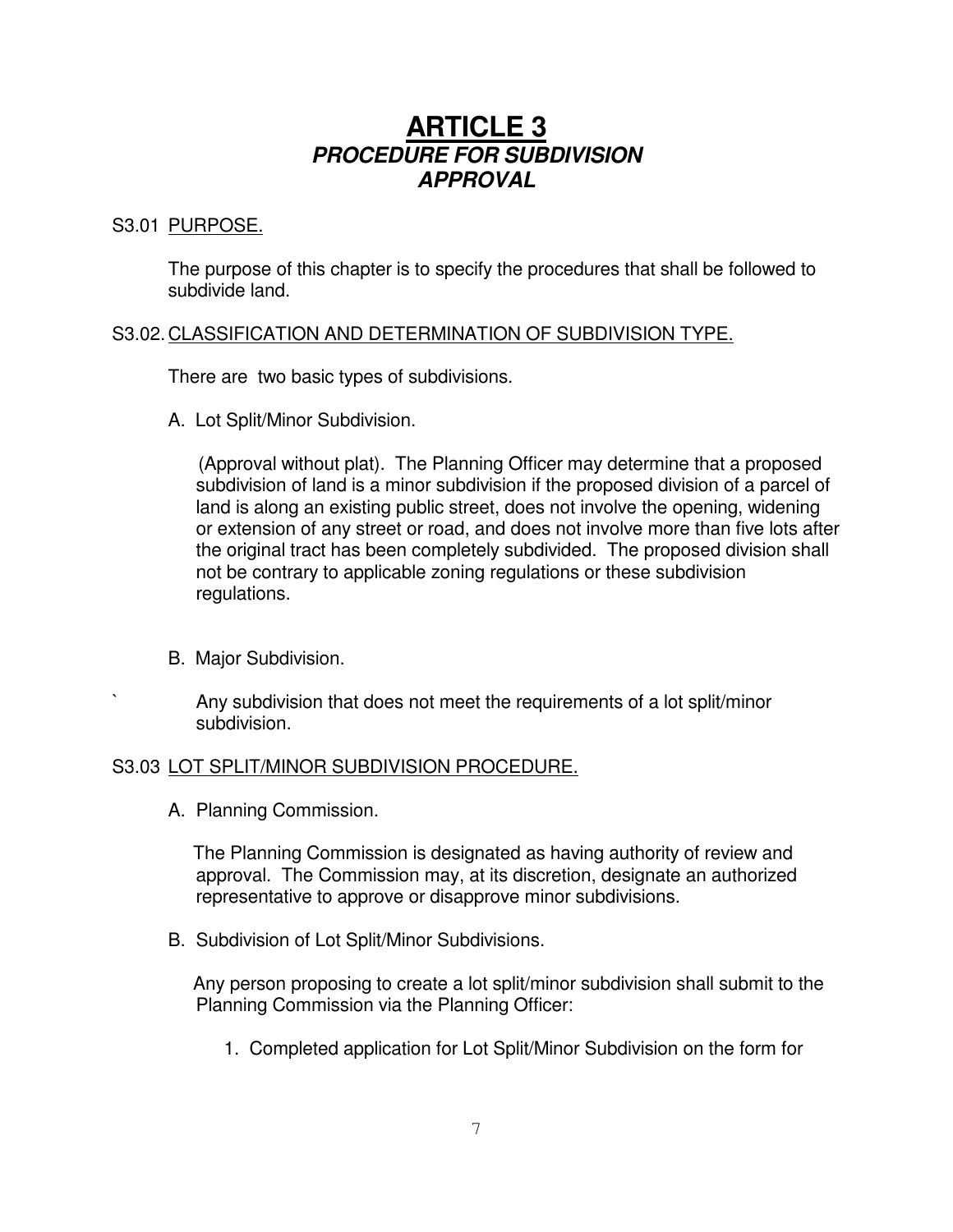# **ARTICLE 3** *PROCEDURE FOR SUBDIVISION APPROVAL*

# S3.01 PURPOSE.

The purpose of this chapter is to specify the procedures that shall be followed to subdivide land.

# S3.02.CLASSIFICATION AND DETERMINATION OF SUBDIVISION TYPE.

There are two basic types of subdivisions.

A. Lot Split/Minor Subdivision.

(Approval without plat). The Planning Officer may determine that a proposed subdivision of land is a minor subdivision if the proposed division of a parcel of land is along an existing public street, does not involve the opening, widening or extension of any street or road, and does not involve more than five lots after the original tract has been completely subdivided. The proposed division shall not be contrary to applicable zoning regulations or these subdivision regulations.

B. Major Subdivision.

` Any subdivision that does not meet the requirements of a lot split/minor subdivision.

# S3.03 LOT SPLIT/MINOR SUBDIVISION PROCEDURE.

A. Planning Commission.

The Planning Commission is designated as having authority of review and approval. The Commission may, at its discretion, designate an authorized representative to approve or disapprove minor subdivisions.

B. Subdivision of Lot Split/Minor Subdivisions.

Any person proposing to create a lot split/minor subdivision shall submit to the Planning Commission via the Planning Officer:

1. Completed application for Lot Split/Minor Subdivision on the form for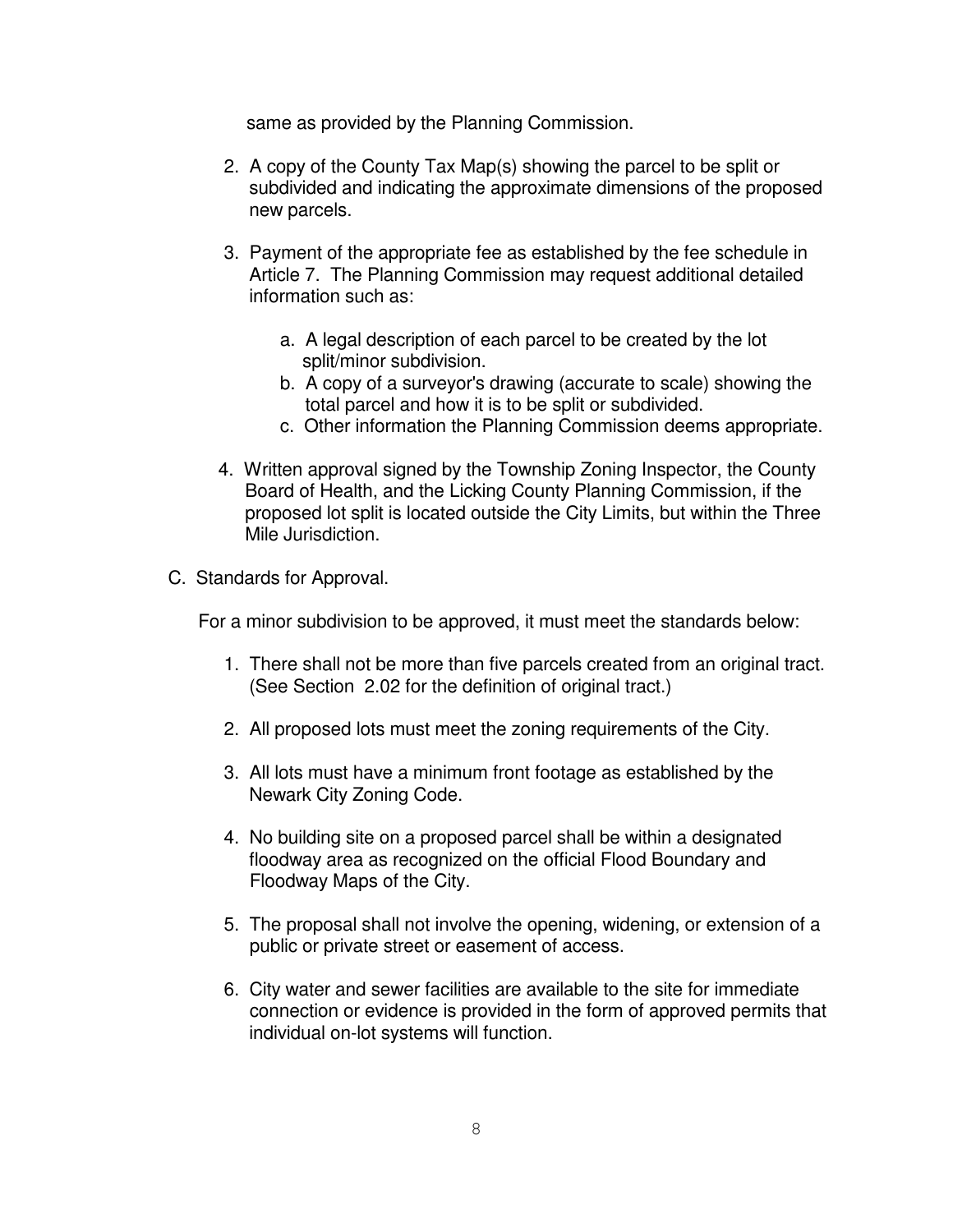same as provided by the Planning Commission.

- 2. A copy of the County Tax Map(s) showing the parcel to be split or subdivided and indicating the approximate dimensions of the proposed new parcels.
- 3. Payment of the appropriate fee as established by the fee schedule in Article 7. The Planning Commission may request additional detailed information such as:
	- a. A legal description of each parcel to be created by the lot split/minor subdivision.
	- b. A copy of a surveyor's drawing (accurate to scale) showing the total parcel and how it is to be split or subdivided.
	- c. Other information the Planning Commission deems appropriate.
- 4. Written approval signed by the Township Zoning Inspector, the County Board of Health, and the Licking County Planning Commission, if the proposed lot split is located outside the City Limits, but within the Three Mile Jurisdiction.
- C. Standards for Approval.

For a minor subdivision to be approved, it must meet the standards below:

- 1. There shall not be more than five parcels created from an original tract. (See Section 2.02 for the definition of original tract.)
- 2. All proposed lots must meet the zoning requirements of the City.
- 3. All lots must have a minimum front footage as established by the Newark City Zoning Code.
- 4. No building site on a proposed parcel shall be within a designated floodway area as recognized on the official Flood Boundary and Floodway Maps of the City.
- 5. The proposal shall not involve the opening, widening, or extension of a public or private street or easement of access.
- 6. City water and sewer facilities are available to the site for immediate connection or evidence is provided in the form of approved permits that individual on-lot systems will function.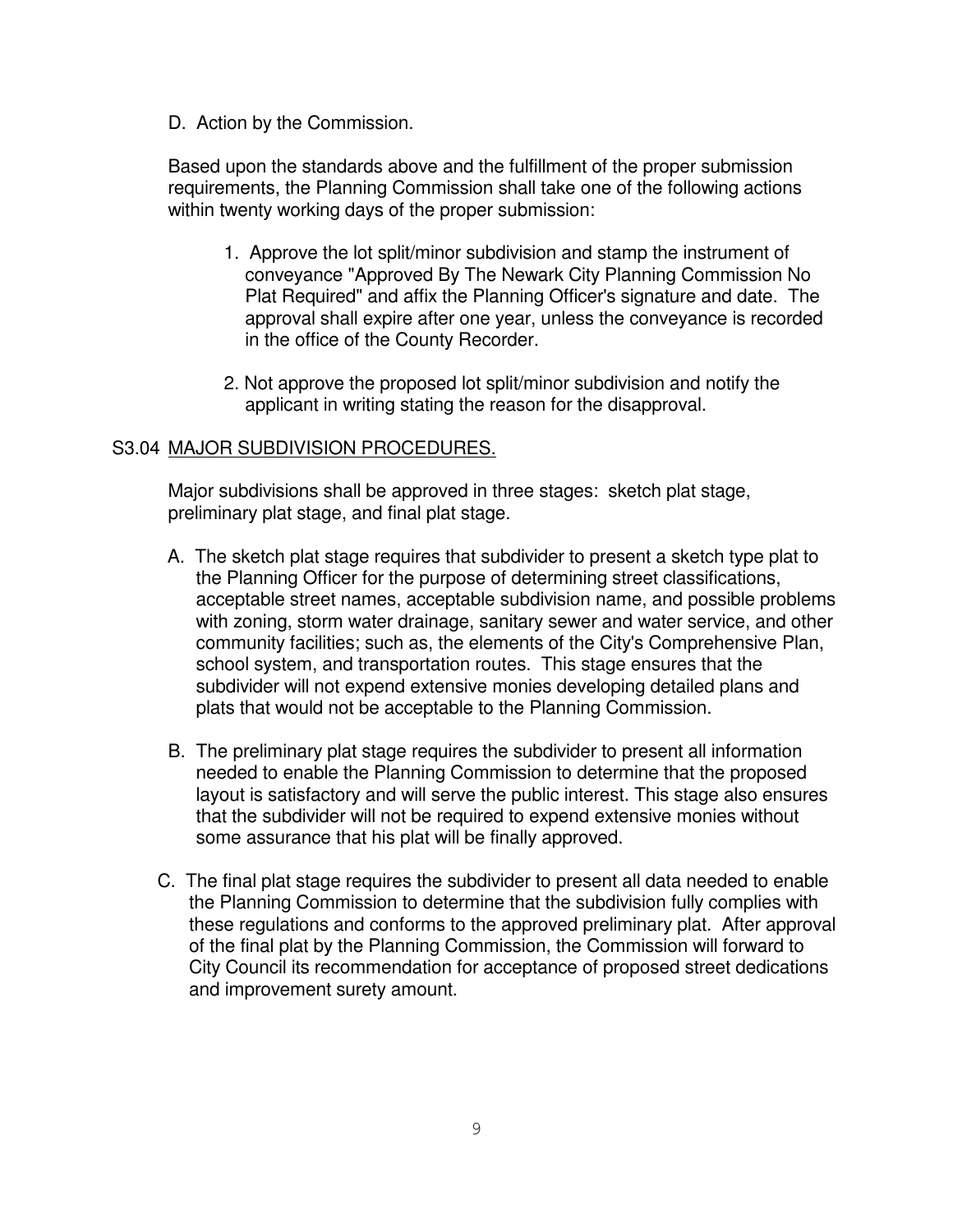D. Action by the Commission.

Based upon the standards above and the fulfillment of the proper submission requirements, the Planning Commission shall take one of the following actions within twenty working days of the proper submission:

- 1. Approve the lot split/minor subdivision and stamp the instrument of conveyance "Approved By The Newark City Planning Commission No Plat Required" and affix the Planning Officer's signature and date. The approval shall expire after one year, unless the conveyance is recorded in the office of the County Recorder.
- 2. Not approve the proposed lot split/minor subdivision and notify the applicant in writing stating the reason for the disapproval.

# S3.04 MAJOR SUBDIVISION PROCEDURES.

Major subdivisions shall be approved in three stages: sketch plat stage, preliminary plat stage, and final plat stage.

- A. The sketch plat stage requires that subdivider to present a sketch type plat to the Planning Officer for the purpose of determining street classifications, acceptable street names, acceptable subdivision name, and possible problems with zoning, storm water drainage, sanitary sewer and water service, and other community facilities; such as, the elements of the City's Comprehensive Plan, school system, and transportation routes. This stage ensures that the subdivider will not expend extensive monies developing detailed plans and plats that would not be acceptable to the Planning Commission.
- B. The preliminary plat stage requires the subdivider to present all information needed to enable the Planning Commission to determine that the proposed layout is satisfactory and will serve the public interest. This stage also ensures that the subdivider will not be required to expend extensive monies without some assurance that his plat will be finally approved.
- C. The final plat stage requires the subdivider to present all data needed to enable the Planning Commission to determine that the subdivision fully complies with these regulations and conforms to the approved preliminary plat. After approval of the final plat by the Planning Commission, the Commission will forward to City Council its recommendation for acceptance of proposed street dedications and improvement surety amount.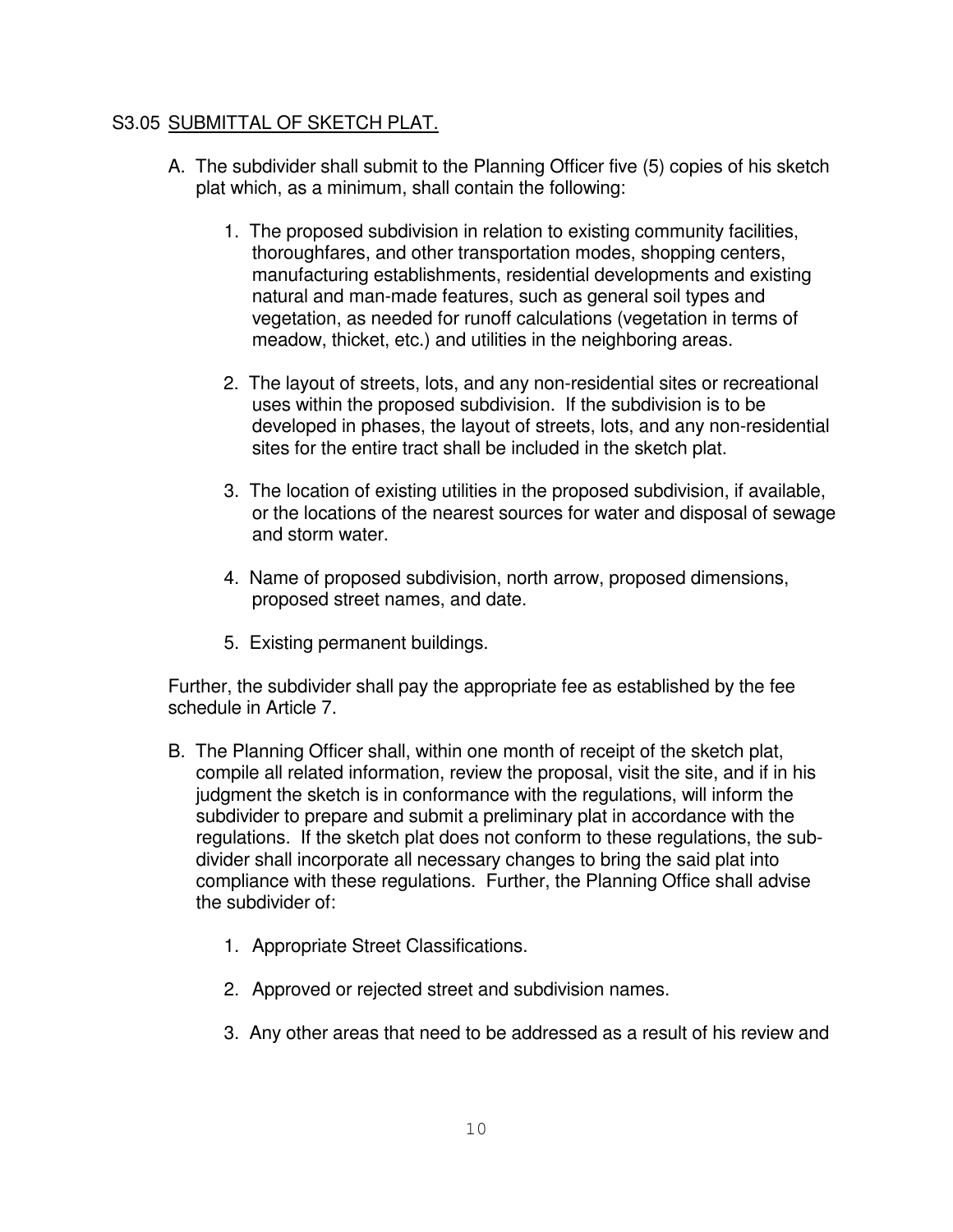# S3.05 SUBMITTAL OF SKETCH PLAT.

- A. The subdivider shall submit to the Planning Officer five (5) copies of his sketch plat which, as a minimum, shall contain the following:
	- 1. The proposed subdivision in relation to existing community facilities, thoroughfares, and other transportation modes, shopping centers, manufacturing establishments, residential developments and existing natural and man-made features, such as general soil types and vegetation, as needed for runoff calculations (vegetation in terms of meadow, thicket, etc.) and utilities in the neighboring areas.
	- 2. The layout of streets, lots, and any non-residential sites or recreational uses within the proposed subdivision. If the subdivision is to be developed in phases, the layout of streets, lots, and any non-residential sites for the entire tract shall be included in the sketch plat.
	- 3. The location of existing utilities in the proposed subdivision, if available, or the locations of the nearest sources for water and disposal of sewage and storm water.
	- 4. Name of proposed subdivision, north arrow, proposed dimensions, proposed street names, and date.
	- 5. Existing permanent buildings.

Further, the subdivider shall pay the appropriate fee as established by the fee schedule in Article 7.

- B. The Planning Officer shall, within one month of receipt of the sketch plat, compile all related information, review the proposal, visit the site, and if in his judgment the sketch is in conformance with the regulations, will inform the subdivider to prepare and submit a preliminary plat in accordance with the regulations. If the sketch plat does not conform to these regulations, the subdivider shall incorporate all necessary changes to bring the said plat into compliance with these regulations. Further, the Planning Office shall advise the subdivider of:
	- 1. Appropriate Street Classifications.
	- 2. Approved or rejected street and subdivision names.
	- 3. Any other areas that need to be addressed as a result of his review and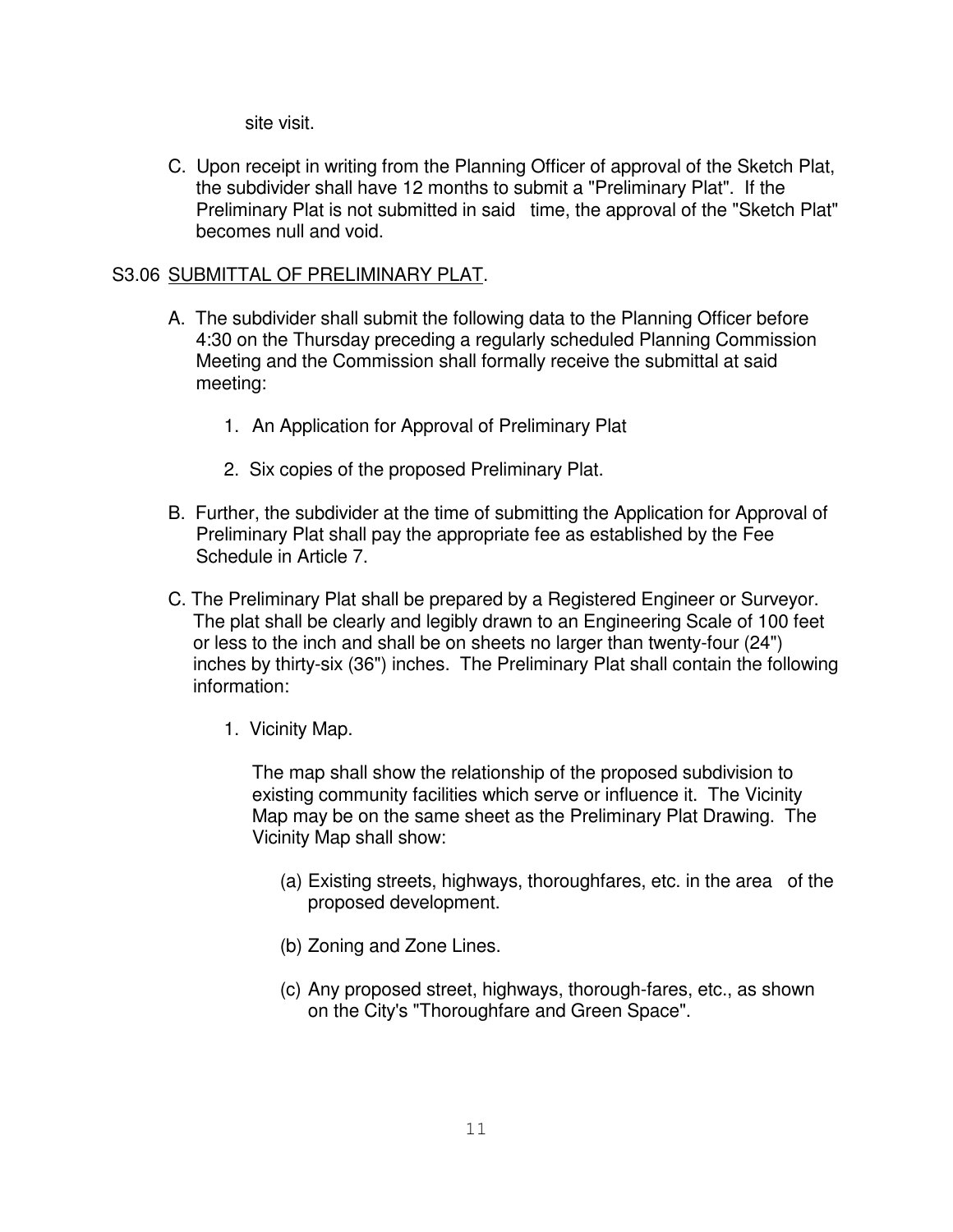site visit.

C. Upon receipt in writing from the Planning Officer of approval of the Sketch Plat, the subdivider shall have 12 months to submit a "Preliminary Plat". If the Preliminary Plat is not submitted in said time, the approval of the "Sketch Plat" becomes null and void.

# S3.06 SUBMITTAL OF PRELIMINARY PLAT.

- A. The subdivider shall submit the following data to the Planning Officer before 4:30 on the Thursday preceding a regularly scheduled Planning Commission Meeting and the Commission shall formally receive the submittal at said meeting:
	- 1. An Application for Approval of Preliminary Plat
	- 2. Six copies of the proposed Preliminary Plat.
- B. Further, the subdivider at the time of submitting the Application for Approval of Preliminary Plat shall pay the appropriate fee as established by the Fee Schedule in Article 7.
- C. The Preliminary Plat shall be prepared by a Registered Engineer or Surveyor. The plat shall be clearly and legibly drawn to an Engineering Scale of 100 feet or less to the inch and shall be on sheets no larger than twenty-four (24") inches by thirty-six (36") inches. The Preliminary Plat shall contain the following information:
	- 1. Vicinity Map.

The map shall show the relationship of the proposed subdivision to existing community facilities which serve or influence it. The Vicinity Map may be on the same sheet as the Preliminary Plat Drawing. The Vicinity Map shall show:

- (a) Existing streets, highways, thoroughfares, etc. in the area of the proposed development.
- (b) Zoning and Zone Lines.
- (c) Any proposed street, highways, thorough-fares, etc., as shown on the City's "Thoroughfare and Green Space".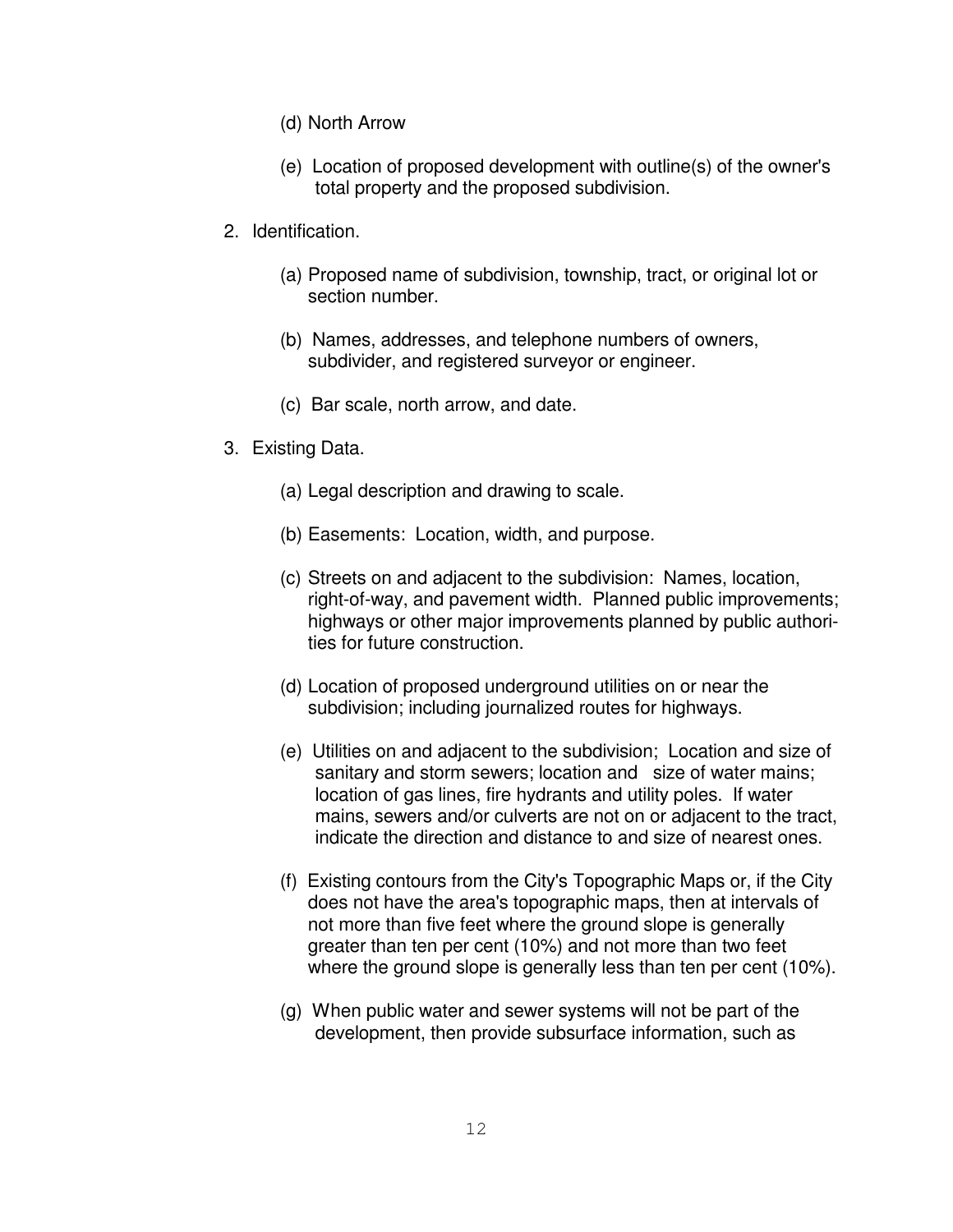- (d) North Arrow
- (e) Location of proposed development with outline(s) of the owner's total property and the proposed subdivision.
- 2. Identification.
	- (a) Proposed name of subdivision, township, tract, or original lot or section number.
	- (b) Names, addresses, and telephone numbers of owners, subdivider, and registered surveyor or engineer.
	- (c) Bar scale, north arrow, and date.
- 3. Existing Data.
	- (a) Legal description and drawing to scale.
	- (b) Easements: Location, width, and purpose.
	- (c) Streets on and adjacent to the subdivision: Names, location, right-of-way, and pavement width. Planned public improvements; highways or other major improvements planned by public authorities for future construction.
	- (d) Location of proposed underground utilities on or near the subdivision; including journalized routes for highways.
	- (e) Utilities on and adjacent to the subdivision; Location and size of sanitary and storm sewers; location and size of water mains; location of gas lines, fire hydrants and utility poles. If water mains, sewers and/or culverts are not on or adjacent to the tract, indicate the direction and distance to and size of nearest ones.
	- (f) Existing contours from the City's Topographic Maps or, if the City does not have the area's topographic maps, then at intervals of not more than five feet where the ground slope is generally greater than ten per cent (10%) and not more than two feet where the ground slope is generally less than ten per cent (10%).
	- (g) When public water and sewer systems will not be part of the development, then provide subsurface information, such as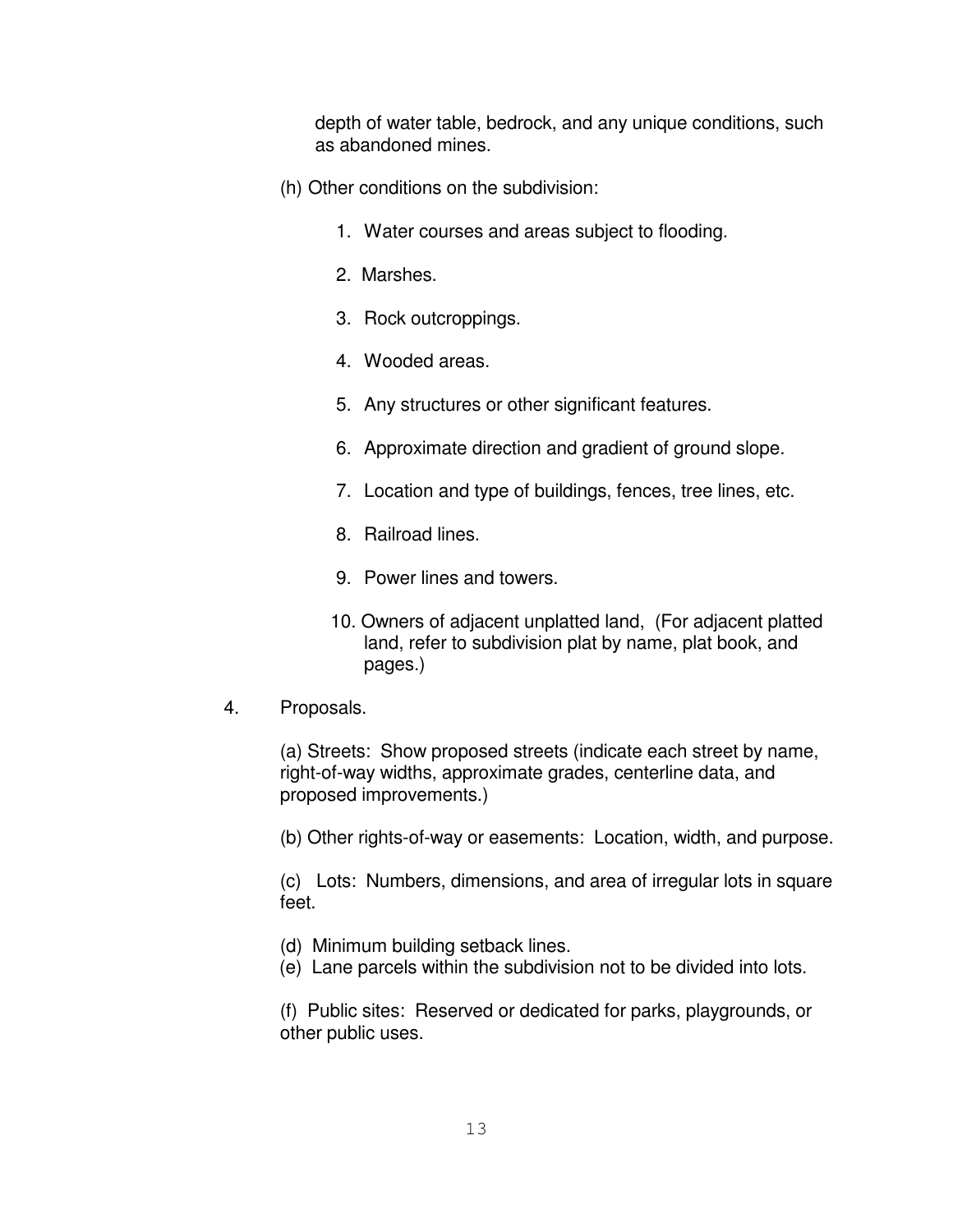depth of water table, bedrock, and any unique conditions, such as abandoned mines.

- (h) Other conditions on the subdivision:
	- 1. Water courses and areas subject to flooding.
	- 2. Marshes.
	- 3. Rock outcroppings.
	- 4. Wooded areas.
	- 5. Any structures or other significant features.
	- 6. Approximate direction and gradient of ground slope.
	- 7. Location and type of buildings, fences, tree lines, etc.
	- 8. Railroad lines.
	- 9. Power lines and towers.
	- 10. Owners of adjacent unplatted land, (For adjacent platted land, refer to subdivision plat by name, plat book, and pages.)
- 4. Proposals.

(a) Streets: Show proposed streets (indicate each street by name, right-of-way widths, approximate grades, centerline data, and proposed improvements.)

(b) Other rights-of-way or easements: Location, width, and purpose.

(c) Lots: Numbers, dimensions, and area of irregular lots in square feet.

- (d) Minimum building setback lines.
- (e) Lane parcels within the subdivision not to be divided into lots.

(f) Public sites: Reserved or dedicated for parks, playgrounds, or other public uses.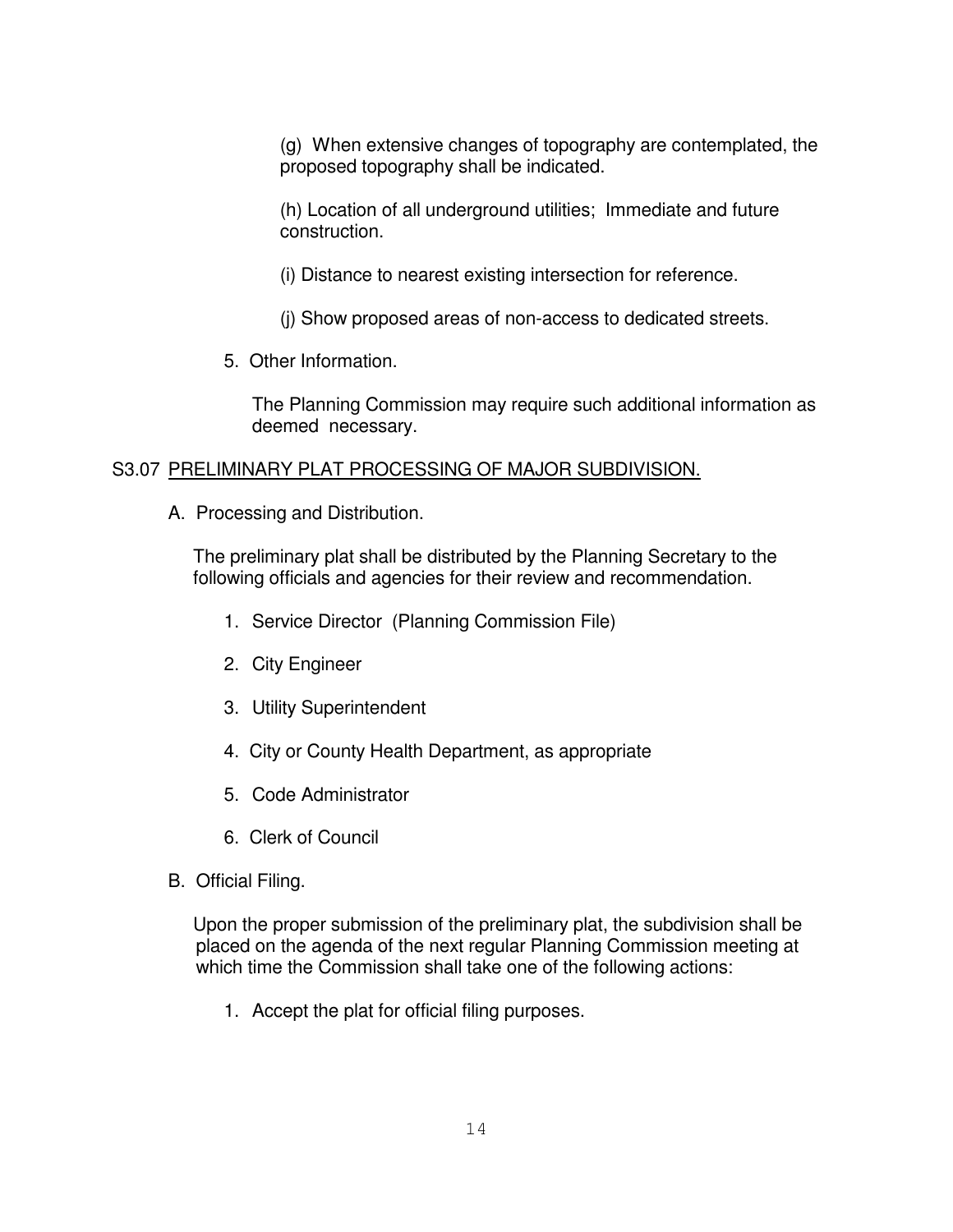(g) When extensive changes of topography are contemplated, the proposed topography shall be indicated.

(h) Location of all underground utilities; Immediate and future construction.

(i) Distance to nearest existing intersection for reference.

(j) Show proposed areas of non-access to dedicated streets.

5. Other Information.

The Planning Commission may require such additional information as deemed necessary.

# S3.07 PRELIMINARY PLAT PROCESSING OF MAJOR SUBDIVISION.

A. Processing and Distribution.

The preliminary plat shall be distributed by the Planning Secretary to the following officials and agencies for their review and recommendation.

- 1. Service Director (Planning Commission File)
- 2. City Engineer
- 3. Utility Superintendent
- 4. City or County Health Department, as appropriate
- 5. Code Administrator
- 6. Clerk of Council
- B. Official Filing.

Upon the proper submission of the preliminary plat, the subdivision shall be placed on the agenda of the next regular Planning Commission meeting at which time the Commission shall take one of the following actions:

1. Accept the plat for official filing purposes.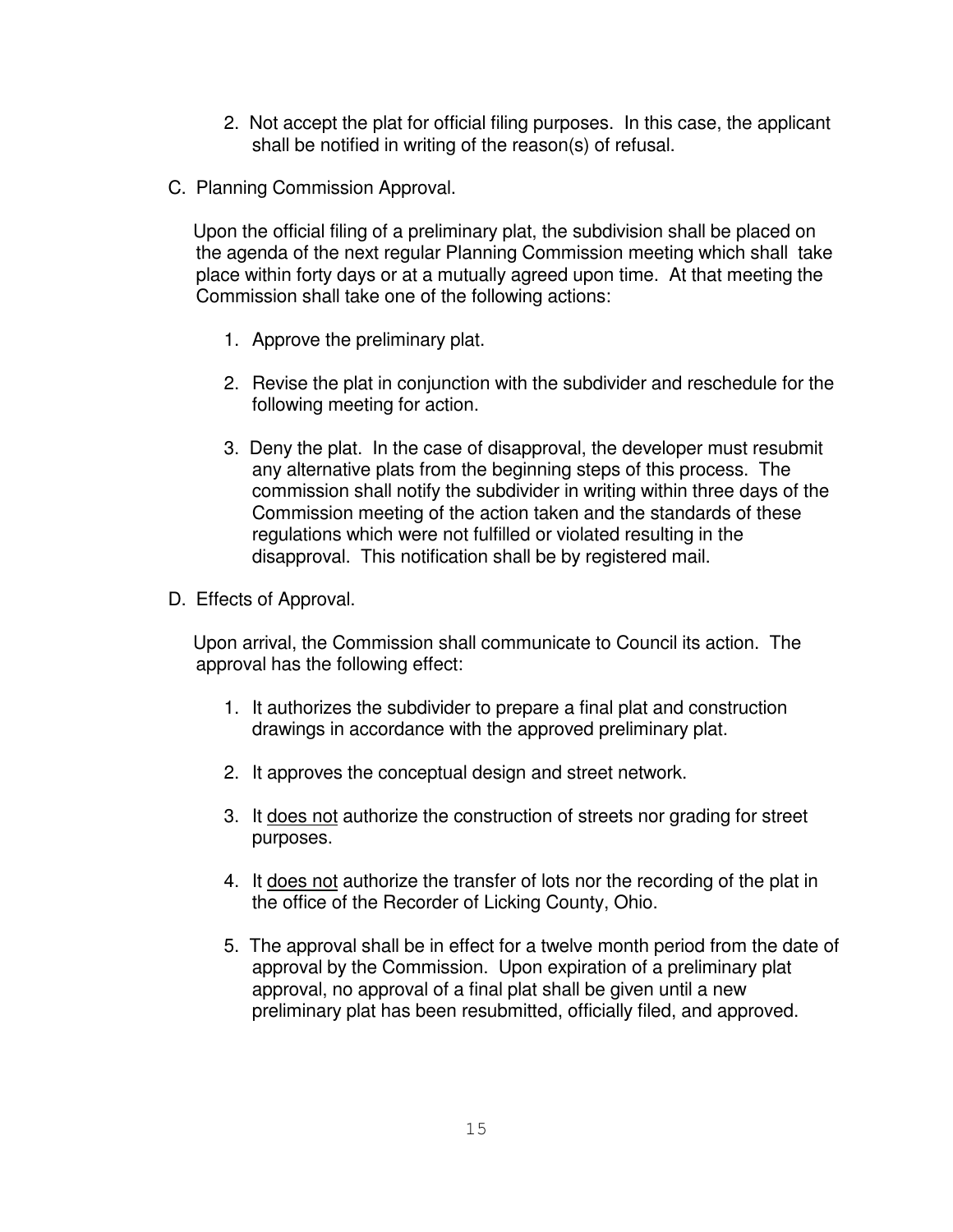- 2. Not accept the plat for official filing purposes. In this case, the applicant shall be notified in writing of the reason(s) of refusal.
- C. Planning Commission Approval.

Upon the official filing of a preliminary plat, the subdivision shall be placed on the agenda of the next regular Planning Commission meeting which shall take place within forty days or at a mutually agreed upon time. At that meeting the Commission shall take one of the following actions:

- 1. Approve the preliminary plat.
- 2. Revise the plat in conjunction with the subdivider and reschedule for the following meeting for action.
- 3. Deny the plat. In the case of disapproval, the developer must resubmit any alternative plats from the beginning steps of this process. The commission shall notify the subdivider in writing within three days of the Commission meeting of the action taken and the standards of these regulations which were not fulfilled or violated resulting in the disapproval. This notification shall be by registered mail.
- D. Effects of Approval.

Upon arrival, the Commission shall communicate to Council its action. The approval has the following effect:

- 1. It authorizes the subdivider to prepare a final plat and construction drawings in accordance with the approved preliminary plat.
- 2. It approves the conceptual design and street network.
- 3. It does not authorize the construction of streets nor grading for street purposes.
- 4. It does not authorize the transfer of lots nor the recording of the plat in the office of the Recorder of Licking County, Ohio.
- 5. The approval shall be in effect for a twelve month period from the date of approval by the Commission. Upon expiration of a preliminary plat approval, no approval of a final plat shall be given until a new preliminary plat has been resubmitted, officially filed, and approved.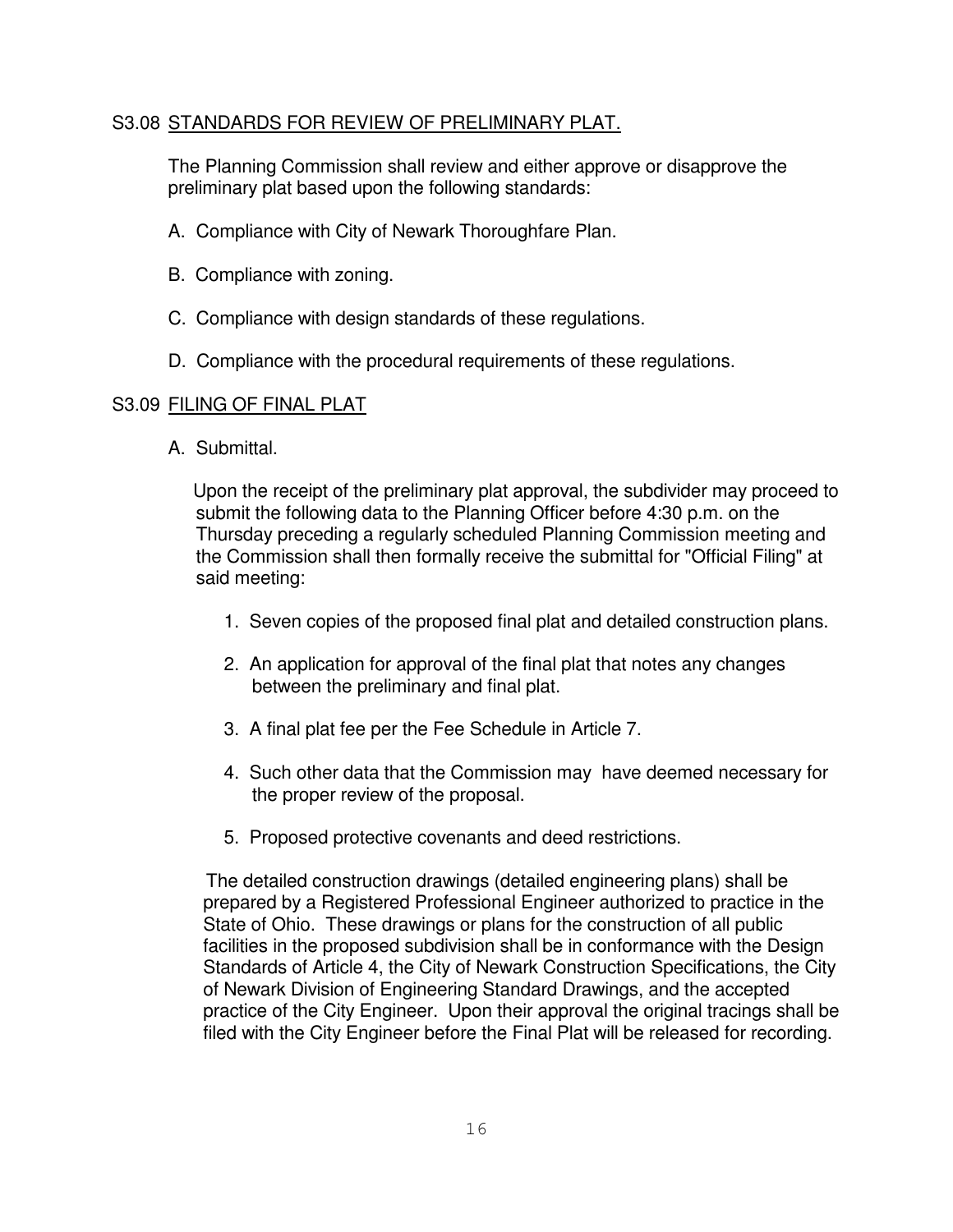# S3.08 STANDARDS FOR REVIEW OF PRELIMINARY PLAT.

The Planning Commission shall review and either approve or disapprove the preliminary plat based upon the following standards:

- A. Compliance with City of Newark Thoroughfare Plan.
- B. Compliance with zoning.
- C. Compliance with design standards of these regulations.
- D. Compliance with the procedural requirements of these regulations.

# S3.09 FILING OF FINAL PLAT

A. Submittal.

Upon the receipt of the preliminary plat approval, the subdivider may proceed to submit the following data to the Planning Officer before 4:30 p.m. on the Thursday preceding a regularly scheduled Planning Commission meeting and the Commission shall then formally receive the submittal for "Official Filing" at said meeting:

- 1. Seven copies of the proposed final plat and detailed construction plans.
- 2. An application for approval of the final plat that notes any changes between the preliminary and final plat.
- 3. A final plat fee per the Fee Schedule in Article 7.
- 4. Such other data that the Commission may have deemed necessary for the proper review of the proposal.
- 5. Proposed protective covenants and deed restrictions.

The detailed construction drawings (detailed engineering plans) shall be prepared by a Registered Professional Engineer authorized to practice in the State of Ohio. These drawings or plans for the construction of all public facilities in the proposed subdivision shall be in conformance with the Design Standards of Article 4, the City of Newark Construction Specifications, the City of Newark Division of Engineering Standard Drawings, and the accepted practice of the City Engineer. Upon their approval the original tracings shall be filed with the City Engineer before the Final Plat will be released for recording.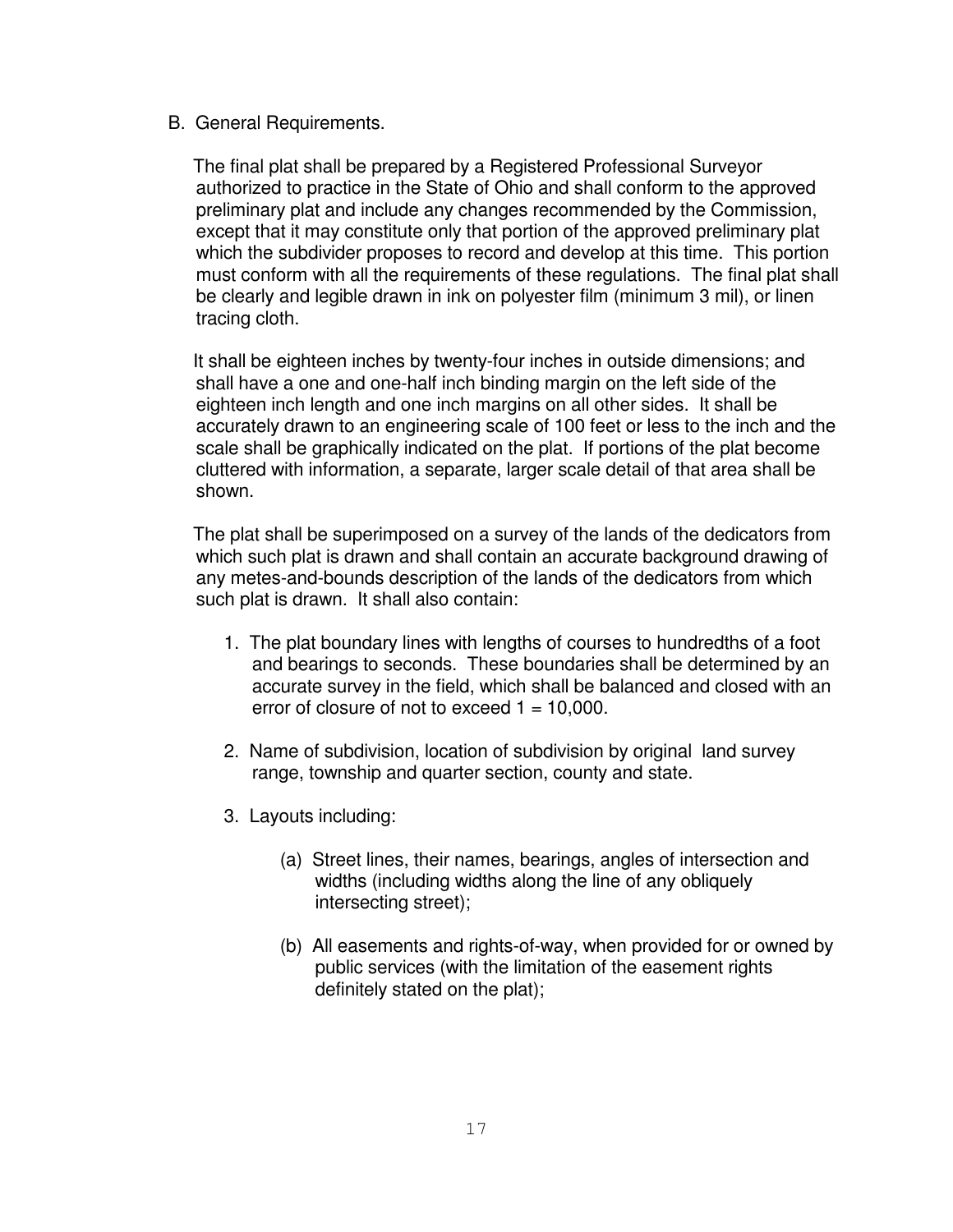B. General Requirements.

The final plat shall be prepared by a Registered Professional Surveyor authorized to practice in the State of Ohio and shall conform to the approved preliminary plat and include any changes recommended by the Commission, except that it may constitute only that portion of the approved preliminary plat which the subdivider proposes to record and develop at this time. This portion must conform with all the requirements of these regulations. The final plat shall be clearly and legible drawn in ink on polyester film (minimum 3 mil), or linen tracing cloth.

It shall be eighteen inches by twenty-four inches in outside dimensions; and shall have a one and one-half inch binding margin on the left side of the eighteen inch length and one inch margins on all other sides. It shall be accurately drawn to an engineering scale of 100 feet or less to the inch and the scale shall be graphically indicated on the plat. If portions of the plat become cluttered with information, a separate, larger scale detail of that area shall be shown.

The plat shall be superimposed on a survey of the lands of the dedicators from which such plat is drawn and shall contain an accurate background drawing of any metes-and-bounds description of the lands of the dedicators from which such plat is drawn. It shall also contain:

- 1. The plat boundary lines with lengths of courses to hundredths of a foot and bearings to seconds. These boundaries shall be determined by an accurate survey in the field, which shall be balanced and closed with an error of closure of not to exceed  $1 = 10,000$ .
- 2. Name of subdivision, location of subdivision by original land survey range, township and quarter section, county and state.
- 3. Layouts including:
	- (a) Street lines, their names, bearings, angles of intersection and widths (including widths along the line of any obliquely intersecting street);
	- (b) All easements and rights-of-way, when provided for or owned by public services (with the limitation of the easement rights definitely stated on the plat);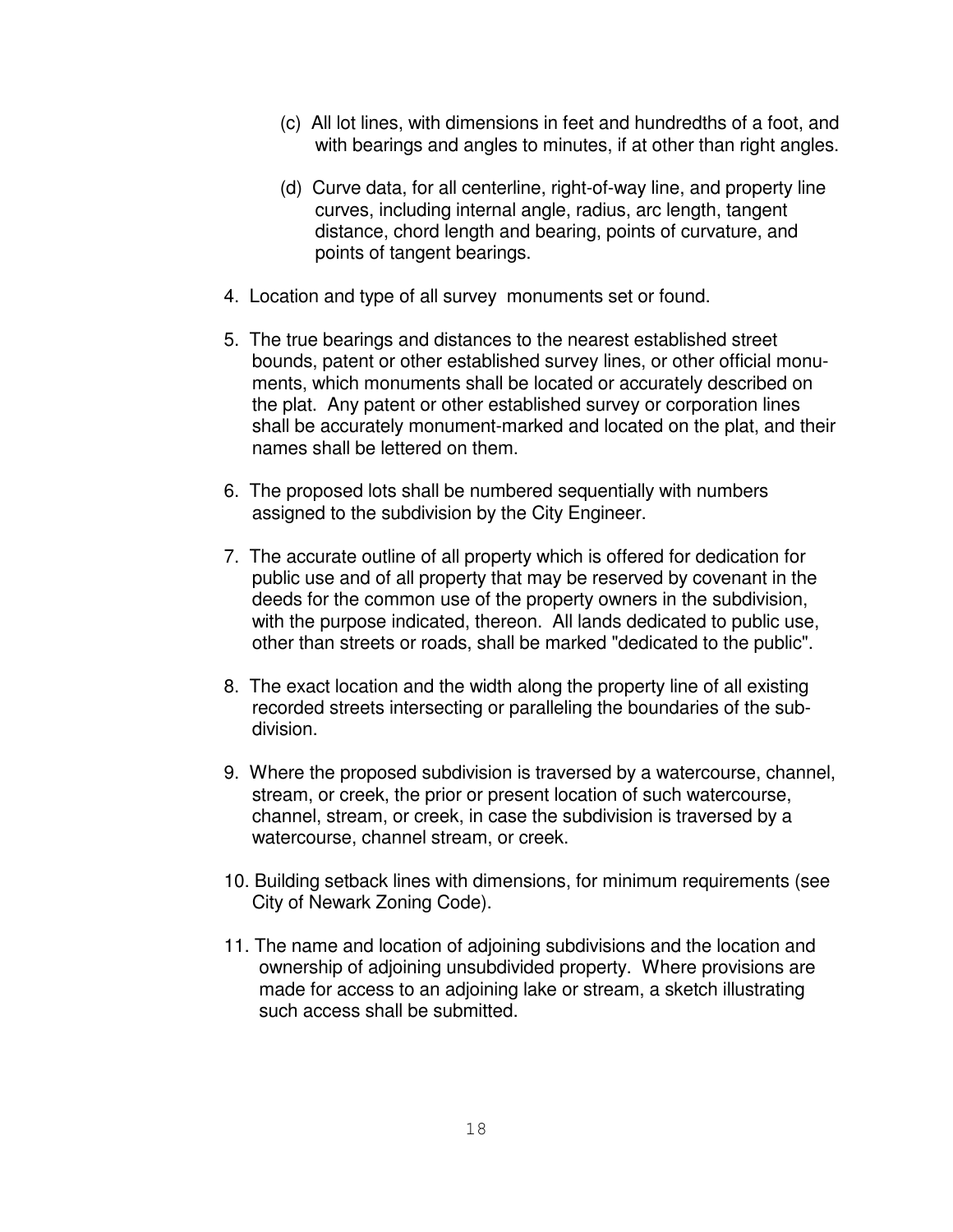- (c) All lot lines, with dimensions in feet and hundredths of a foot, and with bearings and angles to minutes, if at other than right angles.
- (d) Curve data, for all centerline, right-of-way line, and property line curves, including internal angle, radius, arc length, tangent distance, chord length and bearing, points of curvature, and points of tangent bearings.
- 4. Location and type of all survey monuments set or found.
- 5. The true bearings and distances to the nearest established street bounds, patent or other established survey lines, or other official monuments, which monuments shall be located or accurately described on the plat. Any patent or other established survey or corporation lines shall be accurately monument-marked and located on the plat, and their names shall be lettered on them.
- 6. The proposed lots shall be numbered sequentially with numbers assigned to the subdivision by the City Engineer.
- 7. The accurate outline of all property which is offered for dedication for public use and of all property that may be reserved by covenant in the deeds for the common use of the property owners in the subdivision, with the purpose indicated, thereon. All lands dedicated to public use, other than streets or roads, shall be marked "dedicated to the public".
- 8. The exact location and the width along the property line of all existing recorded streets intersecting or paralleling the boundaries of the subdivision.
- 9. Where the proposed subdivision is traversed by a watercourse, channel, stream, or creek, the prior or present location of such watercourse, channel, stream, or creek, in case the subdivision is traversed by a watercourse, channel stream, or creek.
- 10. Building setback lines with dimensions, for minimum requirements (see City of Newark Zoning Code).
- 11. The name and location of adjoining subdivisions and the location and ownership of adjoining unsubdivided property. Where provisions are made for access to an adjoining lake or stream, a sketch illustrating such access shall be submitted.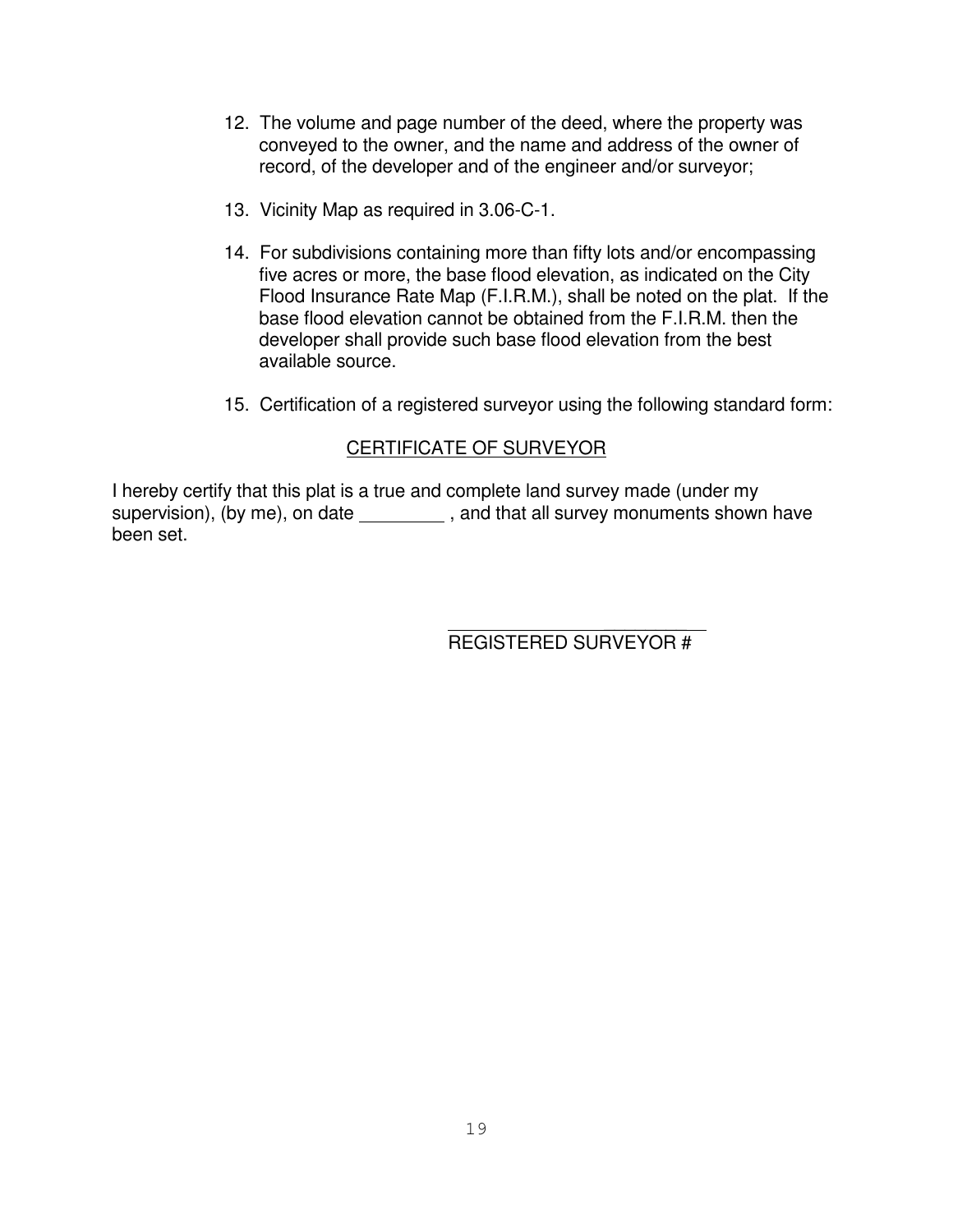- 12. The volume and page number of the deed, where the property was conveyed to the owner, and the name and address of the owner of record, of the developer and of the engineer and/or surveyor;
- 13. Vicinity Map as required in 3.06-C-1.
- 14. For subdivisions containing more than fifty lots and/or encompassing five acres or more, the base flood elevation, as indicated on the City Flood Insurance Rate Map (F.I.R.M.), shall be noted on the plat. If the base flood elevation cannot be obtained from the F.I.R.M. then the developer shall provide such base flood elevation from the best available source.
- 15. Certification of a registered surveyor using the following standard form:

# CERTIFICATE OF SURVEYOR

I hereby certify that this plat is a true and complete land survey made (under my supervision), (by me), on date \_\_\_\_\_\_\_\_\_\_\_, and that all survey monuments shown have been set.

> $\overline{\phantom{a}}$ REGISTERED SURVEYOR #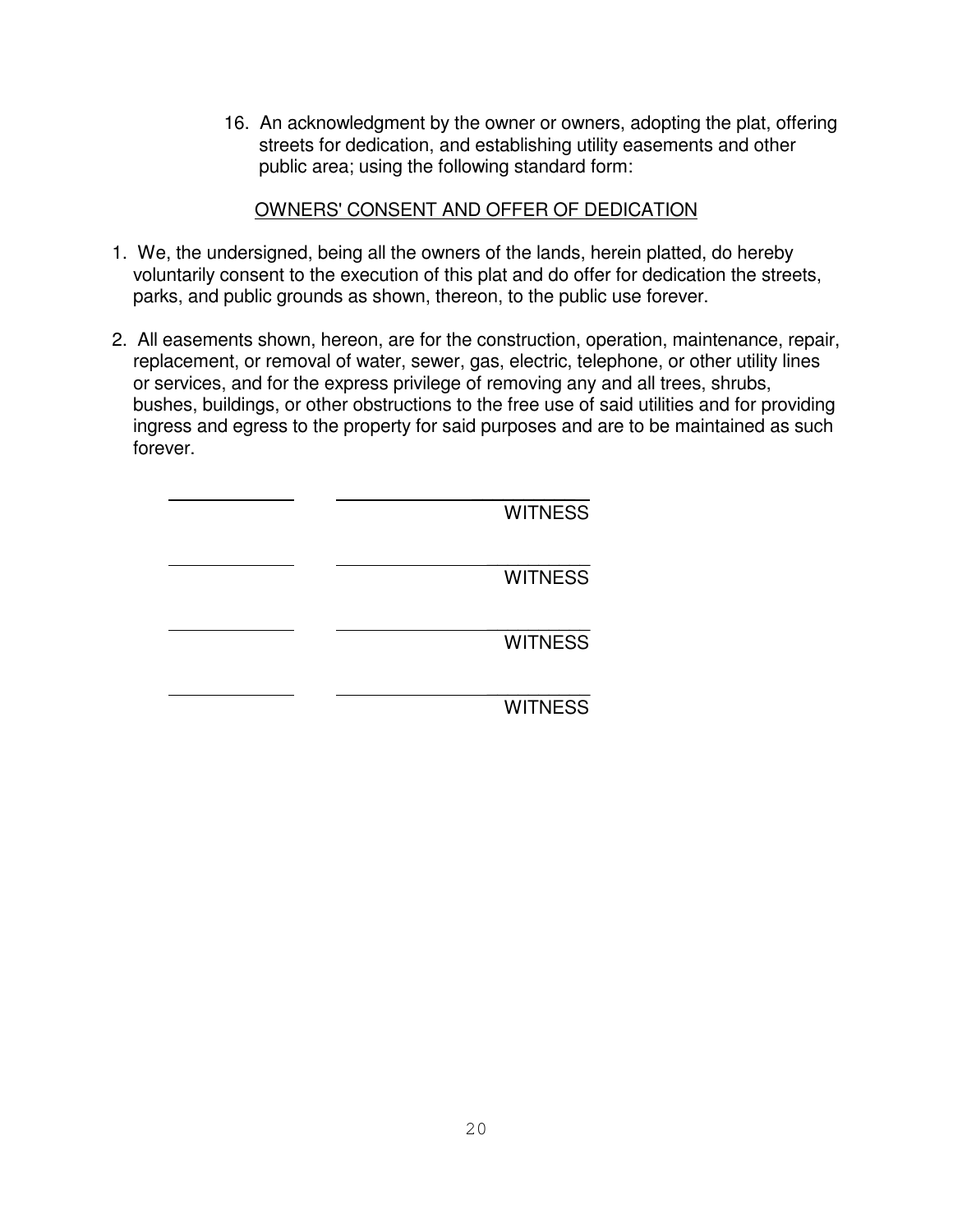16. An acknowledgment by the owner or owners, adopting the plat, offering streets for dedication, and establishing utility easements and other public area; using the following standard form:

# OWNERS' CONSENT AND OFFER OF DEDICATION

- 1. We, the undersigned, being all the owners of the lands, herein platted, do hereby voluntarily consent to the execution of this plat and do offer for dedication the streets, parks, and public grounds as shown, thereon, to the public use forever.
- 2. All easements shown, hereon, are for the construction, operation, maintenance, repair, replacement, or removal of water, sewer, gas, electric, telephone, or other utility lines or services, and for the express privilege of removing any and all trees, shrubs, bushes, buildings, or other obstructions to the free use of said utilities and for providing ingress and egress to the property for said purposes and are to be maintained as such forever.

| <b>WITNESS</b> |
|----------------|
| <b>WITNESS</b> |
| <b>WITNESS</b> |
| <b>WITNESS</b> |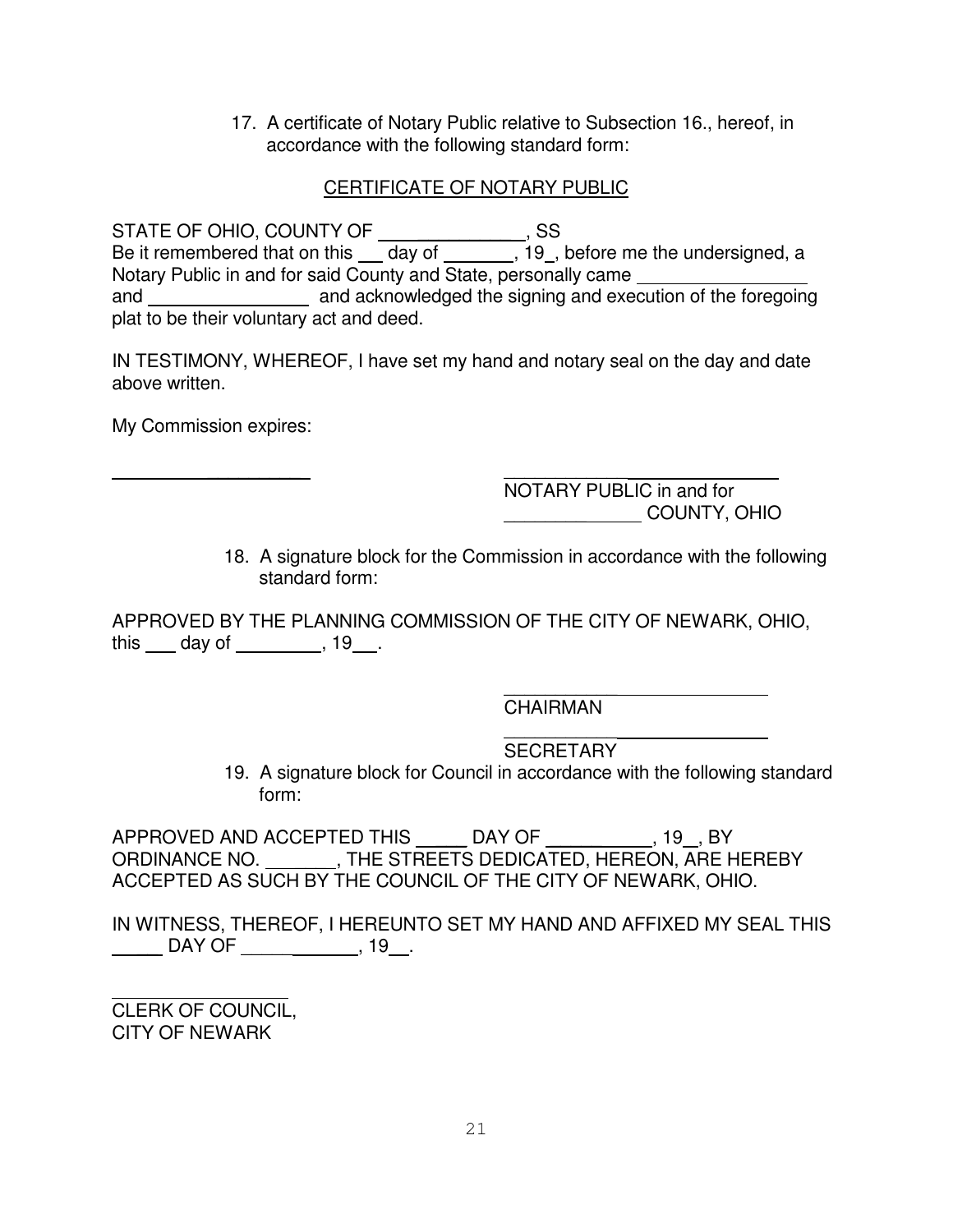17. A certificate of Notary Public relative to Subsection 16., hereof, in accordance with the following standard form:

# CERTIFICATE OF NOTARY PUBLIC

STATE OF OHIO, COUNTY OF \_\_\_\_\_\_\_\_\_ , SS Be it remembered that on this \_\_\_ day of \_\_\_\_\_\_\_, 19\_, before me the undersigned, a Notary Public in and for said County and State, personally came \_\_\_\_\_\_\_\_\_\_\_\_\_\_\_ and and acknowledged the signing and execution of the foregoing plat to be their voluntary act and deed.

IN TESTIMONY, WHEREOF, I have set my hand and notary seal on the day and date above written.

My Commission expires:

 $\overline{\phantom{a}}$  , and the contract of the contract of the contract of the contract of the contract of the contract of the contract of the contract of the contract of the contract of the contract of the contract of the contrac NOTARY PUBLIC in and for \_\_\_\_\_\_\_\_ COUNTY, OHIO

18. A signature block for the Commission in accordance with the following standard form:

APPROVED BY THE PLANNING COMMISSION OF THE CITY OF NEWARK, OHIO, this  $\_\_$  day of  $\_\_$ , 19 $\_\_$ .

> \_\_\_\_\_\_\_\_\_\_\_ CHAIRMAN

\_\_\_\_\_\_\_\_\_\_\_ SECRETARY

19. A signature block for Council in accordance with the following standard form:

APPROVED AND ACCEPTED THIS \_\_\_\_\_ DAY OF \_\_\_\_\_\_\_\_\_\_, 19 \_, BY ORDINANCE NO. \_\_\_\_\_\_\_, THE STREETS DEDICATED, HEREON, ARE HEREBY ACCEPTED AS SUCH BY THE COUNCIL OF THE CITY OF NEWARK, OHIO.

IN WITNESS, THEREOF, I HEREUNTO SET MY HAND AND AFFIXED MY SEAL THIS \_\_\_\_\_\_\_ DAY OF \_\_\_\_\_\_\_\_\_\_\_\_\_\_\_\_, 19\_\_\_.

CLERK OF COUNCIL, CITY OF NEWARK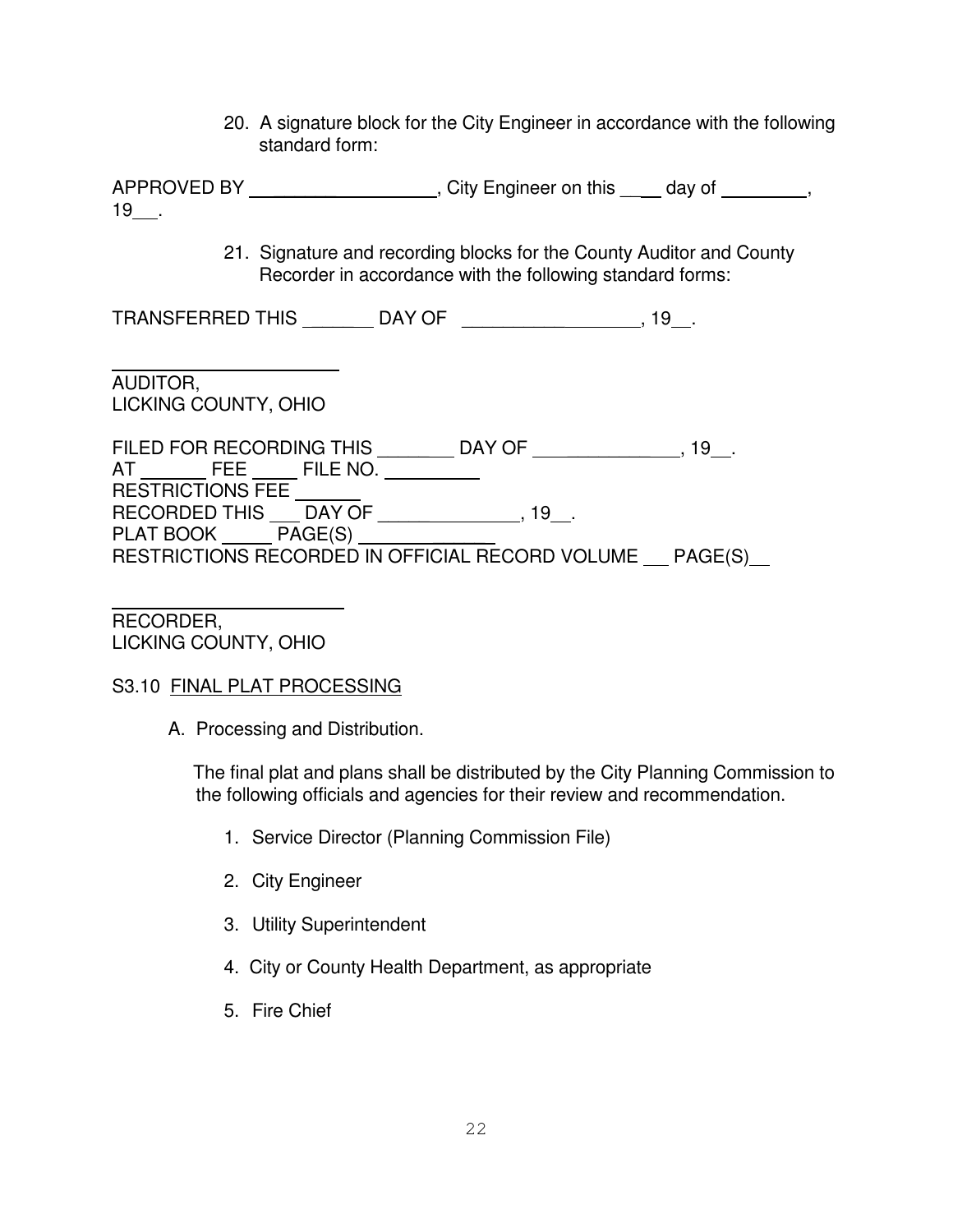20. A signature block for the City Engineer in accordance with the following standard form:

APPROVED BY \_\_\_\_\_\_\_\_\_\_\_\_\_\_\_\_\_\_\_, City Engineer on this \_\_\_\_ day of \_\_\_\_\_\_\_,  $19$ .

> 21. Signature and recording blocks for the County Auditor and County Recorder in accordance with the following standard forms:

TRANSFERRED THIS \_\_\_\_\_\_\_\_\_ DAY OF \_\_\_\_\_\_\_\_\_\_\_\_\_\_\_\_\_\_\_\_\_\_, 19\_\_.

AUDITOR, LICKING COUNTY, OHIO

FILED FOR RECORDING THIS \_\_\_\_\_\_\_\_ DAY OF \_\_\_\_\_\_\_\_\_\_\_\_\_\_\_, 19\_\_. AT FEE FILE NO. RESTRICTIONS FEE RECORDED THIS \_\_\_ DAY OF \_\_\_\_\_\_\_\_\_\_\_\_\_\_\_, 19\_\_. PLAT BOOK PAGE(S) RESTRICTIONS RECORDED IN OFFICIAL RECORD VOLUME PAGE(S)

RECORDER, LICKING COUNTY, OHIO

# S3.10 FINAL PLAT PROCESSING

A. Processing and Distribution.

The final plat and plans shall be distributed by the City Planning Commission to the following officials and agencies for their review and recommendation.

- 1. Service Director (Planning Commission File)
- 2. City Engineer
- 3. Utility Superintendent
- 4. City or County Health Department, as appropriate
- 5. Fire Chief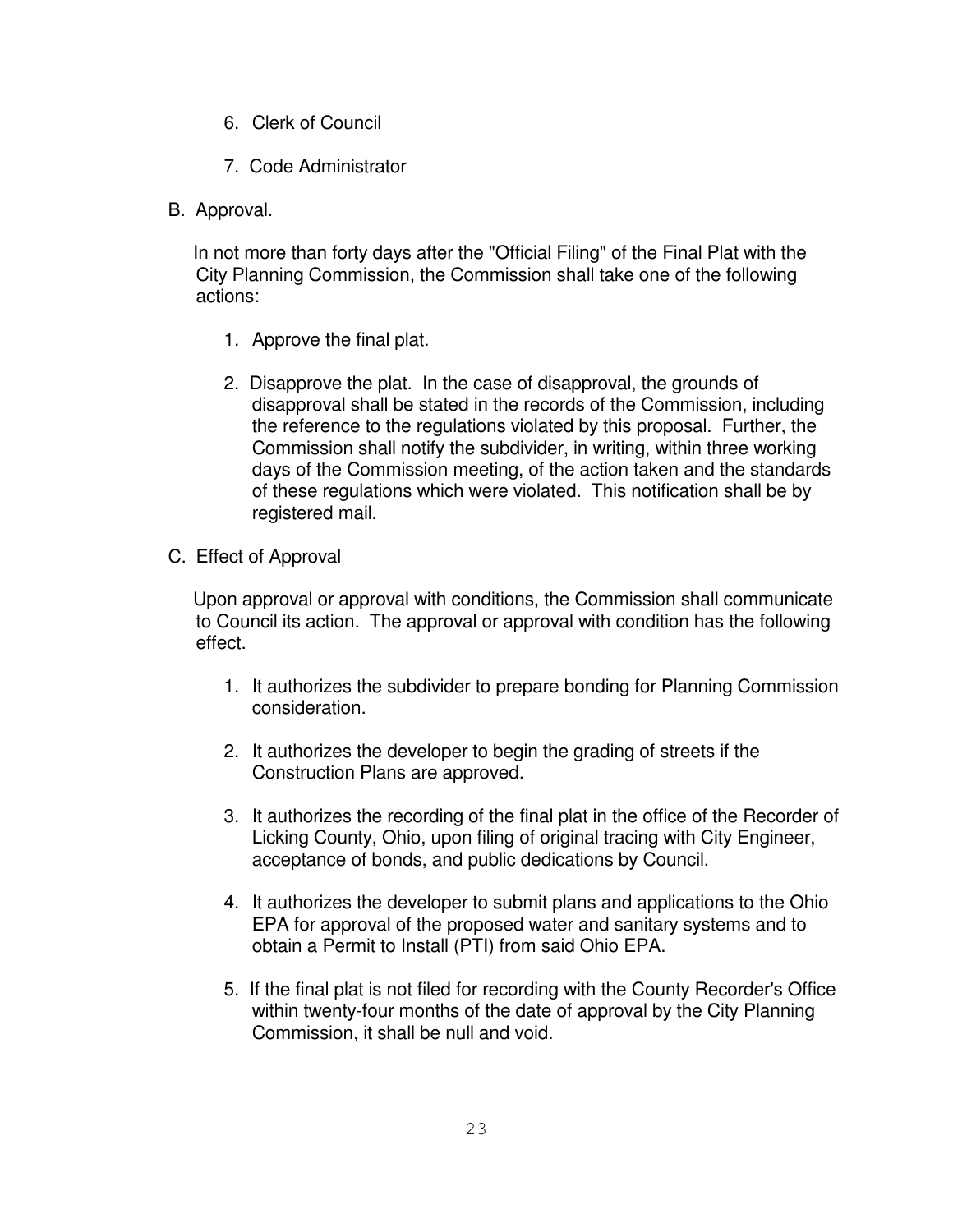- 6. Clerk of Council
- 7. Code Administrator
- B. Approval.

In not more than forty days after the "Official Filing" of the Final Plat with the City Planning Commission, the Commission shall take one of the following actions:

- 1. Approve the final plat.
- 2. Disapprove the plat. In the case of disapproval, the grounds of disapproval shall be stated in the records of the Commission, including the reference to the regulations violated by this proposal. Further, the Commission shall notify the subdivider, in writing, within three working days of the Commission meeting, of the action taken and the standards of these regulations which were violated. This notification shall be by registered mail.
- C. Effect of Approval

Upon approval or approval with conditions, the Commission shall communicate to Council its action. The approval or approval with condition has the following effect.

- 1. It authorizes the subdivider to prepare bonding for Planning Commission consideration.
- 2. It authorizes the developer to begin the grading of streets if the Construction Plans are approved.
- 3. It authorizes the recording of the final plat in the office of the Recorder of Licking County, Ohio, upon filing of original tracing with City Engineer, acceptance of bonds, and public dedications by Council.
- 4. It authorizes the developer to submit plans and applications to the Ohio EPA for approval of the proposed water and sanitary systems and to obtain a Permit to Install (PTI) from said Ohio EPA.
- 5. If the final plat is not filed for recording with the County Recorder's Office within twenty-four months of the date of approval by the City Planning Commission, it shall be null and void.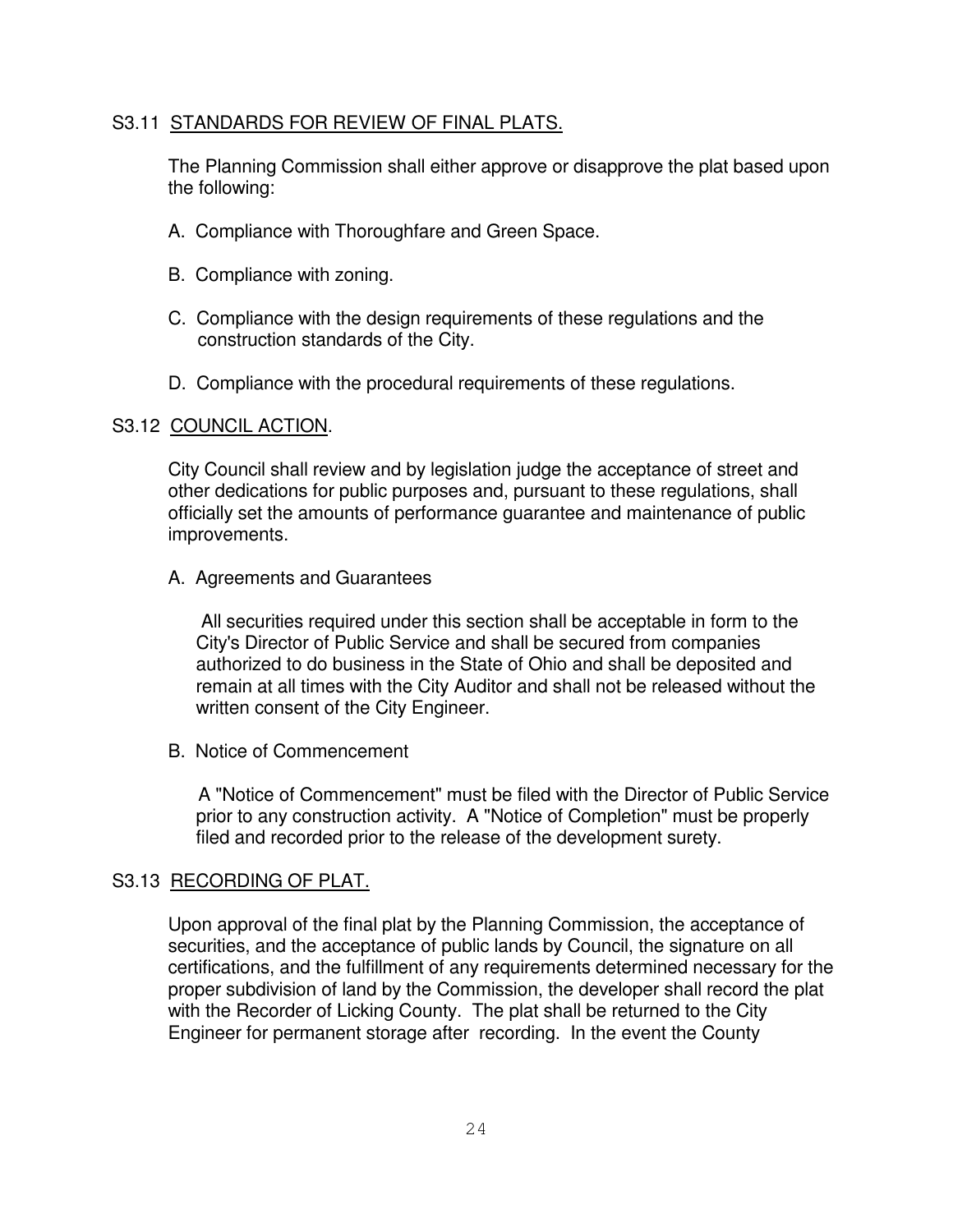#### S3.11 STANDARDS FOR REVIEW OF FINAL PLATS.

The Planning Commission shall either approve or disapprove the plat based upon the following:

- A. Compliance with Thoroughfare and Green Space.
- B. Compliance with zoning.
- C. Compliance with the design requirements of these regulations and the construction standards of the City.
- D. Compliance with the procedural requirements of these regulations.

#### S3.12 COUNCIL ACTION.

City Council shall review and by legislation judge the acceptance of street and other dedications for public purposes and, pursuant to these regulations, shall officially set the amounts of performance guarantee and maintenance of public improvements.

#### A. Agreements and Guarantees

All securities required under this section shall be acceptable in form to the City's Director of Public Service and shall be secured from companies authorized to do business in the State of Ohio and shall be deposited and remain at all times with the City Auditor and shall not be released without the written consent of the City Engineer.

B. Notice of Commencement

A "Notice of Commencement" must be filed with the Director of Public Service prior to any construction activity. A "Notice of Completion" must be properly filed and recorded prior to the release of the development surety.

# S3.13 RECORDING OF PLAT.

Upon approval of the final plat by the Planning Commission, the acceptance of securities, and the acceptance of public lands by Council, the signature on all certifications, and the fulfillment of any requirements determined necessary for the proper subdivision of land by the Commission, the developer shall record the plat with the Recorder of Licking County. The plat shall be returned to the City Engineer for permanent storage after recording. In the event the County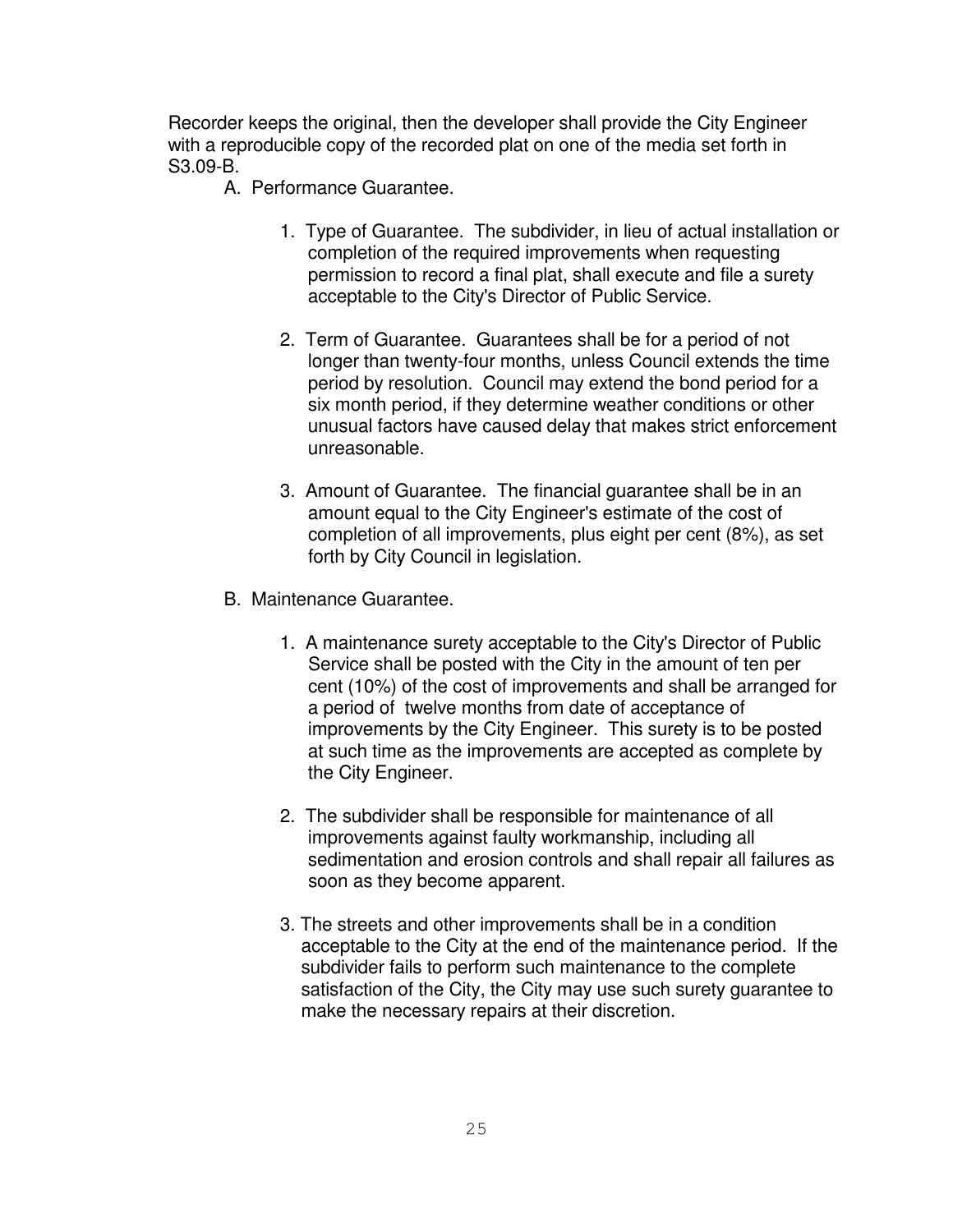Recorder keeps the original, then the developer shall provide the City Engineer with a reproducible copy of the recorded plat on one of the media set forth in S3.09-B.

- A. Performance Guarantee.
	- 1. Type of Guarantee. The subdivider, in lieu of actual installation or completion of the required improvements when requesting permission to record a final plat, shall execute and file a surety acceptable to the City's Director of Public Service.
	- 2. Term of Guarantee. Guarantees shall be for a period of not longer than twenty-four months, unless Council extends the time period by resolution. Council may extend the bond period for a six month period, if they determine weather conditions or other unusual factors have caused delay that makes strict enforcement unreasonable.
	- 3. Amount of Guarantee. The financial guarantee shall be in an amount equal to the City Engineer's estimate of the cost of completion of all improvements, plus eight per cent (8%), as set forth by City Council in legislation.
- B. Maintenance Guarantee.
	- 1. A maintenance surety acceptable to the City's Director of Public Service shall be posted with the City in the amount of ten per cent (10%) of the cost of improvements and shall be arranged for a period of twelve months from date of acceptance of improvements by the City Engineer. This surety is to be posted at such time as the improvements are accepted as complete by the City Engineer.
	- 2. The subdivider shall be responsible for maintenance of all improvements against faulty workmanship, including all sedimentation and erosion controls and shall repair all failures as soon as they become apparent.
	- 3. The streets and other improvements shall be in a condition acceptable to the City at the end of the maintenance period. If the subdivider fails to perform such maintenance to the complete satisfaction of the City, the City may use such surety guarantee to make the necessary repairs at their discretion.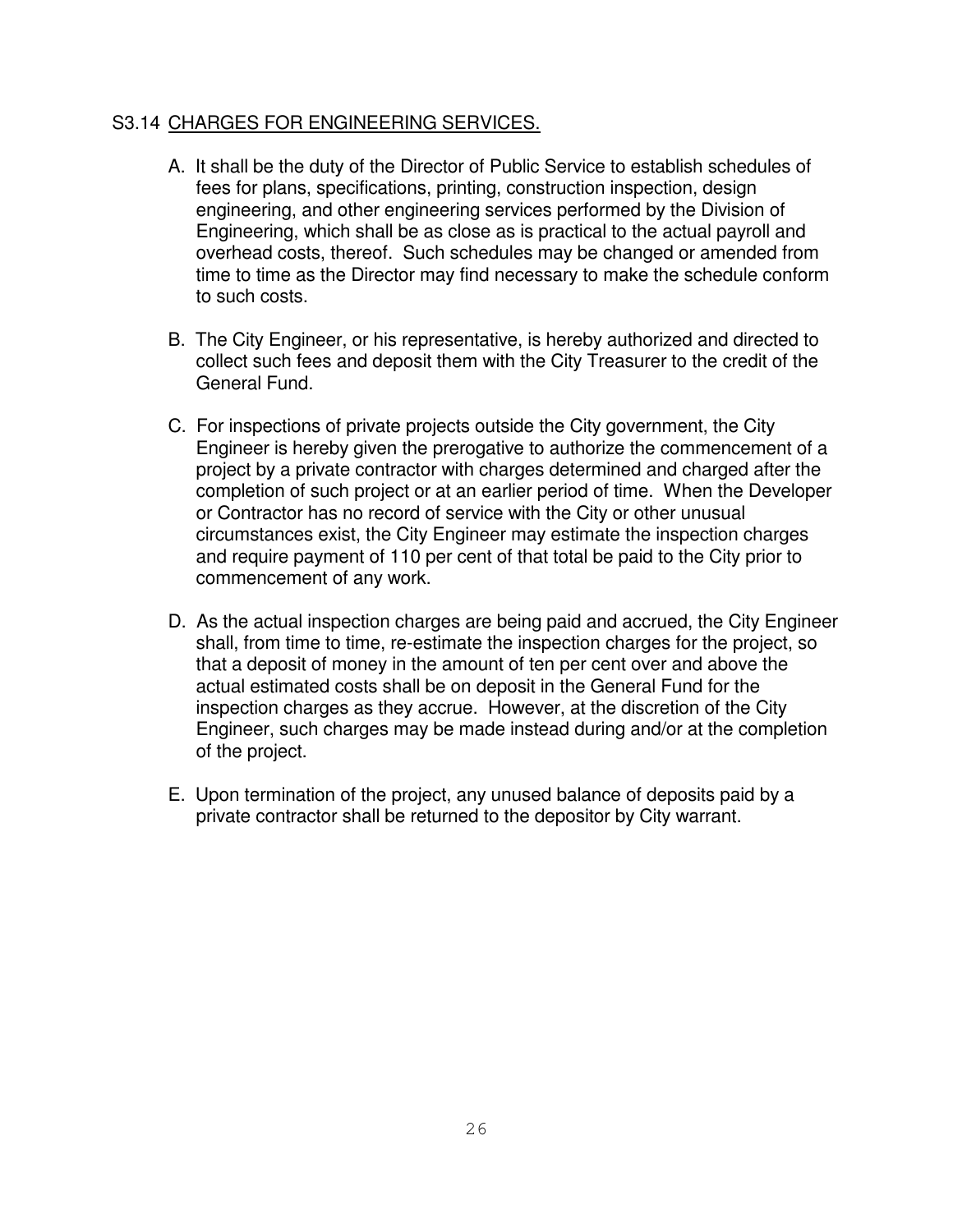# S3.14 CHARGES FOR ENGINEERING SERVICES.

- A. It shall be the duty of the Director of Public Service to establish schedules of fees for plans, specifications, printing, construction inspection, design engineering, and other engineering services performed by the Division of Engineering, which shall be as close as is practical to the actual payroll and overhead costs, thereof. Such schedules may be changed or amended from time to time as the Director may find necessary to make the schedule conform to such costs.
- B. The City Engineer, or his representative, is hereby authorized and directed to collect such fees and deposit them with the City Treasurer to the credit of the General Fund.
- C. For inspections of private projects outside the City government, the City Engineer is hereby given the prerogative to authorize the commencement of a project by a private contractor with charges determined and charged after the completion of such project or at an earlier period of time. When the Developer or Contractor has no record of service with the City or other unusual circumstances exist, the City Engineer may estimate the inspection charges and require payment of 110 per cent of that total be paid to the City prior to commencement of any work.
- D. As the actual inspection charges are being paid and accrued, the City Engineer shall, from time to time, re-estimate the inspection charges for the project, so that a deposit of money in the amount of ten per cent over and above the actual estimated costs shall be on deposit in the General Fund for the inspection charges as they accrue. However, at the discretion of the City Engineer, such charges may be made instead during and/or at the completion of the project.
- E. Upon termination of the project, any unused balance of deposits paid by a private contractor shall be returned to the depositor by City warrant.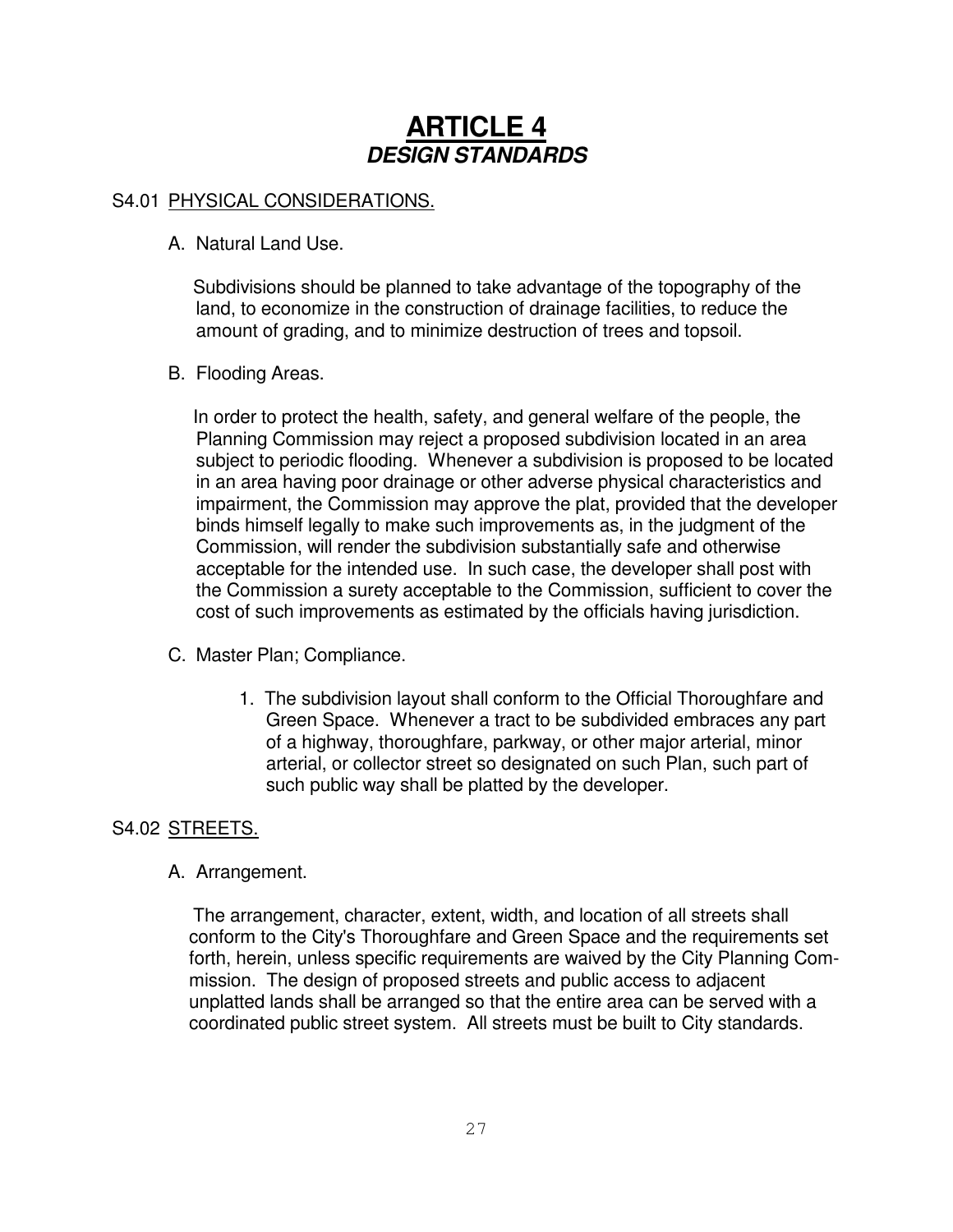# **ARTICLE 4** *DESIGN STANDARDS*

# S4.01 PHYSICAL CONSIDERATIONS.

A. Natural Land Use.

Subdivisions should be planned to take advantage of the topography of the land, to economize in the construction of drainage facilities, to reduce the amount of grading, and to minimize destruction of trees and topsoil.

# B. Flooding Areas.

In order to protect the health, safety, and general welfare of the people, the Planning Commission may reject a proposed subdivision located in an area subject to periodic flooding. Whenever a subdivision is proposed to be located in an area having poor drainage or other adverse physical characteristics and impairment, the Commission may approve the plat, provided that the developer binds himself legally to make such improvements as, in the judgment of the Commission, will render the subdivision substantially safe and otherwise acceptable for the intended use. In such case, the developer shall post with the Commission a surety acceptable to the Commission, sufficient to cover the cost of such improvements as estimated by the officials having jurisdiction.

- C. Master Plan; Compliance.
	- 1. The subdivision layout shall conform to the Official Thoroughfare and Green Space. Whenever a tract to be subdivided embraces any part of a highway, thoroughfare, parkway, or other major arterial, minor arterial, or collector street so designated on such Plan, such part of such public way shall be platted by the developer.

# S4.02 STREETS.

A. Arrangement.

The arrangement, character, extent, width, and location of all streets shall conform to the City's Thoroughfare and Green Space and the requirements set forth, herein, unless specific requirements are waived by the City Planning Commission. The design of proposed streets and public access to adjacent unplatted lands shall be arranged so that the entire area can be served with a coordinated public street system. All streets must be built to City standards.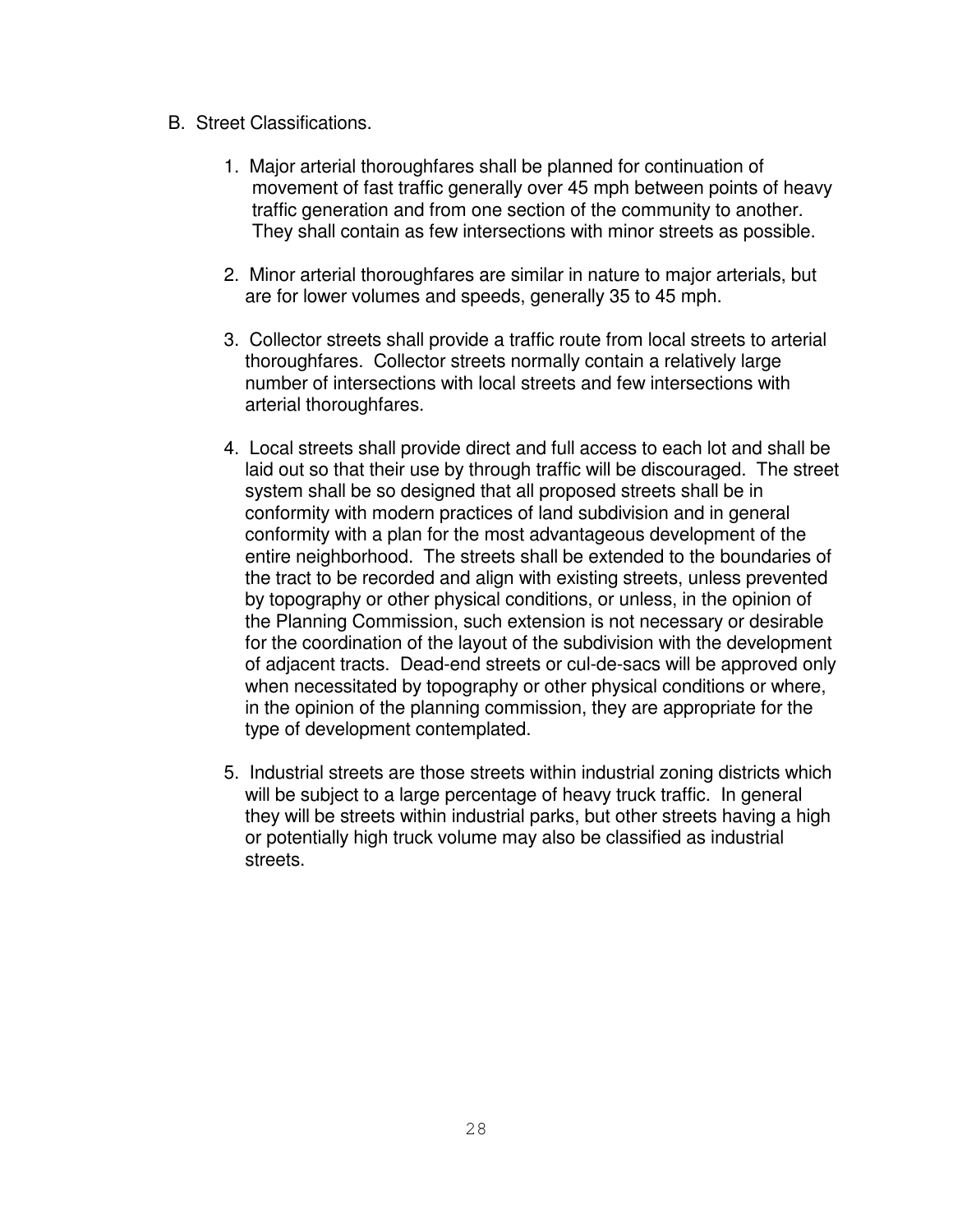- B. Street Classifications.
	- 1. Major arterial thoroughfares shall be planned for continuation of movement of fast traffic generally over 45 mph between points of heavy traffic generation and from one section of the community to another. They shall contain as few intersections with minor streets as possible.
	- 2. Minor arterial thoroughfares are similar in nature to major arterials, but are for lower volumes and speeds, generally 35 to 45 mph.
	- 3. Collector streets shall provide a traffic route from local streets to arterial thoroughfares. Collector streets normally contain a relatively large number of intersections with local streets and few intersections with arterial thoroughfares.
	- 4. Local streets shall provide direct and full access to each lot and shall be laid out so that their use by through traffic will be discouraged. The street system shall be so designed that all proposed streets shall be in conformity with modern practices of land subdivision and in general conformity with a plan for the most advantageous development of the entire neighborhood. The streets shall be extended to the boundaries of the tract to be recorded and align with existing streets, unless prevented by topography or other physical conditions, or unless, in the opinion of the Planning Commission, such extension is not necessary or desirable for the coordination of the layout of the subdivision with the development of adjacent tracts. Dead-end streets or cul-de-sacs will be approved only when necessitated by topography or other physical conditions or where, in the opinion of the planning commission, they are appropriate for the type of development contemplated.
	- 5. Industrial streets are those streets within industrial zoning districts which will be subject to a large percentage of heavy truck traffic. In general they will be streets within industrial parks, but other streets having a high or potentially high truck volume may also be classified as industrial streets.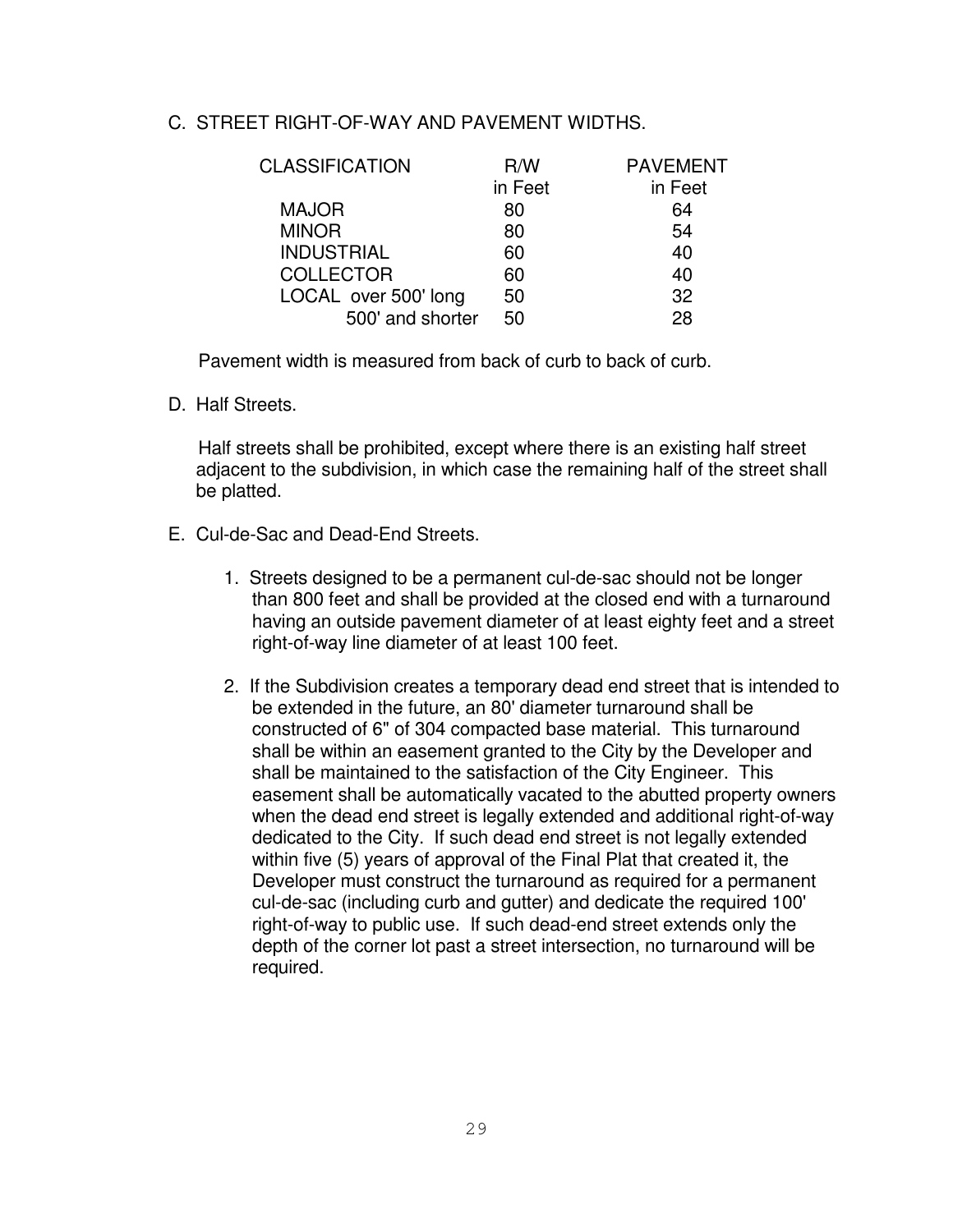#### C. STREET RIGHT-OF-WAY AND PAVEMENT WIDTHS.

| <b>CLASSIFICATION</b> | R/W     | <b>PAVEMENT</b> |
|-----------------------|---------|-----------------|
|                       | in Feet | in Feet         |
| <b>MAJOR</b>          | 80      | 64              |
| <b>MINOR</b>          | 80      | 54              |
| <b>INDUSTRIAL</b>     | 60      | 40              |
| <b>COLLECTOR</b>      | 60      | 40              |
| LOCAL over 500' long  | 50      | 32              |
| 500' and shorter      | 50      | 28              |
|                       |         |                 |

Pavement width is measured from back of curb to back of curb.

D. Half Streets.

Half streets shall be prohibited, except where there is an existing half street adjacent to the subdivision, in which case the remaining half of the street shall be platted.

- E. Cul-de-Sac and Dead-End Streets.
	- 1. Streets designed to be a permanent cul-de-sac should not be longer than 800 feet and shall be provided at the closed end with a turnaround having an outside pavement diameter of at least eighty feet and a street right-of-way line diameter of at least 100 feet.
	- 2. If the Subdivision creates a temporary dead end street that is intended to be extended in the future, an 80' diameter turnaround shall be constructed of 6" of 304 compacted base material. This turnaround shall be within an easement granted to the City by the Developer and shall be maintained to the satisfaction of the City Engineer. This easement shall be automatically vacated to the abutted property owners when the dead end street is legally extended and additional right-of-way dedicated to the City. If such dead end street is not legally extended within five (5) years of approval of the Final Plat that created it, the Developer must construct the turnaround as required for a permanent cul-de-sac (including curb and gutter) and dedicate the required 100' right-of-way to public use. If such dead-end street extends only the depth of the corner lot past a street intersection, no turnaround will be required.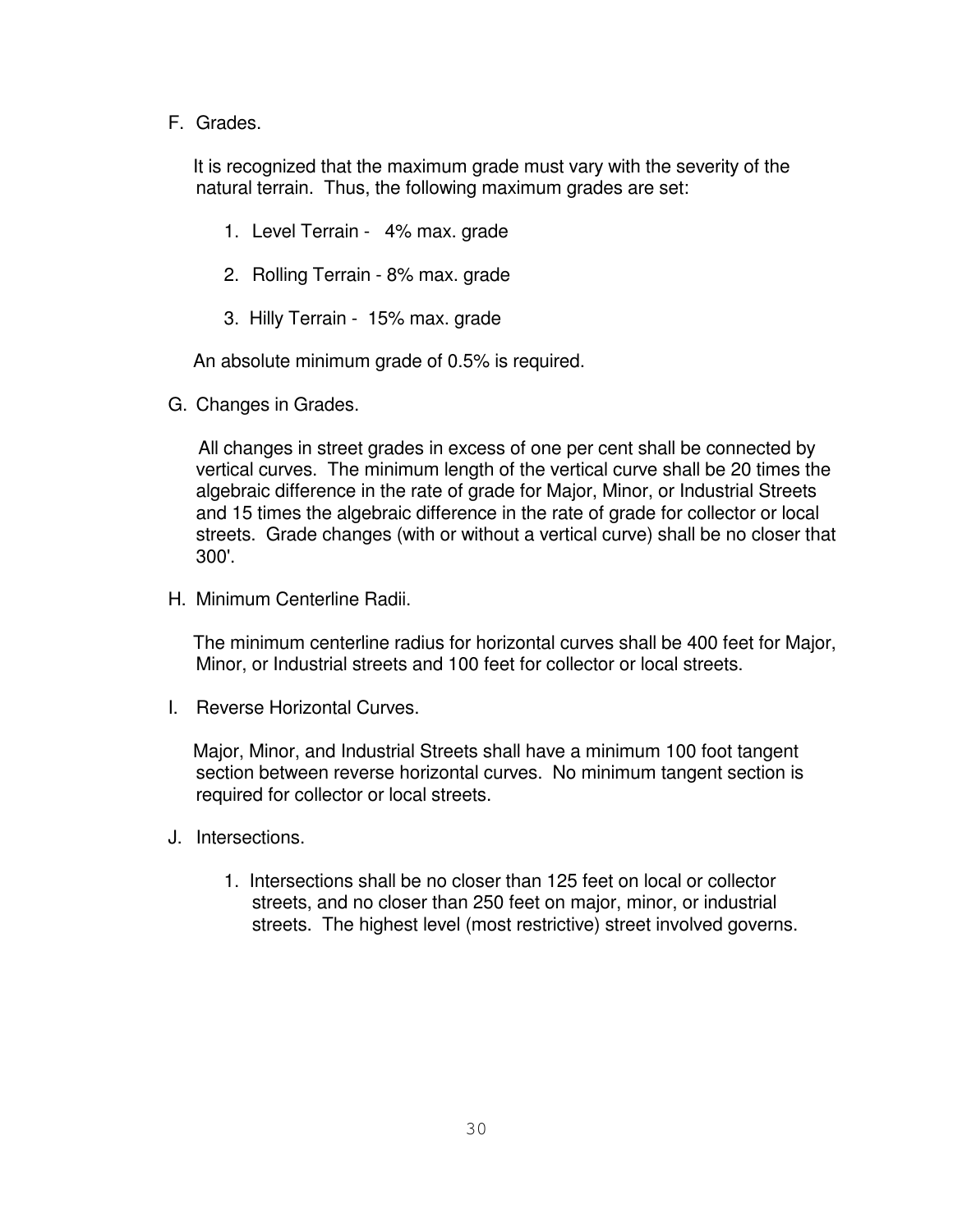F. Grades.

It is recognized that the maximum grade must vary with the severity of the natural terrain. Thus, the following maximum grades are set:

- 1. Level Terrain 4% max. grade
- 2. Rolling Terrain 8% max. grade
- 3. Hilly Terrain 15% max. grade

An absolute minimum grade of 0.5% is required.

G. Changes in Grades.

All changes in street grades in excess of one per cent shall be connected by vertical curves. The minimum length of the vertical curve shall be 20 times the algebraic difference in the rate of grade for Major, Minor, or Industrial Streets and 15 times the algebraic difference in the rate of grade for collector or local streets. Grade changes (with or without a vertical curve) shall be no closer that 300'.

H. Minimum Centerline Radii.

The minimum centerline radius for horizontal curves shall be 400 feet for Major, Minor, or Industrial streets and 100 feet for collector or local streets.

I. Reverse Horizontal Curves.

Major, Minor, and Industrial Streets shall have a minimum 100 foot tangent section between reverse horizontal curves. No minimum tangent section is required for collector or local streets.

- J. Intersections.
	- 1. Intersections shall be no closer than 125 feet on local or collector streets, and no closer than 250 feet on major, minor, or industrial streets. The highest level (most restrictive) street involved governs.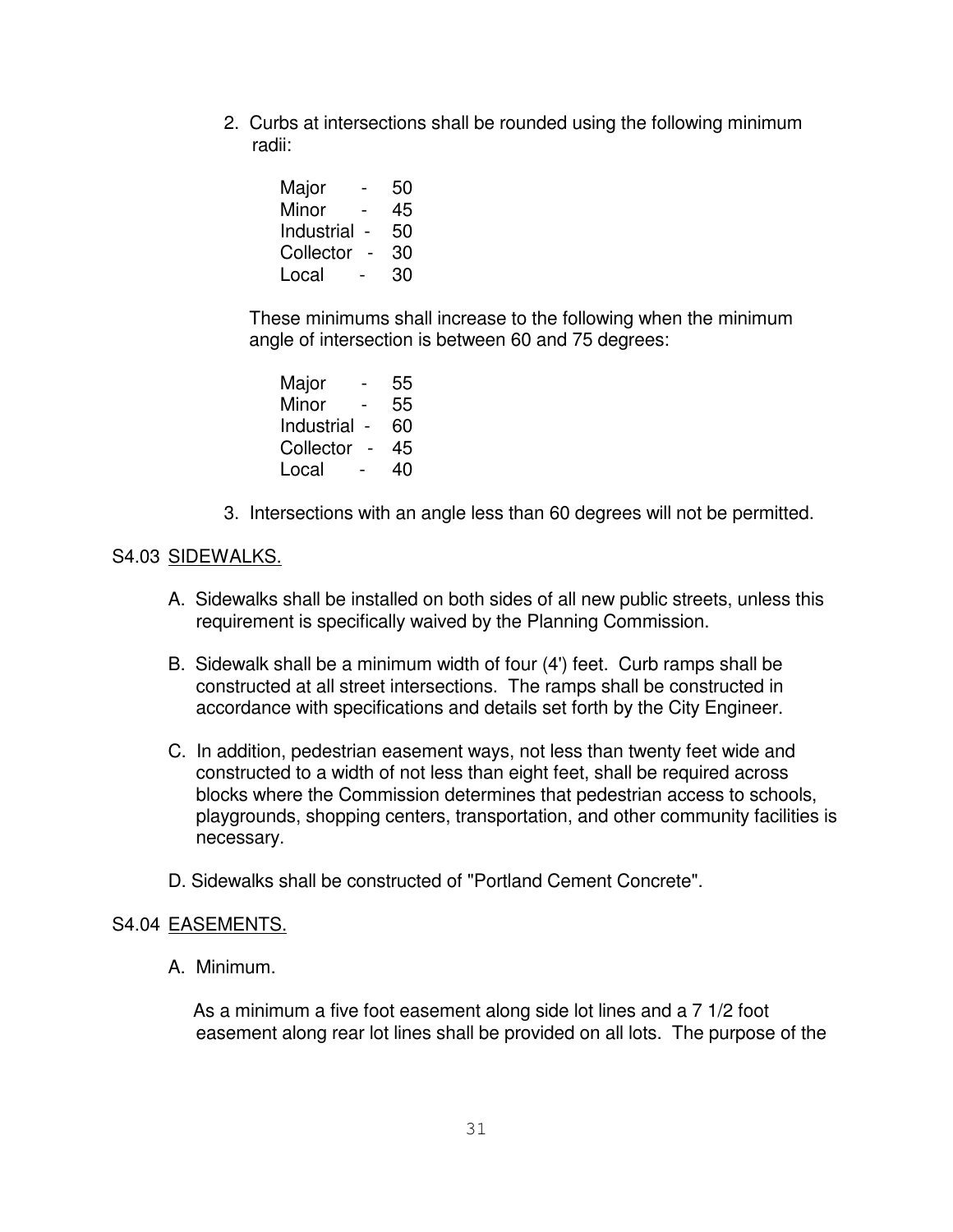2. Curbs at intersections shall be rounded using the following minimum radii:

| Major      |                          | 50 |
|------------|--------------------------|----|
| Minor      | -                        | 45 |
| Industrial |                          | 50 |
| Collector  | $\overline{\phantom{0}}$ | 30 |
| Local      |                          | 30 |

These minimums shall increase to the following when the minimum angle of intersection is between 60 and 75 degrees:

| Major      | -              | 55 |
|------------|----------------|----|
| Minor      |                | 55 |
| Industrial | $\blacksquare$ | 60 |
| Collector  | $\blacksquare$ | 45 |
| Local      | -              | 40 |

3. Intersections with an angle less than 60 degrees will not be permitted.

# S4.03 SIDEWALKS.

- A. Sidewalks shall be installed on both sides of all new public streets, unless this requirement is specifically waived by the Planning Commission.
- B. Sidewalk shall be a minimum width of four (4') feet. Curb ramps shall be constructed at all street intersections. The ramps shall be constructed in accordance with specifications and details set forth by the City Engineer.
- C. In addition, pedestrian easement ways, not less than twenty feet wide and constructed to a width of not less than eight feet, shall be required across blocks where the Commission determines that pedestrian access to schools, playgrounds, shopping centers, transportation, and other community facilities is necessary.
- D. Sidewalks shall be constructed of "Portland Cement Concrete".

#### S4.04 EASEMENTS.

A. Minimum.

As a minimum a five foot easement along side lot lines and a 7 1/2 foot easement along rear lot lines shall be provided on all lots. The purpose of the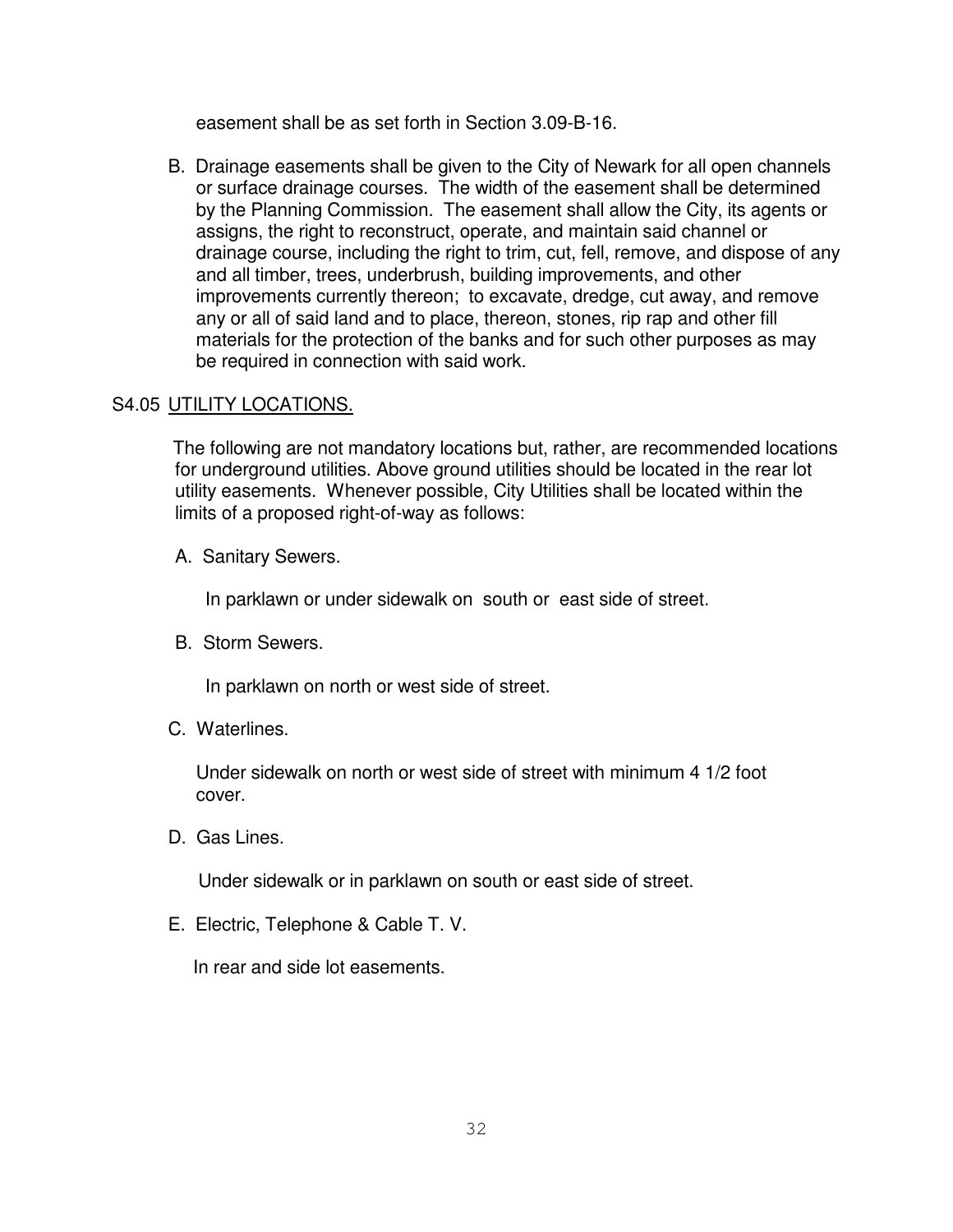easement shall be as set forth in Section 3.09-B-16.

B. Drainage easements shall be given to the City of Newark for all open channels or surface drainage courses. The width of the easement shall be determined by the Planning Commission. The easement shall allow the City, its agents or assigns, the right to reconstruct, operate, and maintain said channel or drainage course, including the right to trim, cut, fell, remove, and dispose of any and all timber, trees, underbrush, building improvements, and other improvements currently thereon; to excavate, dredge, cut away, and remove any or all of said land and to place, thereon, stones, rip rap and other fill materials for the protection of the banks and for such other purposes as may be required in connection with said work.

# S4.05 UTILITY LOCATIONS.

The following are not mandatory locations but, rather, are recommended locations for underground utilities. Above ground utilities should be located in the rear lot utility easements. Whenever possible, City Utilities shall be located within the limits of a proposed right-of-way as follows:

A. Sanitary Sewers.

In parklawn or under sidewalk on south or east side of street.

B. Storm Sewers.

In parklawn on north or west side of street.

C. Waterlines.

Under sidewalk on north or west side of street with minimum 4 1/2 foot cover.

D. Gas Lines.

Under sidewalk or in parklawn on south or east side of street.

E. Electric, Telephone & Cable T. V.

In rear and side lot easements.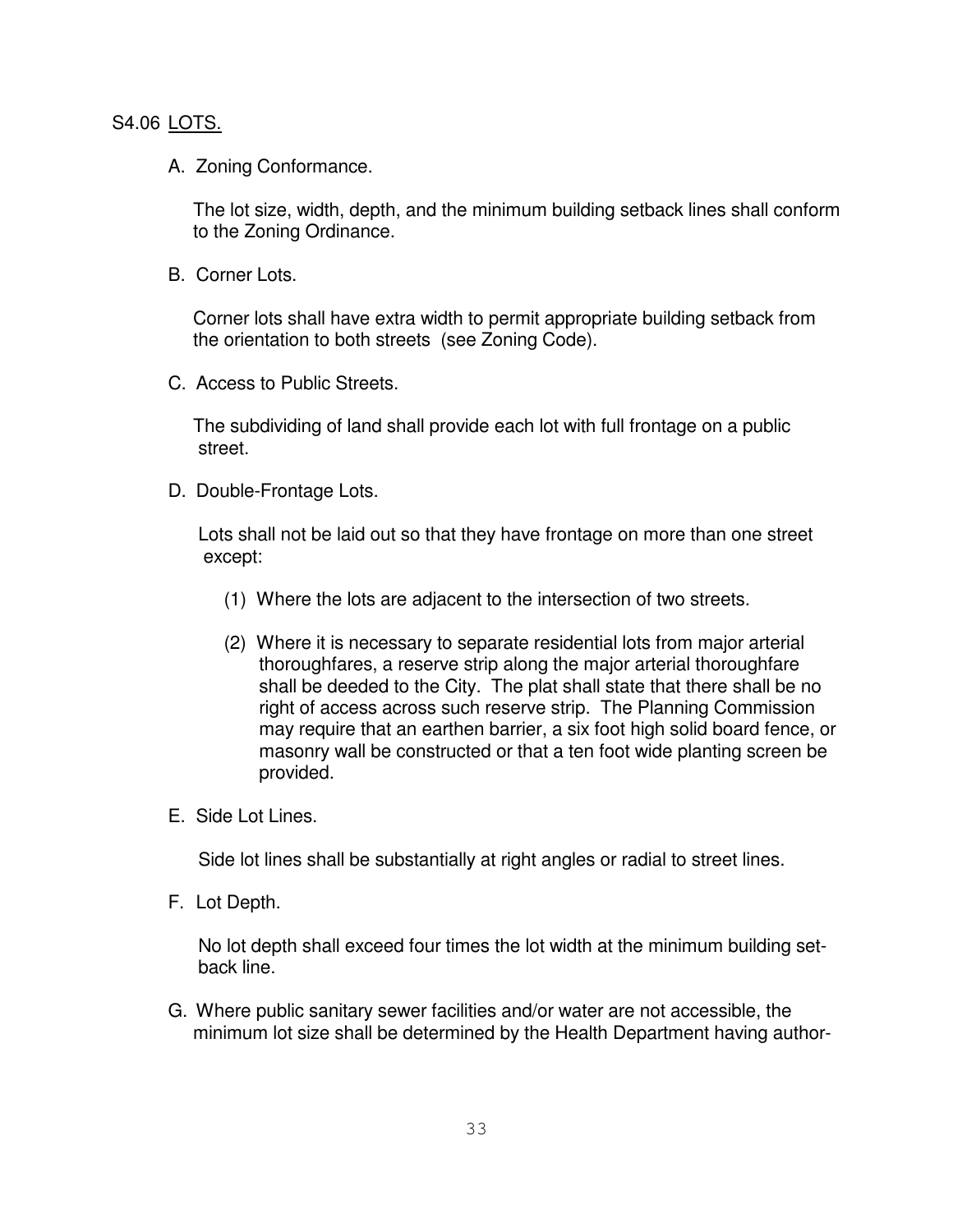#### S4.06 LOTS.

A. Zoning Conformance.

The lot size, width, depth, and the minimum building setback lines shall conform to the Zoning Ordinance.

B. Corner Lots.

Corner lots shall have extra width to permit appropriate building setback from the orientation to both streets (see Zoning Code).

C. Access to Public Streets.

The subdividing of land shall provide each lot with full frontage on a public street.

D. Double-Frontage Lots.

Lots shall not be laid out so that they have frontage on more than one street except:

- (1) Where the lots are adjacent to the intersection of two streets.
- (2) Where it is necessary to separate residential lots from major arterial thoroughfares, a reserve strip along the major arterial thoroughfare shall be deeded to the City. The plat shall state that there shall be no right of access across such reserve strip. The Planning Commission may require that an earthen barrier, a six foot high solid board fence, or masonry wall be constructed or that a ten foot wide planting screen be provided.
- E. Side Lot Lines.

Side lot lines shall be substantially at right angles or radial to street lines.

F. Lot Depth.

No lot depth shall exceed four times the lot width at the minimum building setback line.

G. Where public sanitary sewer facilities and/or water are not accessible, the minimum lot size shall be determined by the Health Department having author-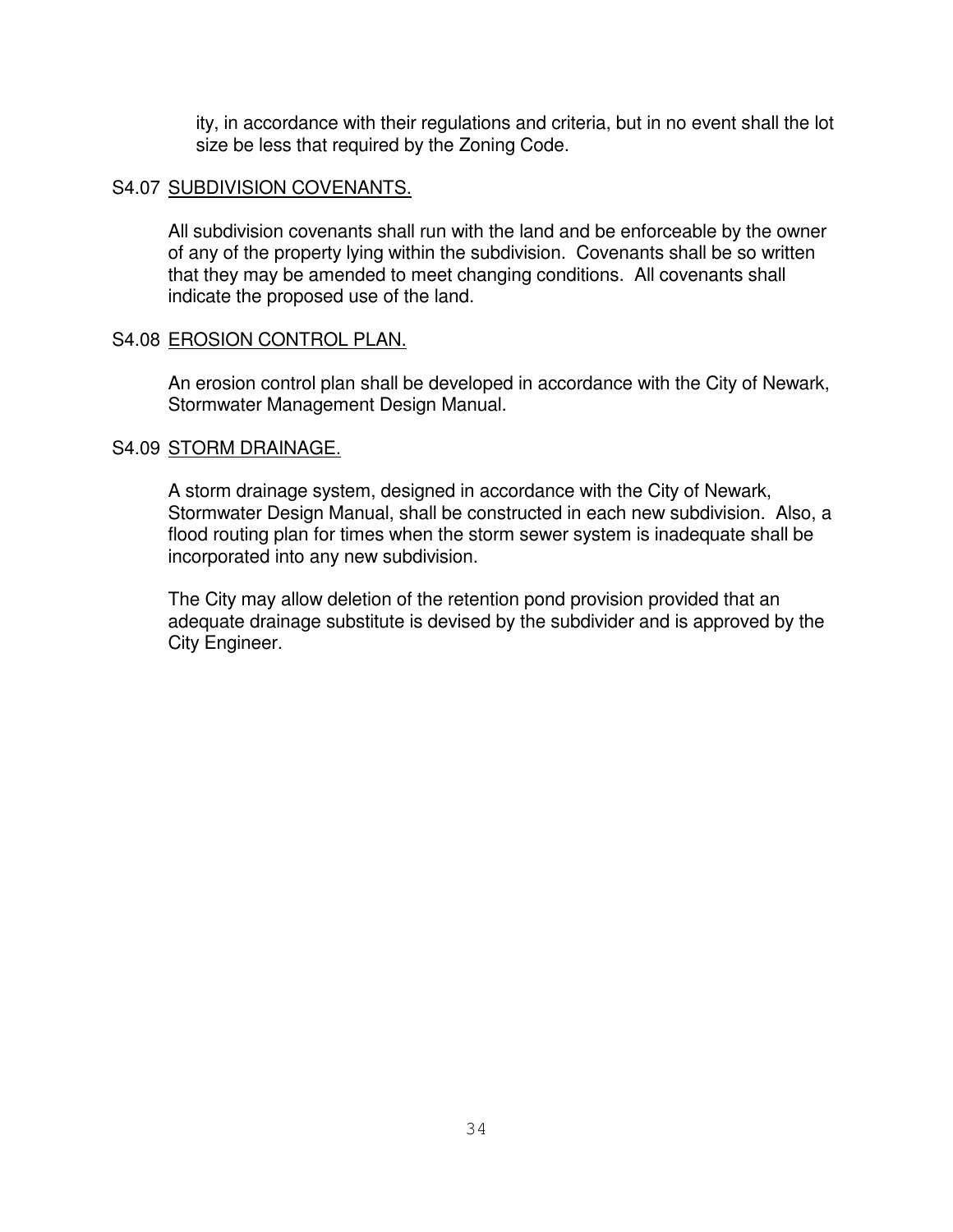ity, in accordance with their regulations and criteria, but in no event shall the lot size be less that required by the Zoning Code.

#### S4.07 SUBDIVISION COVENANTS.

All subdivision covenants shall run with the land and be enforceable by the owner of any of the property lying within the subdivision. Covenants shall be so written that they may be amended to meet changing conditions. All covenants shall indicate the proposed use of the land.

#### S4.08 EROSION CONTROL PLAN.

An erosion control plan shall be developed in accordance with the City of Newark, Stormwater Management Design Manual.

# S4.09 STORM DRAINAGE.

A storm drainage system, designed in accordance with the City of Newark, Stormwater Design Manual, shall be constructed in each new subdivision. Also, a flood routing plan for times when the storm sewer system is inadequate shall be incorporated into any new subdivision.

The City may allow deletion of the retention pond provision provided that an adequate drainage substitute is devised by the subdivider and is approved by the City Engineer.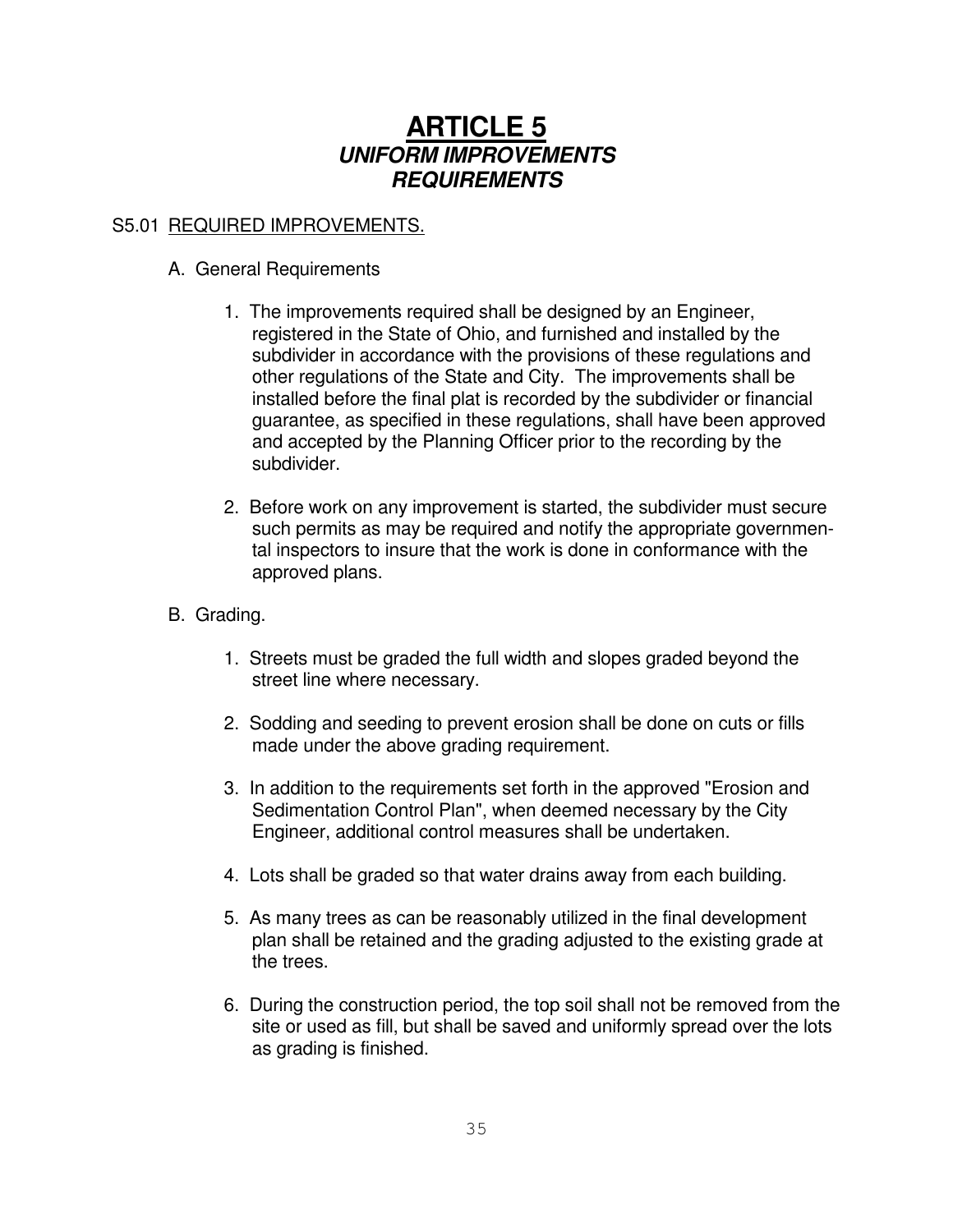# **ARTICLE 5** *UNIFORM IMPROVEMENTS REQUIREMENTS*

# S5.01 REQUIRED IMPROVEMENTS.

# A. General Requirements

- 1. The improvements required shall be designed by an Engineer, registered in the State of Ohio, and furnished and installed by the subdivider in accordance with the provisions of these regulations and other regulations of the State and City. The improvements shall be installed before the final plat is recorded by the subdivider or financial guarantee, as specified in these regulations, shall have been approved and accepted by the Planning Officer prior to the recording by the subdivider.
- 2. Before work on any improvement is started, the subdivider must secure such permits as may be required and notify the appropriate governmental inspectors to insure that the work is done in conformance with the approved plans.
- B. Grading.
	- 1. Streets must be graded the full width and slopes graded beyond the street line where necessary.
	- 2. Sodding and seeding to prevent erosion shall be done on cuts or fills made under the above grading requirement.
	- 3. In addition to the requirements set forth in the approved "Erosion and Sedimentation Control Plan", when deemed necessary by the City Engineer, additional control measures shall be undertaken.
	- 4. Lots shall be graded so that water drains away from each building.
	- 5. As many trees as can be reasonably utilized in the final development plan shall be retained and the grading adjusted to the existing grade at the trees.
	- 6. During the construction period, the top soil shall not be removed from the site or used as fill, but shall be saved and uniformly spread over the lots as grading is finished.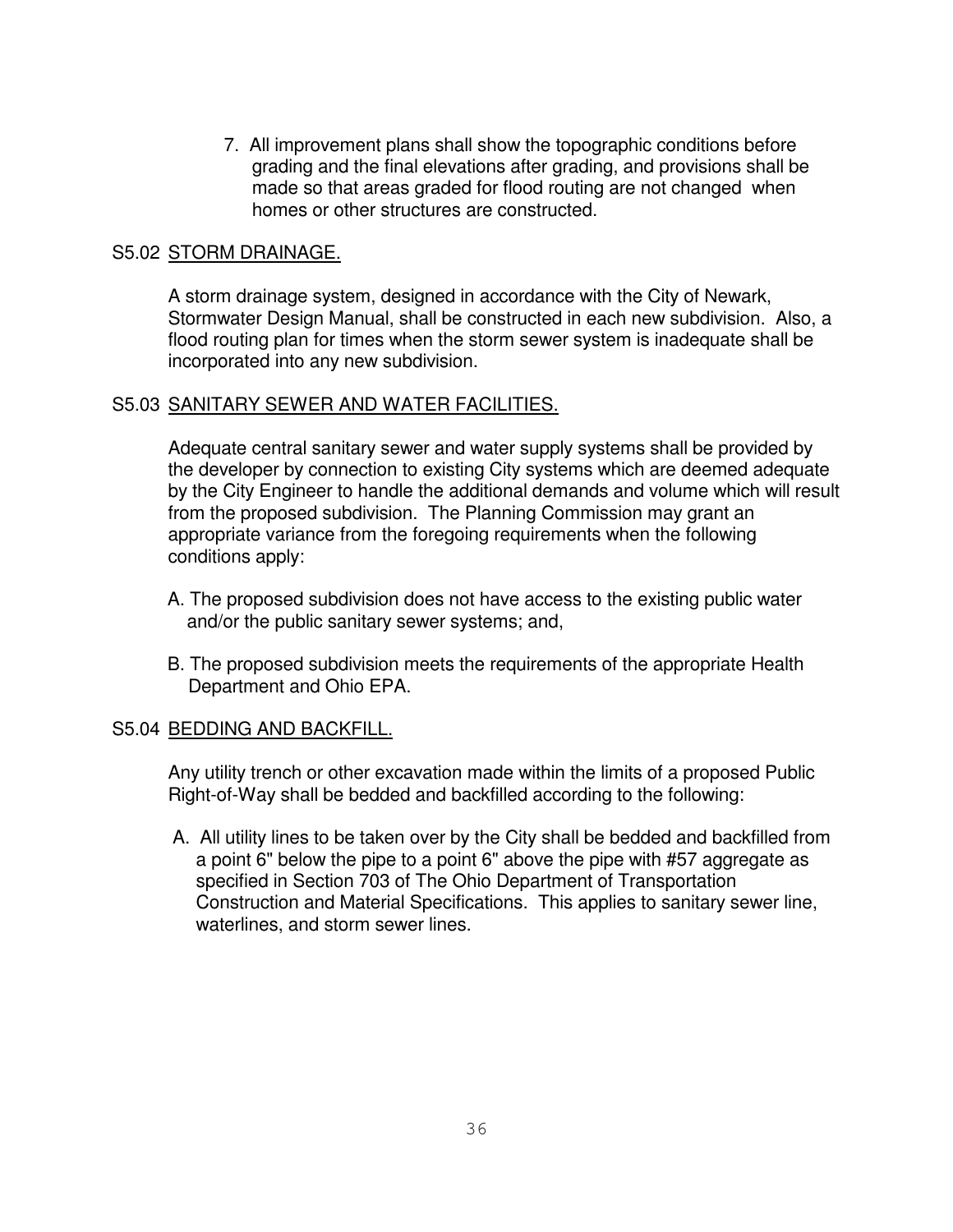7. All improvement plans shall show the topographic conditions before grading and the final elevations after grading, and provisions shall be made so that areas graded for flood routing are not changed when homes or other structures are constructed.

#### S5.02 STORM DRAINAGE.

A storm drainage system, designed in accordance with the City of Newark, Stormwater Design Manual, shall be constructed in each new subdivision. Also, a flood routing plan for times when the storm sewer system is inadequate shall be incorporated into any new subdivision.

# S5.03 SANITARY SEWER AND WATER FACILITIES.

Adequate central sanitary sewer and water supply systems shall be provided by the developer by connection to existing City systems which are deemed adequate by the City Engineer to handle the additional demands and volume which will result from the proposed subdivision. The Planning Commission may grant an appropriate variance from the foregoing requirements when the following conditions apply:

- A. The proposed subdivision does not have access to the existing public water and/or the public sanitary sewer systems; and,
- B. The proposed subdivision meets the requirements of the appropriate Health Department and Ohio EPA.

# S5.04 BEDDING AND BACKFILL.

Any utility trench or other excavation made within the limits of a proposed Public Right-of-Way shall be bedded and backfilled according to the following:

A. All utility lines to be taken over by the City shall be bedded and backfilled from a point 6" below the pipe to a point 6" above the pipe with #57 aggregate as specified in Section 703 of The Ohio Department of Transportation Construction and Material Specifications. This applies to sanitary sewer line, waterlines, and storm sewer lines.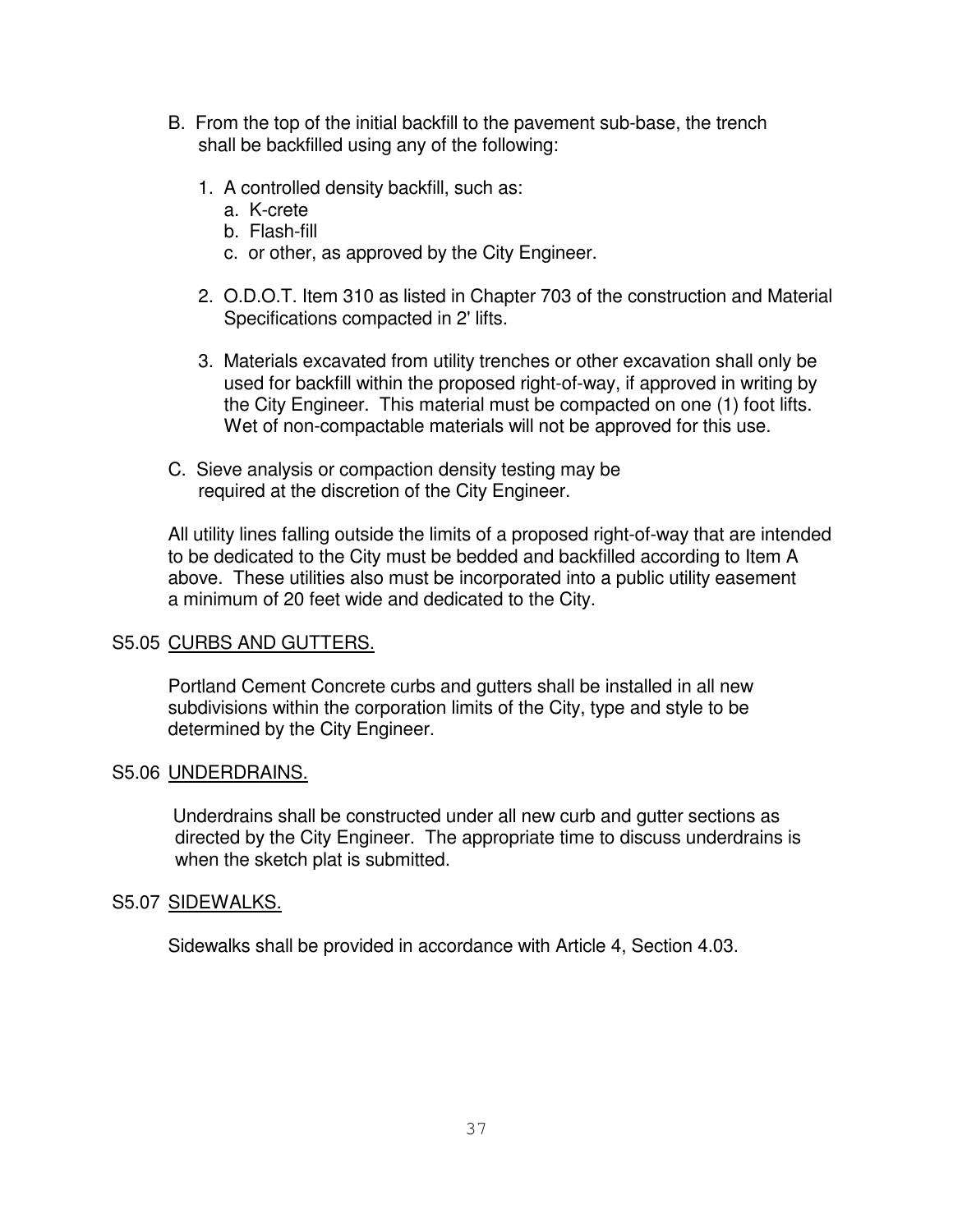- B. From the top of the initial backfill to the pavement sub-base, the trench shall be backfilled using any of the following:
	- 1. A controlled density backfill, such as:
		- a. K-crete
		- b. Flash-fill
		- c. or other, as approved by the City Engineer.
	- 2. O.D.O.T. Item 310 as listed in Chapter 703 of the construction and Material Specifications compacted in 2' lifts.
	- 3. Materials excavated from utility trenches or other excavation shall only be used for backfill within the proposed right-of-way, if approved in writing by the City Engineer. This material must be compacted on one (1) foot lifts. Wet of non-compactable materials will not be approved for this use.
- C. Sieve analysis or compaction density testing may be required at the discretion of the City Engineer.

All utility lines falling outside the limits of a proposed right-of-way that are intended to be dedicated to the City must be bedded and backfilled according to Item A above. These utilities also must be incorporated into a public utility easement a minimum of 20 feet wide and dedicated to the City.

# S5.05 CURBS AND GUTTERS.

Portland Cement Concrete curbs and gutters shall be installed in all new subdivisions within the corporation limits of the City, type and style to be determined by the City Engineer.

# S5.06 UNDERDRAINS.

Underdrains shall be constructed under all new curb and gutter sections as directed by the City Engineer. The appropriate time to discuss underdrains is when the sketch plat is submitted.

# S5.07 SIDEWALKS.

Sidewalks shall be provided in accordance with Article 4, Section 4.03.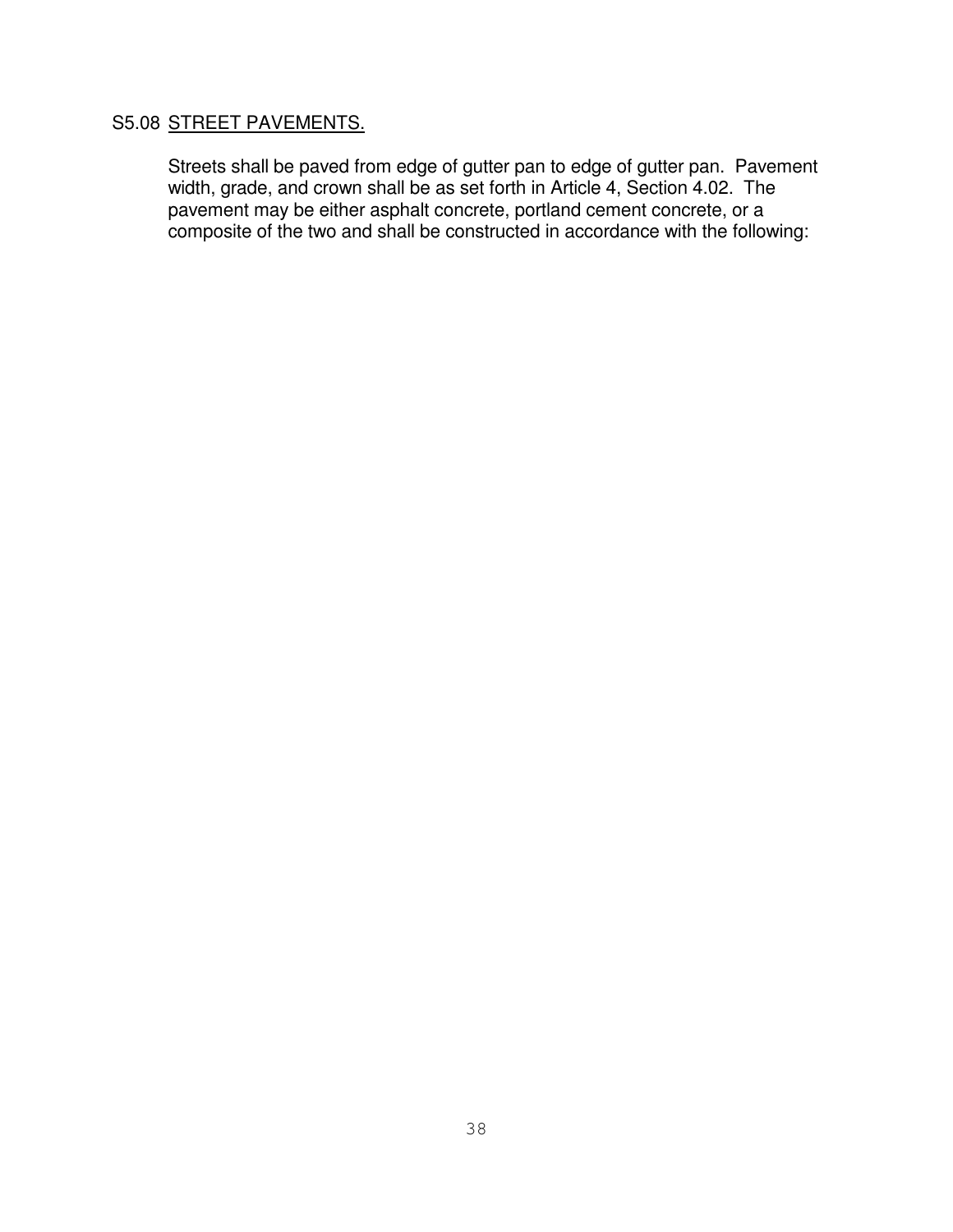# S5.08 STREET PAVEMENTS.

Streets shall be paved from edge of gutter pan to edge of gutter pan. Pavement width, grade, and crown shall be as set forth in Article 4, Section 4.02. The pavement may be either asphalt concrete, portland cement concrete, or a composite of the two and shall be constructed in accordance with the following: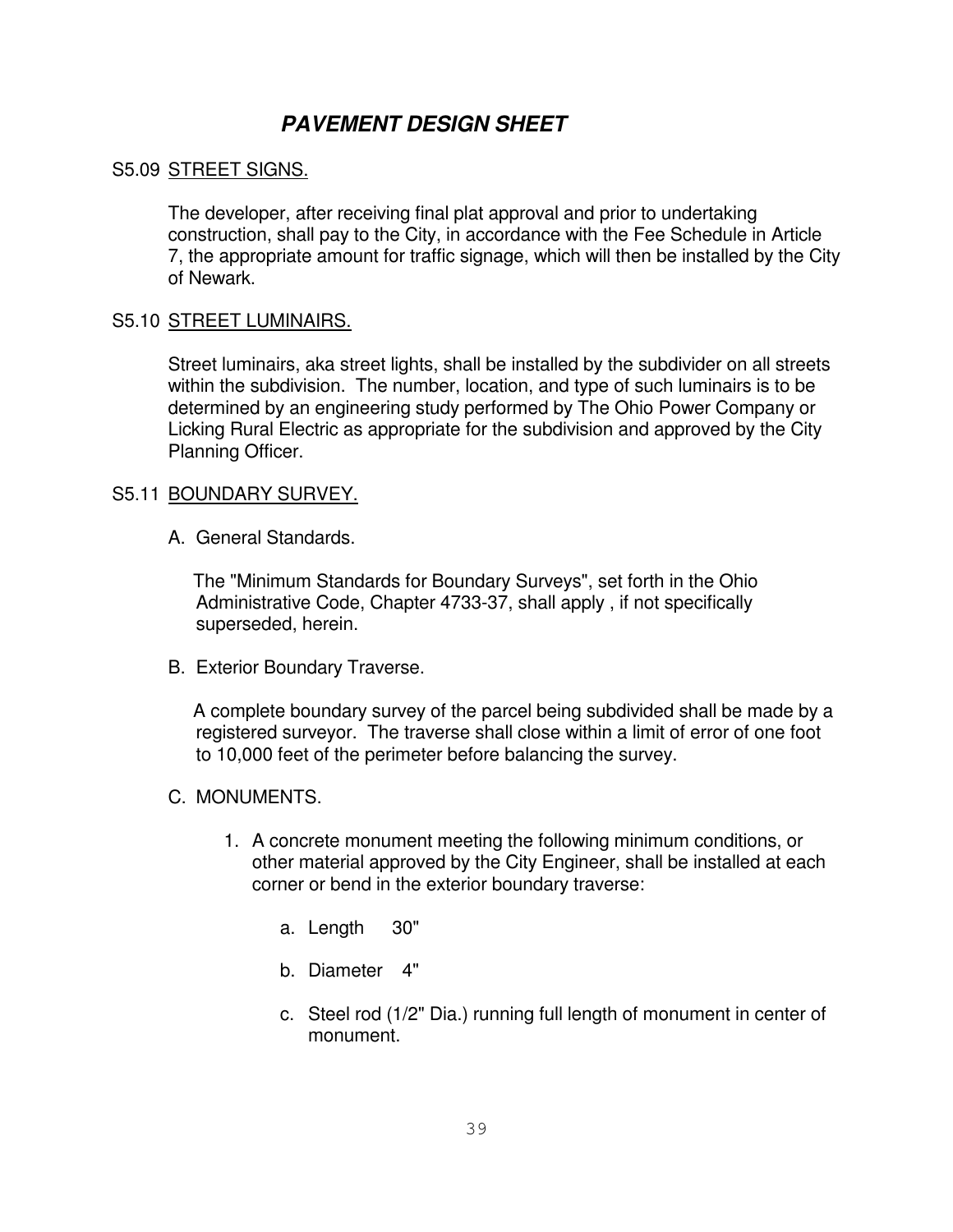# *PAVEMENT DESIGN SHEET*

# S5.09 STREET SIGNS.

The developer, after receiving final plat approval and prior to undertaking construction, shall pay to the City, in accordance with the Fee Schedule in Article 7, the appropriate amount for traffic signage, which will then be installed by the City of Newark.

# S5.10 STREET LUMINAIRS.

Street luminairs, aka street lights, shall be installed by the subdivider on all streets within the subdivision. The number, location, and type of such luminairs is to be determined by an engineering study performed by The Ohio Power Company or Licking Rural Electric as appropriate for the subdivision and approved by the City Planning Officer.

# S5.11 BOUNDARY SURVEY.

A. General Standards.

The "Minimum Standards for Boundary Surveys", set forth in the Ohio Administrative Code, Chapter 4733-37, shall apply , if not specifically superseded, herein.

B. Exterior Boundary Traverse.

A complete boundary survey of the parcel being subdivided shall be made by a registered surveyor. The traverse shall close within a limit of error of one foot to 10,000 feet of the perimeter before balancing the survey.

# C. MONUMENTS.

- 1. A concrete monument meeting the following minimum conditions, or other material approved by the City Engineer, shall be installed at each corner or bend in the exterior boundary traverse:
	- a. Length 30"
	- b. Diameter 4"
	- c. Steel rod (1/2" Dia.) running full length of monument in center of monument.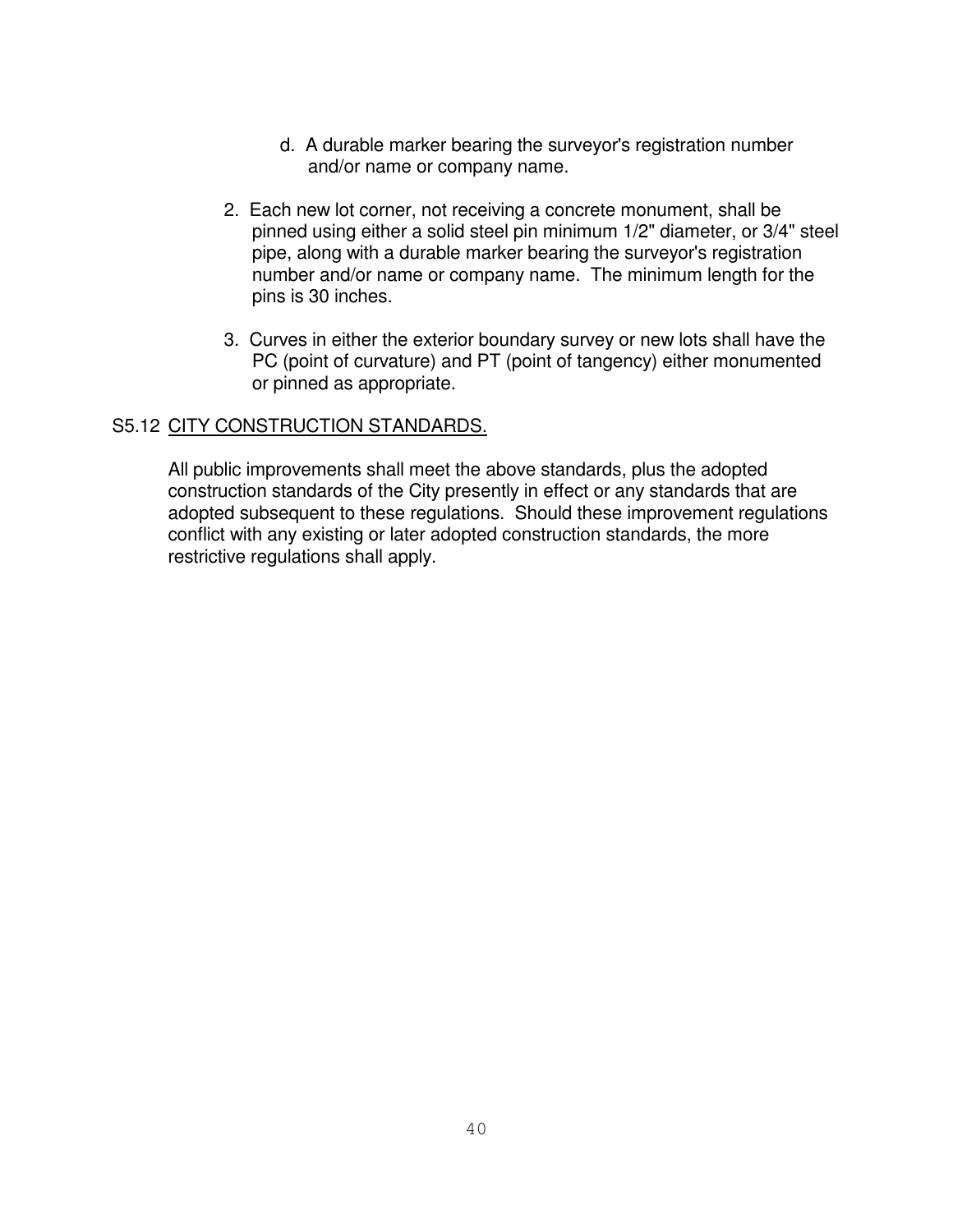- d. A durable marker bearing the surveyor's registration number and/or name or company name.
- 2. Each new lot corner, not receiving a concrete monument, shall be pinned using either a solid steel pin minimum 1/2" diameter, or 3/4" steel pipe, along with a durable marker bearing the surveyor's registration number and/or name or company name. The minimum length for the pins is 30 inches.
- 3. Curves in either the exterior boundary survey or new lots shall have the PC (point of curvature) and PT (point of tangency) either monumented or pinned as appropriate.

# S5.12 CITY CONSTRUCTION STANDARDS.

All public improvements shall meet the above standards, plus the adopted construction standards of the City presently in effect or any standards that are adopted subsequent to these regulations. Should these improvement regulations conflict with any existing or later adopted construction standards, the more restrictive regulations shall apply.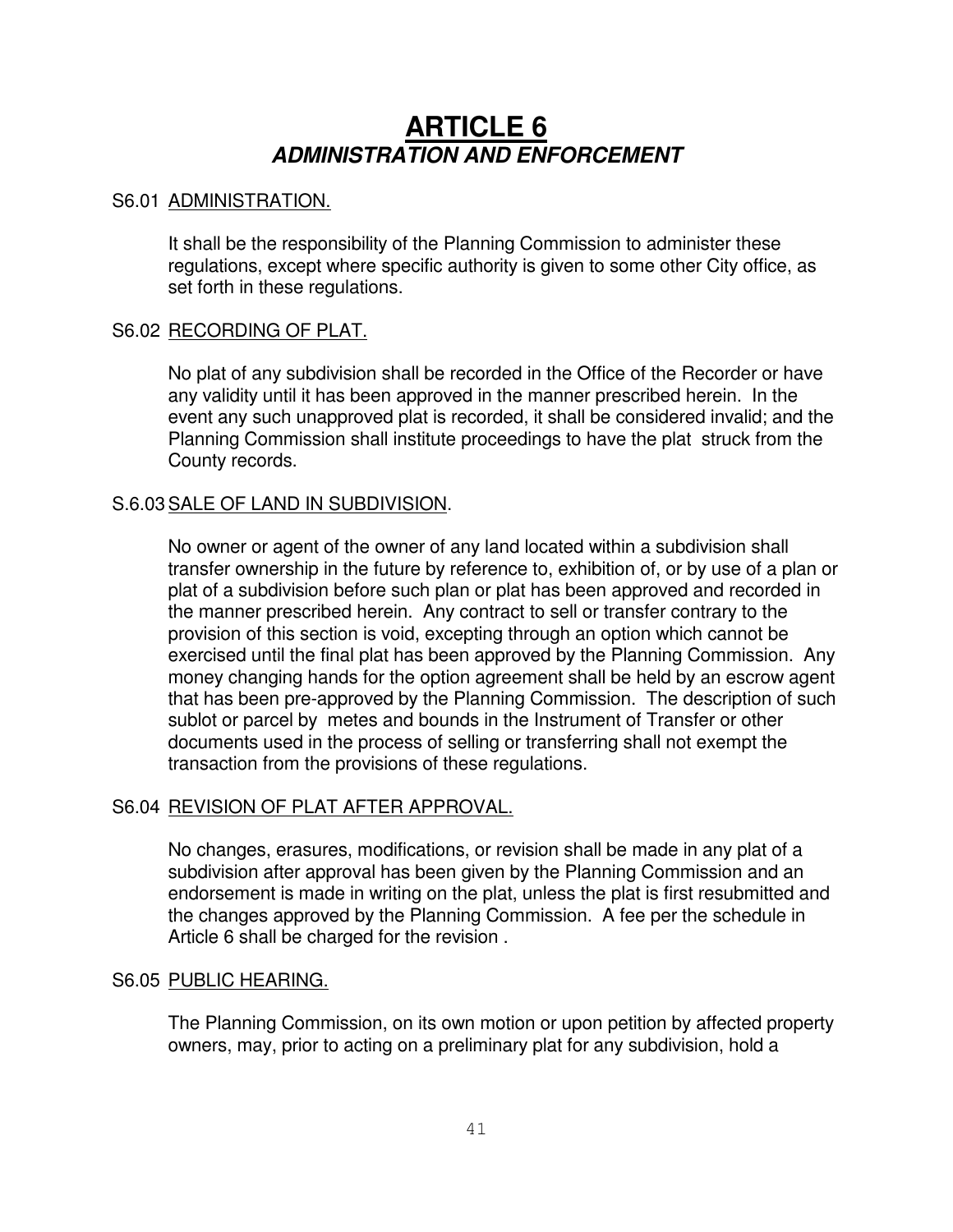# **ARTICLE 6** *ADMINISTRATION AND ENFORCEMENT*

#### S6.01 ADMINISTRATION.

It shall be the responsibility of the Planning Commission to administer these regulations, except where specific authority is given to some other City office, as set forth in these regulations.

#### S6.02 RECORDING OF PLAT.

No plat of any subdivision shall be recorded in the Office of the Recorder or have any validity until it has been approved in the manner prescribed herein. In the event any such unapproved plat is recorded, it shall be considered invalid; and the Planning Commission shall institute proceedings to have the plat struck from the County records.

# S.6.03SALE OF LAND IN SUBDIVISION.

No owner or agent of the owner of any land located within a subdivision shall transfer ownership in the future by reference to, exhibition of, or by use of a plan or plat of a subdivision before such plan or plat has been approved and recorded in the manner prescribed herein. Any contract to sell or transfer contrary to the provision of this section is void, excepting through an option which cannot be exercised until the final plat has been approved by the Planning Commission. Any money changing hands for the option agreement shall be held by an escrow agent that has been pre-approved by the Planning Commission. The description of such sublot or parcel by metes and bounds in the Instrument of Transfer or other documents used in the process of selling or transferring shall not exempt the transaction from the provisions of these regulations.

# S6.04 REVISION OF PLAT AFTER APPROVAL.

No changes, erasures, modifications, or revision shall be made in any plat of a subdivision after approval has been given by the Planning Commission and an endorsement is made in writing on the plat, unless the plat is first resubmitted and the changes approved by the Planning Commission. A fee per the schedule in Article 6 shall be charged for the revision .

#### S6.05 PUBLIC HEARING.

The Planning Commission, on its own motion or upon petition by affected property owners, may, prior to acting on a preliminary plat for any subdivision, hold a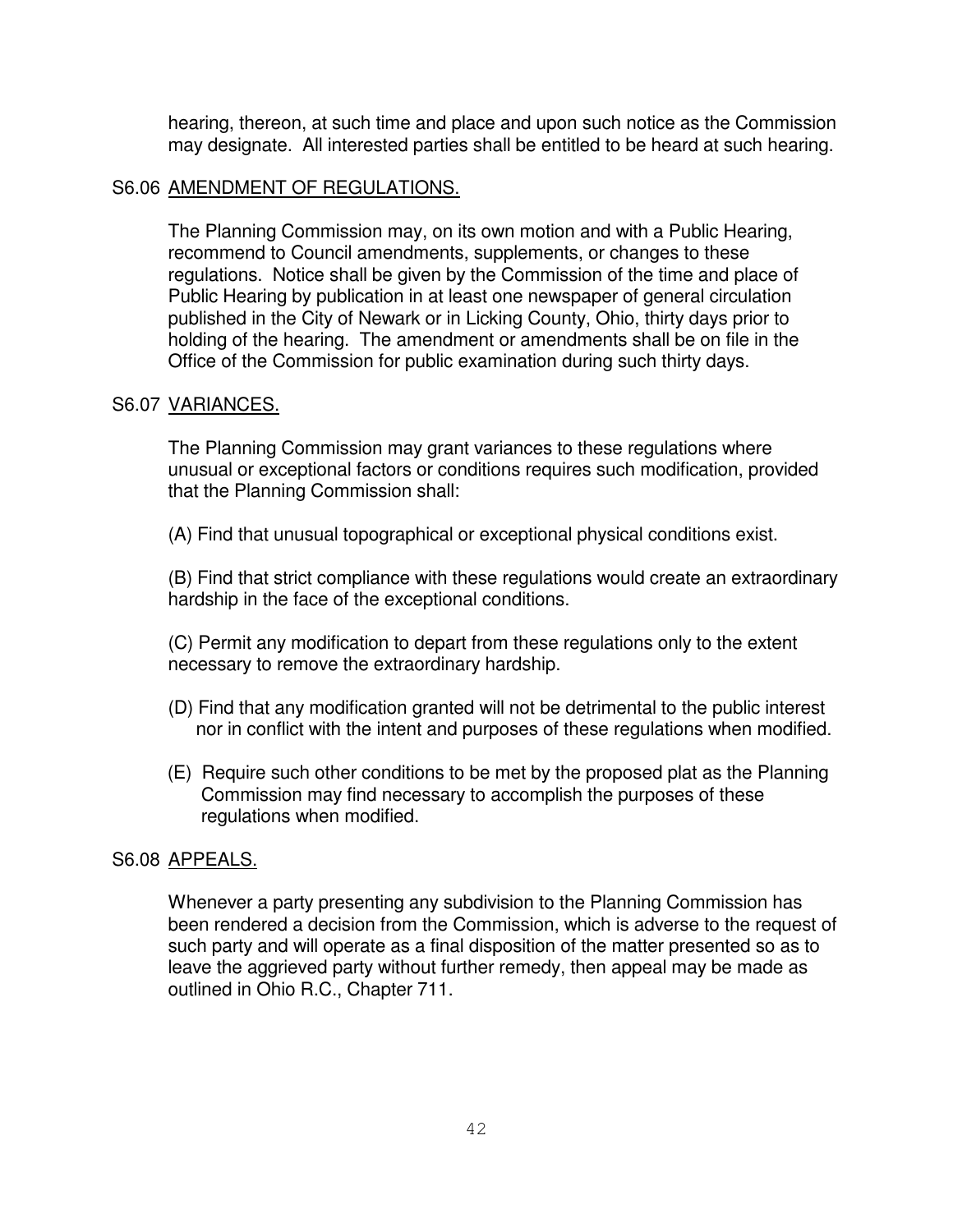hearing, thereon, at such time and place and upon such notice as the Commission may designate. All interested parties shall be entitled to be heard at such hearing.

#### S6.06 AMENDMENT OF REGULATIONS.

The Planning Commission may, on its own motion and with a Public Hearing, recommend to Council amendments, supplements, or changes to these regulations. Notice shall be given by the Commission of the time and place of Public Hearing by publication in at least one newspaper of general circulation published in the City of Newark or in Licking County, Ohio, thirty days prior to holding of the hearing. The amendment or amendments shall be on file in the Office of the Commission for public examination during such thirty days.

#### S6.07 VARIANCES.

The Planning Commission may grant variances to these regulations where unusual or exceptional factors or conditions requires such modification, provided that the Planning Commission shall:

(A) Find that unusual topographical or exceptional physical conditions exist.

(B) Find that strict compliance with these regulations would create an extraordinary hardship in the face of the exceptional conditions.

(C) Permit any modification to depart from these regulations only to the extent necessary to remove the extraordinary hardship.

- (D) Find that any modification granted will not be detrimental to the public interest nor in conflict with the intent and purposes of these regulations when modified.
- (E) Require such other conditions to be met by the proposed plat as the Planning Commission may find necessary to accomplish the purposes of these regulations when modified.

# S6.08 APPEALS.

Whenever a party presenting any subdivision to the Planning Commission has been rendered a decision from the Commission, which is adverse to the request of such party and will operate as a final disposition of the matter presented so as to leave the aggrieved party without further remedy, then appeal may be made as outlined in Ohio R.C., Chapter 711.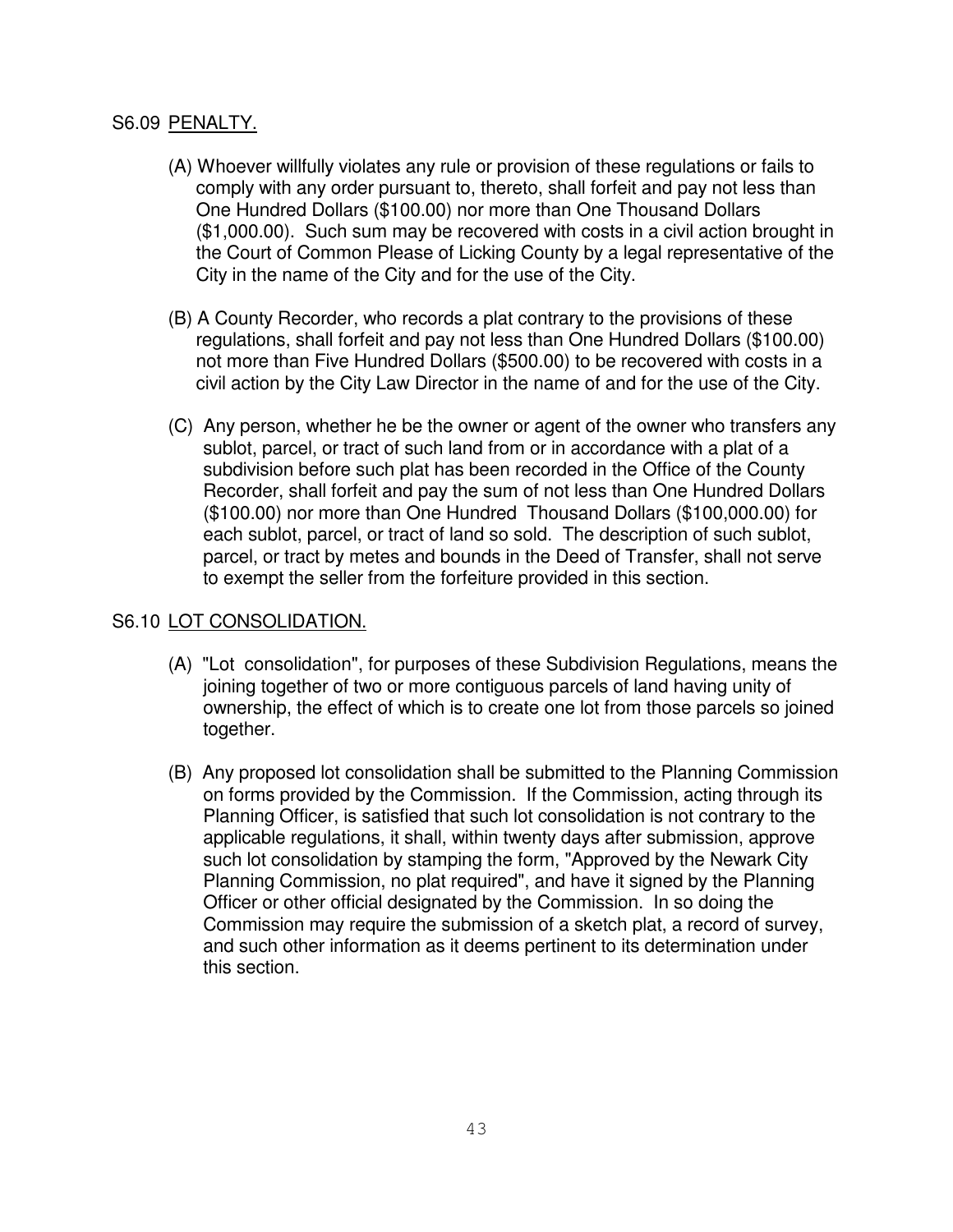# S6.09 PENALTY.

- (A) Whoever willfully violates any rule or provision of these regulations or fails to comply with any order pursuant to, thereto, shall forfeit and pay not less than One Hundred Dollars (\$100.00) nor more than One Thousand Dollars (\$1,000.00). Such sum may be recovered with costs in a civil action brought in the Court of Common Please of Licking County by a legal representative of the City in the name of the City and for the use of the City.
- (B) A County Recorder, who records a plat contrary to the provisions of these regulations, shall forfeit and pay not less than One Hundred Dollars (\$100.00) not more than Five Hundred Dollars (\$500.00) to be recovered with costs in a civil action by the City Law Director in the name of and for the use of the City.
- (C) Any person, whether he be the owner or agent of the owner who transfers any sublot, parcel, or tract of such land from or in accordance with a plat of a subdivision before such plat has been recorded in the Office of the County Recorder, shall forfeit and pay the sum of not less than One Hundred Dollars (\$100.00) nor more than One Hundred Thousand Dollars (\$100,000.00) for each sublot, parcel, or tract of land so sold. The description of such sublot, parcel, or tract by metes and bounds in the Deed of Transfer, shall not serve to exempt the seller from the forfeiture provided in this section.

# S6.10 LOT CONSOLIDATION.

- (A) "Lot consolidation", for purposes of these Subdivision Regulations, means the joining together of two or more contiguous parcels of land having unity of ownership, the effect of which is to create one lot from those parcels so joined together.
- (B) Any proposed lot consolidation shall be submitted to the Planning Commission on forms provided by the Commission. If the Commission, acting through its Planning Officer, is satisfied that such lot consolidation is not contrary to the applicable regulations, it shall, within twenty days after submission, approve such lot consolidation by stamping the form, "Approved by the Newark City Planning Commission, no plat required", and have it signed by the Planning Officer or other official designated by the Commission. In so doing the Commission may require the submission of a sketch plat, a record of survey, and such other information as it deems pertinent to its determination under this section.